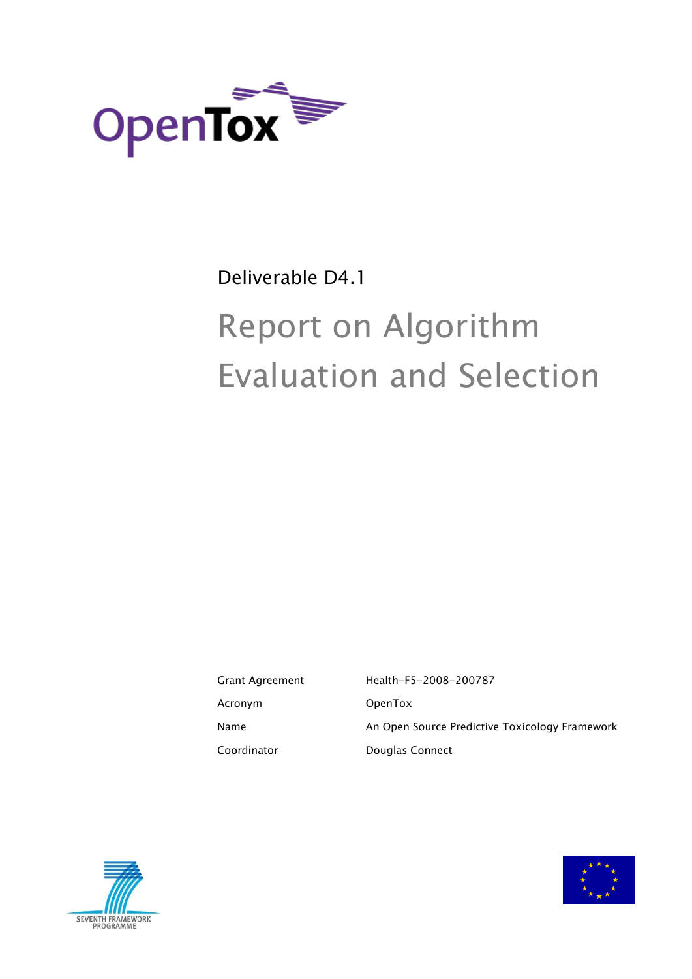

# Deliverable D4.1

# Report on Algorithm Evaluation and Selection

Grant Agreement Health-F5-2008-200787 Acronym OpenTox Name **An Open Source Predictive Toxicology Framework** Coordinator **Douglas Connect** 



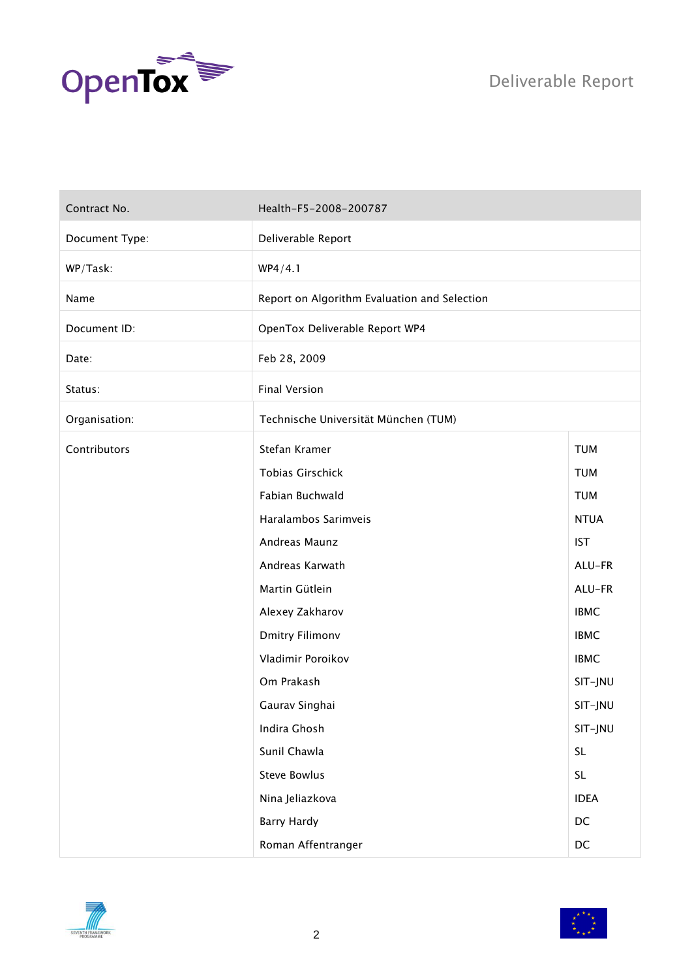

| Contract No.   | Health-F5-2008-200787                        |             |  |
|----------------|----------------------------------------------|-------------|--|
| Document Type: | Deliverable Report                           |             |  |
| WP/Task:       | WP4/4.1                                      |             |  |
| Name           | Report on Algorithm Evaluation and Selection |             |  |
| Document ID:   | OpenTox Deliverable Report WP4               |             |  |
| Date:          | Feb 28, 2009                                 |             |  |
| Status:        | <b>Final Version</b>                         |             |  |
| Organisation:  | Technische Universität München (TUM)         |             |  |
| Contributors   | Stefan Kramer                                | <b>TUM</b>  |  |
|                | <b>Tobias Girschick</b>                      | <b>TUM</b>  |  |
|                | Fabian Buchwald                              | <b>TUM</b>  |  |
|                | Haralambos Sarimveis                         | <b>NTUA</b> |  |
|                | Andreas Maunz                                | <b>IST</b>  |  |
|                | Andreas Karwath                              | ALU-FR      |  |
|                | Martin Gütlein                               | ALU-FR      |  |
|                | Alexey Zakharov                              | <b>IBMC</b> |  |
|                | <b>Dmitry Filimonv</b>                       | <b>IBMC</b> |  |
|                | Vladimir Poroikov                            | <b>IBMC</b> |  |
|                | Om Prakash                                   | SIT-JNU     |  |
|                | Gaurav Singhai                               | SIT-JNU     |  |
|                | Indira Ghosh                                 | SIT-JNU     |  |
|                | Sunil Chawla                                 | <b>SL</b>   |  |
|                | <b>Steve Bowlus</b>                          | <b>SL</b>   |  |
|                | Nina Jeliazkova                              | <b>IDEA</b> |  |
|                | <b>Barry Hardy</b>                           | $DC$        |  |
|                | Roman Affentranger                           | $DC$        |  |



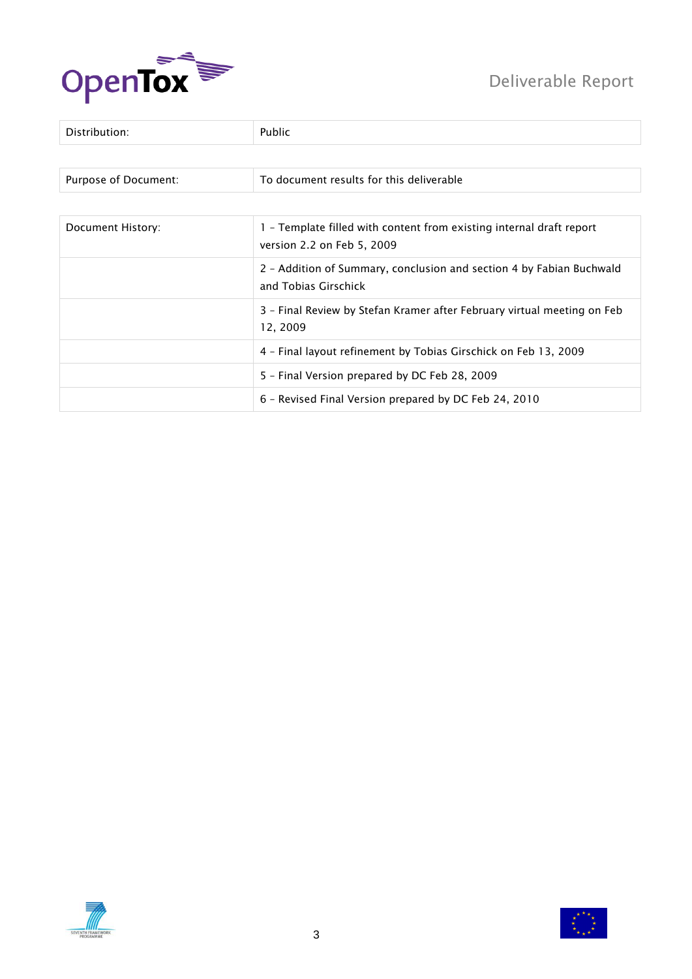

# Deliverable Report

| Distribution:        | Public                                                                                             |
|----------------------|----------------------------------------------------------------------------------------------------|
|                      |                                                                                                    |
| Purpose of Document: | To document results for this deliverable                                                           |
|                      |                                                                                                    |
| Document History:    | 1 - Template filled with content from existing internal draft report<br>version 2.2 on Feb 5, 2009 |
|                      | 2 - Addition of Summary, conclusion and section 4 by Fabian Buchwald<br>and Tobias Girschick       |
|                      | 3 - Final Review by Stefan Kramer after February virtual meeting on Feb<br>12, 2009                |
|                      | 4 - Final layout refinement by Tobias Girschick on Feb 13, 2009                                    |
|                      | 5 - Final Version prepared by DC Feb 28, 2009                                                      |
|                      | 6 - Revised Final Version prepared by DC Feb 24, 2010                                              |



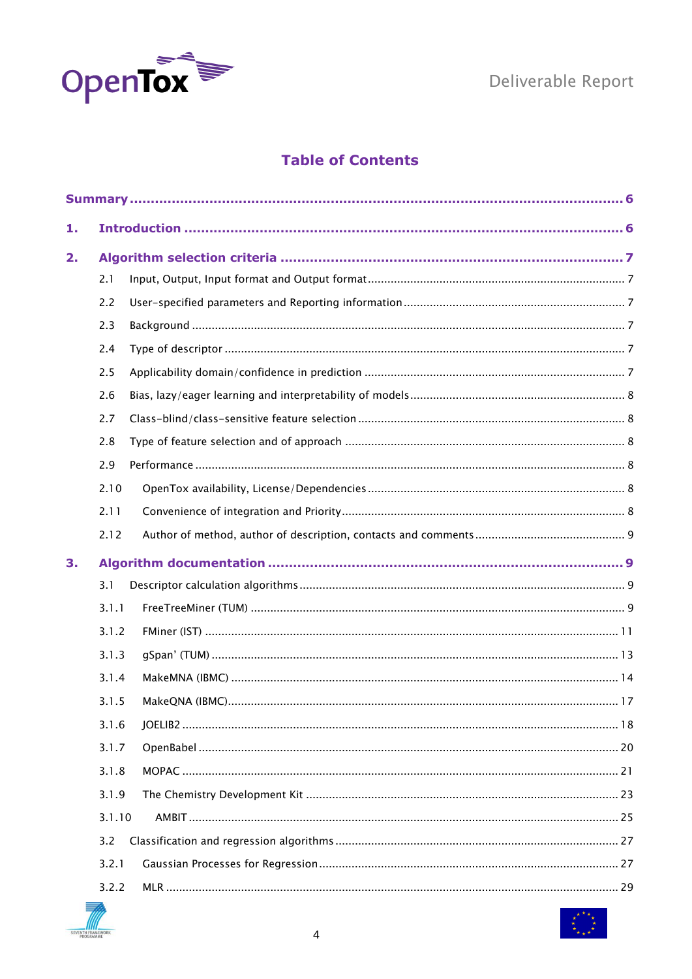

# **Table of Contents**

| 1. |        |  |
|----|--------|--|
| 2. |        |  |
|    | 2.1    |  |
|    | 2.2    |  |
|    | 2.3    |  |
|    | 2.4    |  |
|    | 2.5    |  |
|    | 2.6    |  |
|    | 2.7    |  |
|    | 2.8    |  |
|    | 2.9    |  |
|    | 2.10   |  |
|    | 2.11   |  |
|    | 2.12   |  |
| 3. |        |  |
|    | 3.1    |  |
|    | 3.1.1  |  |
|    | 3.1.2  |  |
|    | 3.1.3  |  |
|    | 3.1.4  |  |
|    | 3.1.5  |  |
|    | 3.1.6  |  |
|    | 3.1.7  |  |
|    | 3.1.8  |  |
|    | 3.1.9  |  |
|    | 3.1.10 |  |
|    | 3.2    |  |
|    | 3.2.1  |  |
|    | 3.2.2  |  |
|    |        |  |

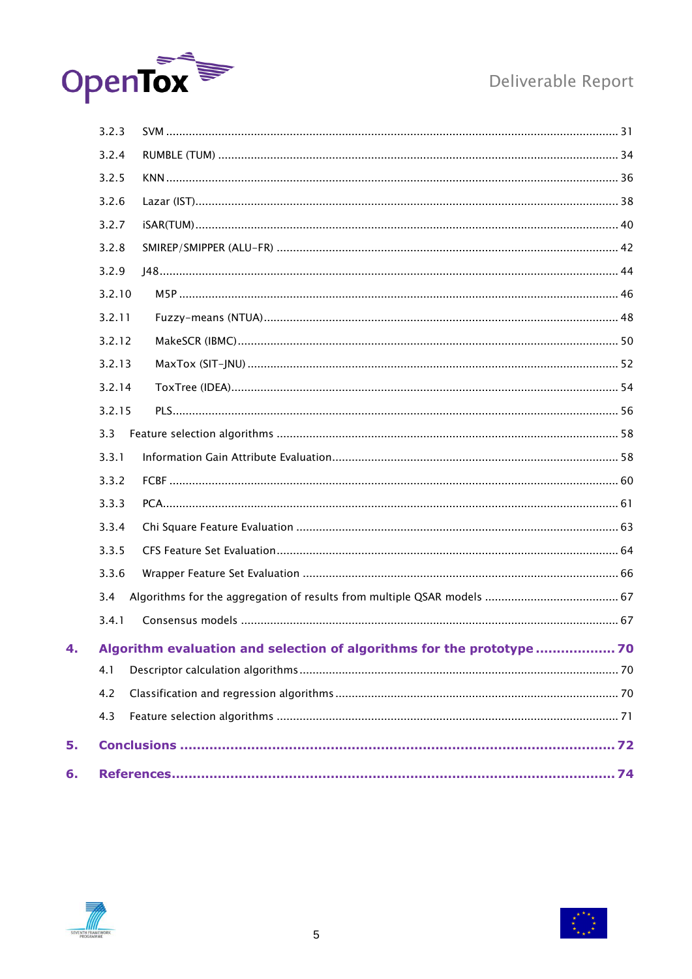

# Deliverable Report

| 3.2.3  |                                                                       |  |
|--------|-----------------------------------------------------------------------|--|
| 3.2.4  |                                                                       |  |
| 3.2.5  |                                                                       |  |
| 3.2.6  |                                                                       |  |
| 3.2.7  |                                                                       |  |
| 3.2.8  |                                                                       |  |
| 3.2.9  |                                                                       |  |
| 3.2.10 |                                                                       |  |
| 3.2.11 |                                                                       |  |
| 3.2.12 |                                                                       |  |
| 3.2.13 |                                                                       |  |
| 3.2.14 |                                                                       |  |
| 3.2.15 |                                                                       |  |
| 3.3    |                                                                       |  |
| 3.3.1  |                                                                       |  |
| 3.3.2  |                                                                       |  |
| 3.3.3  |                                                                       |  |
| 3.3.4  |                                                                       |  |
| 3.3.5  |                                                                       |  |
| 3.3.6  |                                                                       |  |
| 3.4    |                                                                       |  |
| 3.4.1  |                                                                       |  |
|        | Algorithm evaluation and selection of algorithms for the prototype 70 |  |
| 4.1    |                                                                       |  |
| 4.2    |                                                                       |  |
| 4.3    |                                                                       |  |
|        |                                                                       |  |
|        |                                                                       |  |
|        |                                                                       |  |



 $\overline{4}$ .

5.

 $6.$ 

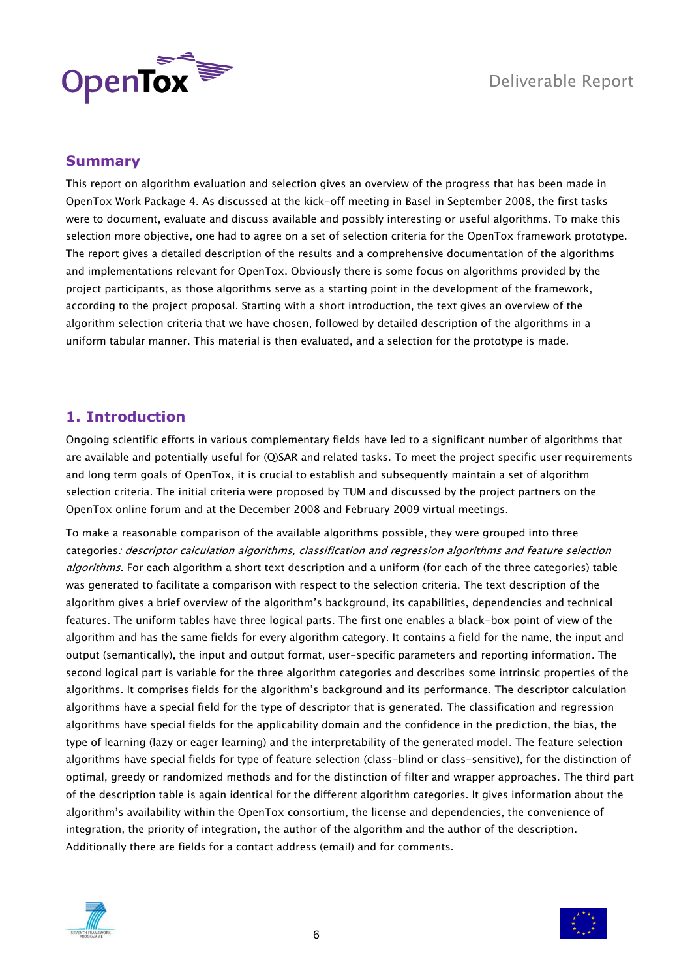

# <span id="page-5-0"></span>**Summary**

This report on algorithm evaluation and selection gives an overview of the progress that has been made in OpenTox Work Package 4. As discussed at the kick-off meeting in Basel in September 2008, the first tasks were to document, evaluate and discuss available and possibly interesting or useful algorithms. To make this selection more objective, one had to agree on a set of selection criteria for the OpenTox framework prototype. The report gives a detailed description of the results and a comprehensive documentation of the algorithms and implementations relevant for OpenTox. Obviously there is some focus on algorithms provided by the project participants, as those algorithms serve as a starting point in the development of the framework, according to the project proposal. Starting with a short introduction, the text gives an overview of the algorithm selection criteria that we have chosen, followed by detailed description of the algorithms in a uniform tabular manner. This material is then evaluated, and a selection for the prototype is made.

# <span id="page-5-1"></span>**1. Introduction**

Ongoing scientific efforts in various complementary fields have led to a significant number of algorithms that are available and potentially useful for (Q)SAR and related tasks. To meet the project specific user requirements and long term goals of OpenTox, it is crucial to establish and subsequently maintain a set of algorithm selection criteria. The initial criteria were proposed by TUM and discussed by the project partners on the OpenTox online forum and at the December 2008 and February 2009 virtual meetings.

To make a reasonable comparison of the available algorithms possible, they were grouped into three categories: descriptor calculation algorithms, classification and regression algorithms and feature selection algorithms. For each algorithm a short text description and a uniform (for each of the three categories) table was generated to facilitate a comparison with respect to the selection criteria. The text description of the algorithm gives a brief overview of the algorithm"s background, its capabilities, dependencies and technical features. The uniform tables have three logical parts. The first one enables a black-box point of view of the algorithm and has the same fields for every algorithm category. It contains a field for the name, the input and output (semantically), the input and output format, user-specific parameters and reporting information. The second logical part is variable for the three algorithm categories and describes some intrinsic properties of the algorithms. It comprises fields for the algorithm"s background and its performance. The descriptor calculation algorithms have a special field for the type of descriptor that is generated. The classification and regression algorithms have special fields for the applicability domain and the confidence in the prediction, the bias, the type of learning (lazy or eager learning) and the interpretability of the generated model. The feature selection algorithms have special fields for type of feature selection (class-blind or class-sensitive), for the distinction of optimal, greedy or randomized methods and for the distinction of filter and wrapper approaches. The third part of the description table is again identical for the different algorithm categories. It gives information about the algorithm"s availability within the OpenTox consortium, the license and dependencies, the convenience of integration, the priority of integration, the author of the algorithm and the author of the description. Additionally there are fields for a contact address (email) and for comments.



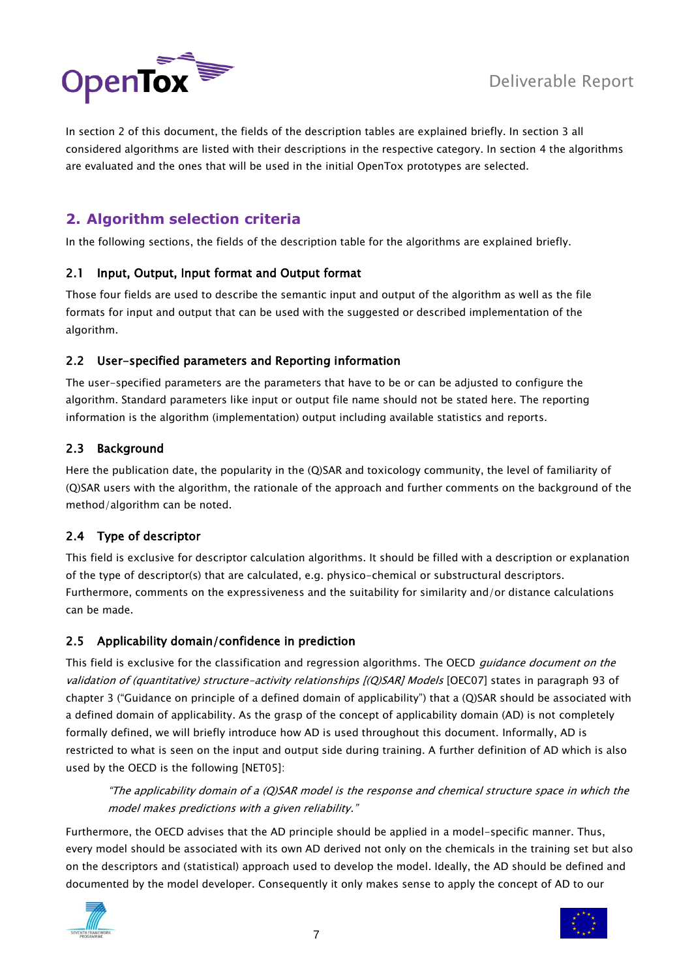

In section 2 of this document, the fields of the description tables are explained briefly. In section 3 all considered algorithms are listed with their descriptions in the respective category. In section 4 the algorithms are evaluated and the ones that will be used in the initial OpenTox prototypes are selected.

# <span id="page-6-0"></span>**2. Algorithm selection criteria**

In the following sections, the fields of the description table for the algorithms are explained briefly.

# <span id="page-6-1"></span>2.1 Input, Output, Input format and Output format

Those four fields are used to describe the semantic input and output of the algorithm as well as the file formats for input and output that can be used with the suggested or described implementation of the algorithm.

# <span id="page-6-2"></span>2.2 User-specified parameters and Reporting information

The user-specified parameters are the parameters that have to be or can be adjusted to configure the algorithm. Standard parameters like input or output file name should not be stated here. The reporting information is the algorithm (implementation) output including available statistics and reports.

# <span id="page-6-3"></span>2.3 Background

Here the publication date, the popularity in the (Q)SAR and toxicology community, the level of familiarity of (Q)SAR users with the algorithm, the rationale of the approach and further comments on the background of the method/algorithm can be noted.

# <span id="page-6-4"></span>2.4 Type of descriptor

This field is exclusive for descriptor calculation algorithms. It should be filled with a description or explanation of the type of descriptor(s) that are calculated, e.g. physico-chemical or substructural descriptors. Furthermore, comments on the expressiveness and the suitability for similarity and/or distance calculations can be made.

# <span id="page-6-5"></span>2.5 Applicability domain/confidence in prediction

This field is exclusive for the classification and regression algorithms. The OECD guidance document on the validation of (quantitative) structure-activity relationships [(Q)SAR] Models [OEC07] states in paragraph 93 of chapter 3 ("Guidance on principle of a defined domain of applicability") that a (Q)SAR should be associated with a defined domain of applicability. As the grasp of the concept of applicability domain (AD) is not completely formally defined, we will briefly introduce how AD is used throughout this document. Informally, AD is restricted to what is seen on the input and output side during training. A further definition of AD which is also used by the OECD is the following [NET05]:

"The applicability domain of a (Q)SAR model is the response and chemical structure space in which the model makes predictions with a given reliability."

Furthermore, the OECD advises that the AD principle should be applied in a model-specific manner. Thus, every model should be associated with its own AD derived not only on the chemicals in the training set but also on the descriptors and (statistical) approach used to develop the model. Ideally, the AD should be defined and documented by the model developer. Consequently it only makes sense to apply the concept of AD to our



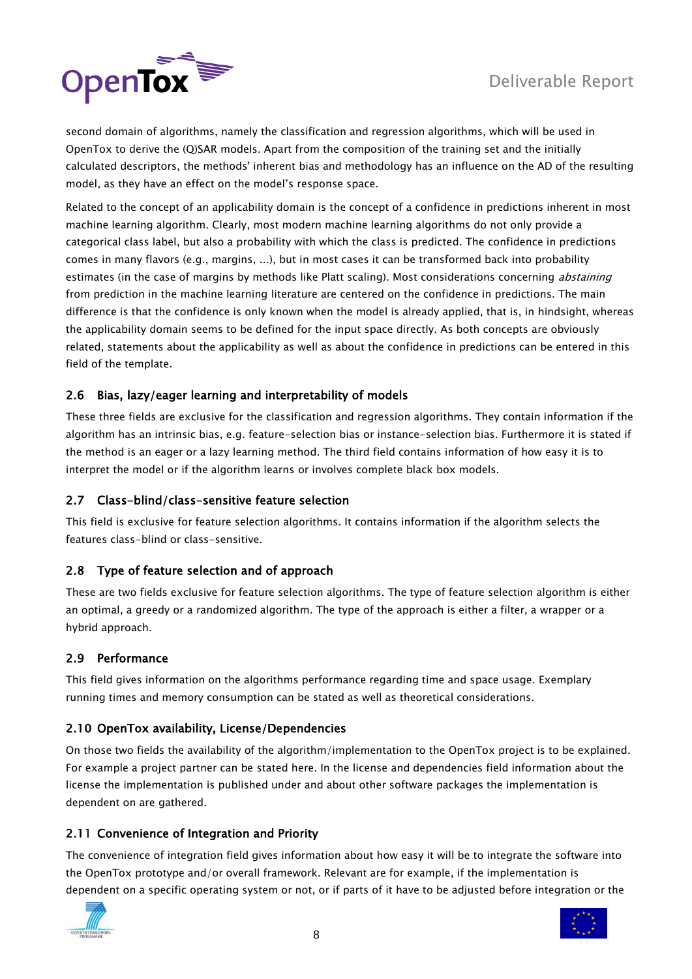

second domain of algorithms, namely the classification and regression algorithms, which will be used in OpenTox to derive the (Q)SAR models. Apart from the composition of the training set and the initially calculated descriptors, the methods' inherent bias and methodology has an influence on the AD of the resulting model, as they have an effect on the model"s response space.

Related to the concept of an applicability domain is the concept of a confidence in predictions inherent in most machine learning algorithm. Clearly, most modern machine learning algorithms do not only provide a categorical class label, but also a probability with which the class is predicted. The confidence in predictions comes in many flavors (e.g., margins, ...), but in most cases it can be transformed back into probability estimates (in the case of margins by methods like Platt scaling). Most considerations concerning *abstaining* from prediction in the machine learning literature are centered on the confidence in predictions. The main difference is that the confidence is only known when the model is already applied, that is, in hindsight, whereas the applicability domain seems to be defined for the input space directly. As both concepts are obviously related, statements about the applicability as well as about the confidence in predictions can be entered in this field of the template.

# <span id="page-7-0"></span>2.6 Bias, lazy/eager learning and interpretability of models

These three fields are exclusive for the classification and regression algorithms. They contain information if the algorithm has an intrinsic bias, e.g. feature-selection bias or instance-selection bias. Furthermore it is stated if the method is an eager or a lazy learning method. The third field contains information of how easy it is to interpret the model or if the algorithm learns or involves complete black box models.

# <span id="page-7-1"></span>2.7 Class-blind/class-sensitive feature selection

This field is exclusive for feature selection algorithms. It contains information if the algorithm selects the features class-blind or class-sensitive.

# <span id="page-7-2"></span>2.8 Type of feature selection and of approach

These are two fields exclusive for feature selection algorithms. The type of feature selection algorithm is either an optimal, a greedy or a randomized algorithm. The type of the approach is either a filter, a wrapper or a hybrid approach.

# <span id="page-7-3"></span>2.9 Performance

This field gives information on the algorithms performance regarding time and space usage. Exemplary running times and memory consumption can be stated as well as theoretical considerations.

# <span id="page-7-4"></span>2.10 OpenTox availability, License/Dependencies

On those two fields the availability of the algorithm/implementation to the OpenTox project is to be explained. For example a project partner can be stated here. In the license and dependencies field information about the license the implementation is published under and about other software packages the implementation is dependent on are gathered.

# <span id="page-7-5"></span>2.11 Convenience of Integration and Priority

The convenience of integration field gives information about how easy it will be to integrate the software into the OpenTox prototype and/or overall framework. Relevant are for example, if the implementation is dependent on a specific operating system or not, or if parts of it have to be adjusted before integration or the



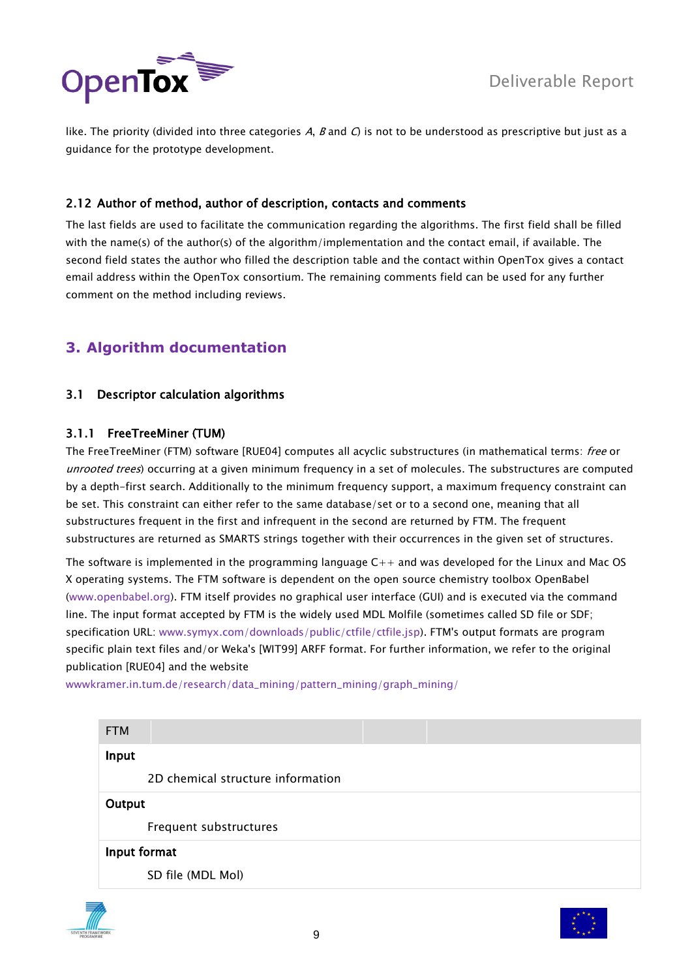

like. The priority (divided into three categories A, B and C) is not to be understood as prescriptive but just as a guidance for the prototype development.

# <span id="page-8-0"></span>2.12 Author of method, author of description, contacts and comments

The last fields are used to facilitate the communication regarding the algorithms. The first field shall be filled with the name(s) of the author(s) of the algorithm/implementation and the contact email, if available. The second field states the author who filled the description table and the contact within OpenTox gives a contact email address within the OpenTox consortium. The remaining comments field can be used for any further comment on the method including reviews.

# <span id="page-8-2"></span><span id="page-8-1"></span>**3. Algorithm documentation**

# 3.1 Descriptor calculation algorithms

# <span id="page-8-3"></span>3.1.1 FreeTreeMiner (TUM)

The FreeTreeMiner (FTM) software [RUE04] computes all acyclic substructures (in mathematical terms: free or unrooted trees) occurring at a given minimum frequency in a set of molecules. The substructures are computed by a depth-first search. Additionally to the minimum frequency support, a maximum frequency constraint can be set. This constraint can either refer to the same database/set or to a second one, meaning that all substructures frequent in the first and infrequent in the second are returned by FTM. The frequent substructures are returned as SMARTS strings together with their occurrences in the given set of structures.

The software is implemented in the programming language  $C_{++}$  and was developed for the Linux and Mac OS X operating systems. The FTM software is dependent on the open source chemistry toolbox OpenBabel [\(www.openbabel.org\)](http://www.openbabel.org/). FTM itself provides no graphical user interface (GUI) and is executed via the command line. The input format accepted by FTM is the widely used MDL Molfile (sometimes called SD file or SDF; specification URL: [www.symyx.com/downloads/public/ctfile/ctfile.jsp\)](http://www.symyx.com/downloads/public/ctfile/ctfile.jsp). FTM's output formats are program specific plain text files and/or Weka's [WIT99] ARFF format. For further information, we refer to the original publication [RUE04] and the website

[wwwkramer.in.tum.de/research/data\\_mining/pattern\\_mining/graph\\_mining/](http://wwwkramer.in.tum.de/research/data_mining/pattern_mining/graph_mining/)

| <b>FTM</b>                        |  |
|-----------------------------------|--|
| Input                             |  |
| 2D chemical structure information |  |
| Output                            |  |
| Frequent substructures            |  |
| Input format                      |  |
| SD file (MDL Mol)                 |  |



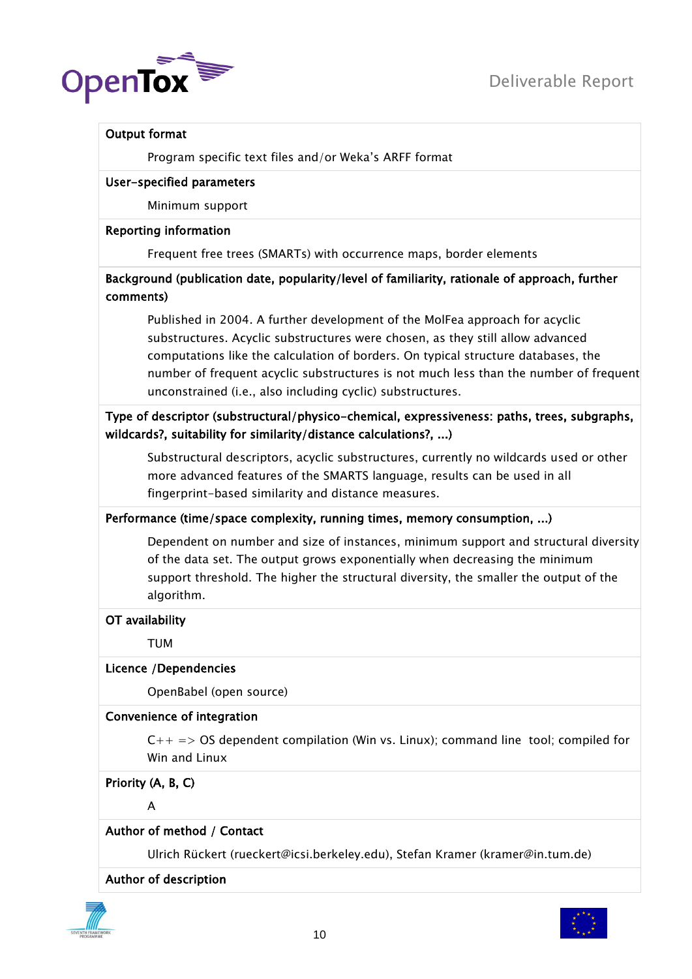

# Output format

Program specific text files and/or Weka"s ARFF format

#### User-specified parameters

Minimum support

#### Reporting information

Frequent free trees (SMARTs) with occurrence maps, border elements

# Background (publication date, popularity/level of familiarity, rationale of approach, further comments)

Published in 2004. A further development of the MolFea approach for acyclic substructures. Acyclic substructures were chosen, as they still allow advanced computations like the calculation of borders. On typical structure databases, the number of frequent acyclic substructures is not much less than the number of frequent unconstrained (i.e., also including cyclic) substructures.

# Type of descriptor (substructural/physico-chemical, expressiveness: paths, trees, subgraphs, wildcards?, suitability for similarity/distance calculations?, ...)

Substructural descriptors, acyclic substructures, currently no wildcards used or other more advanced features of the SMARTS language, results can be used in all fingerprint-based similarity and distance measures.

# Performance (time/space complexity, running times, memory consumption, ...)

Dependent on number and size of instances, minimum support and structural diversity of the data set. The output grows exponentially when decreasing the minimum support threshold. The higher the structural diversity, the smaller the output of the algorithm.

# OT availability

TUM

# Licence /Dependencies

OpenBabel (open source)

# Convenience of integration

 $C++ \implies OS$  dependent compilation (Win vs. Linux); command line tool; compiled for Win and Linux

# Priority (A, B, C)

A

# Author of method / Contact

Ulrich Rückert [\(rueckert@icsi.berkeley.edu\)](mailto:rueckert@icsi.berkeley.edu), Stefan Kramer (kramer@in.tum.de)

# Author of description



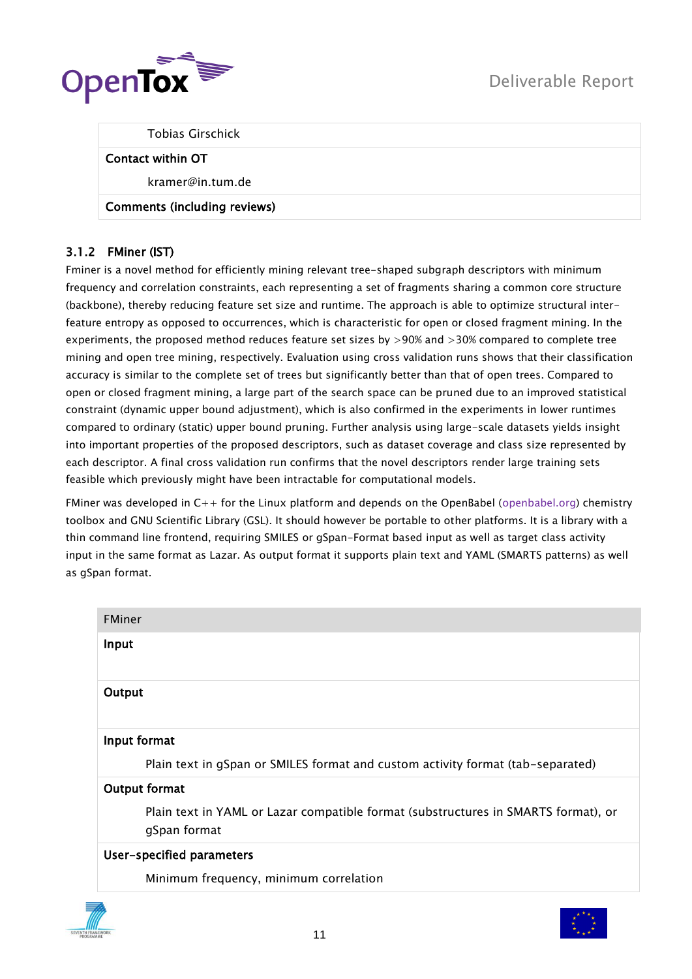

Tobias Girschick

#### Contact within OT

kramer@in.tum.de

# Comments (including reviews)

# <span id="page-10-0"></span>3.1.2 FMiner (IST)

Fminer is a novel method for efficiently mining relevant tree-shaped subgraph descriptors with minimum frequency and correlation constraints, each representing a set of fragments sharing a common core structure (backbone), thereby reducing feature set size and runtime. The approach is able to optimize structural interfeature entropy as opposed to occurrences, which is characteristic for open or closed fragment mining. In the experiments, the proposed method reduces feature set sizes by >90% and >30% compared to complete tree mining and open tree mining, respectively. Evaluation using cross validation runs shows that their classification accuracy is similar to the complete set of trees but significantly better than that of open trees. Compared to open or closed fragment mining, a large part of the search space can be pruned due to an improved statistical constraint (dynamic upper bound adjustment), which is also confirmed in the experiments in lower runtimes compared to ordinary (static) upper bound pruning. Further analysis using large-scale datasets yields insight into important properties of the proposed descriptors, such as dataset coverage and class size represented by each descriptor. A final cross validation run confirms that the novel descriptors render large training sets feasible which previously might have been intractable for computational models.

FMiner was developed in  $C_{++}$  for the Linux platform and depends on the OpenBabel [\(openbabel.org\)](http://openbabel.org/) chemistry toolbox and GNU Scientific Library (GSL). It should however be portable to other platforms. It is a library with a thin command line frontend, requiring SMILES or gSpan-Format based input as well as target class activity input in the same format as Lazar. As output format it supports plain text and YAML (SMARTS patterns) as well as gSpan format.

| <b>FMiner</b>                                                                                      |
|----------------------------------------------------------------------------------------------------|
| Input                                                                                              |
| Output                                                                                             |
| Input format                                                                                       |
| Plain text in gSpan or SMILES format and custom activity format (tab-separated)                    |
| Output format                                                                                      |
| Plain text in YAML or Lazar compatible format (substructures in SMARTS format), or<br>gSpan format |
| User-specified parameters                                                                          |
| Minimum frequency, minimum correlation                                                             |



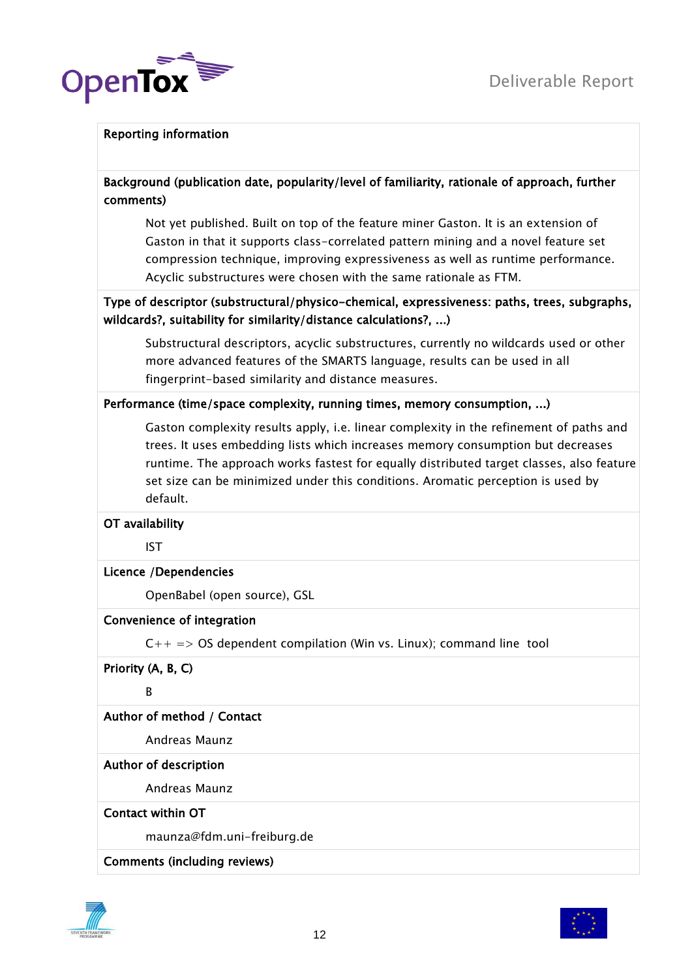

# Reporting information

Background (publication date, popularity/level of familiarity, rationale of approach, further comments)

Not yet published. Built on top of the feature miner Gaston. It is an extension of Gaston in that it supports class-correlated pattern mining and a novel feature set compression technique, improving expressiveness as well as runtime performance. Acyclic substructures were chosen with the same rationale as FTM.

# Type of descriptor (substructural/physico-chemical, expressiveness: paths, trees, subgraphs, wildcards?, suitability for similarity/distance calculations?, ...)

Substructural descriptors, acyclic substructures, currently no wildcards used or other more advanced features of the SMARTS language, results can be used in all fingerprint-based similarity and distance measures.

# Performance (time/space complexity, running times, memory consumption, ...)

Gaston complexity results apply, i.e. linear complexity in the refinement of paths and trees. It uses embedding lists which increases memory consumption but decreases runtime. The approach works fastest for equally distributed target classes, also feature set size can be minimized under this conditions. Aromatic perception is used by default.

# OT availability

IST

# Licence /Dependencies

OpenBabel (open source), GSL

# Convenience of integration

 $C_{++}$  => OS dependent compilation (Win vs. Linux); command line tool

Priority (A, B, C)

B

# Author of method / Contact

Andreas Maunz

# Author of description

Andreas Maunz

#### Contact within OT

maunza@fdm.uni-freiburg.de

# Comments (including reviews)



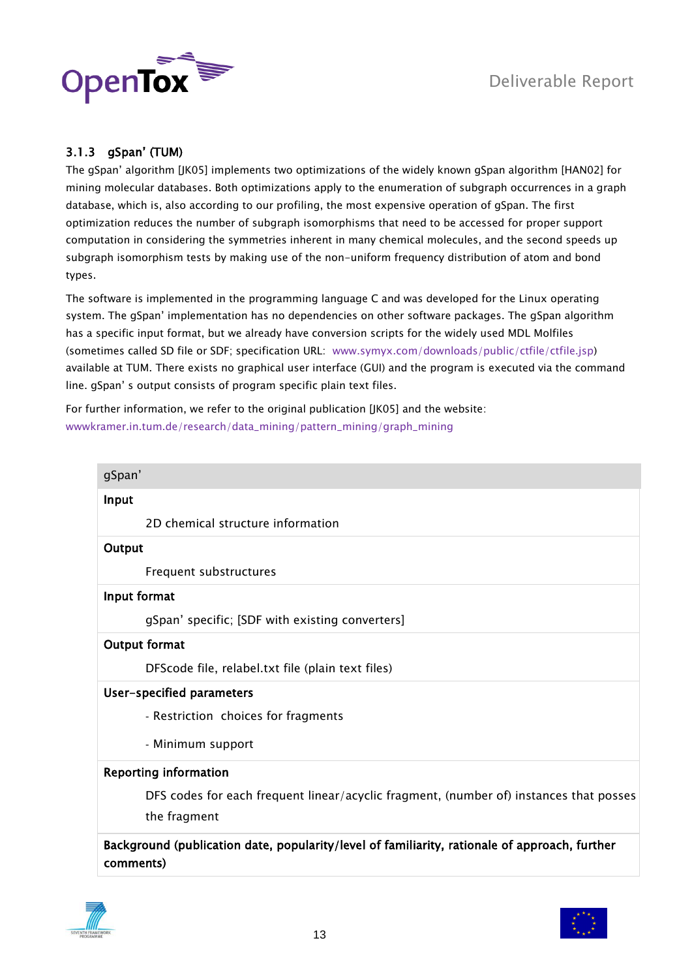

# <span id="page-12-0"></span>3.1.3 gSpan" (TUM)

The gSpan" algorithm [JK05] implements two optimizations of the widely known gSpan algorithm [HAN02] for mining molecular databases. Both optimizations apply to the enumeration of subgraph occurrences in a graph database, which is, also according to our profiling, the most expensive operation of gSpan. The first optimization reduces the number of subgraph isomorphisms that need to be accessed for proper support computation in considering the symmetries inherent in many chemical molecules, and the second speeds up subgraph isomorphism tests by making use of the non-uniform frequency distribution of atom and bond types.

The software is implemented in the programming language C and was developed for the Linux operating system. The gSpan" implementation has no dependencies on other software packages. The gSpan algorithm has a specific input format, but we already have conversion scripts for the widely used MDL Molfiles (sometimes called SD file or SDF; specification URL: [www.symyx.com/downloads/public/ctfile/ctfile.jsp\)](http://www.symyx.com/downloads/public/ctfile/ctfile.jsp) available at TUM. There exists no graphical user interface (GUI) and the program is executed via the command line. gSpan" s output consists of program specific plain text files.

For further information, we refer to the original publication [JK05] and the website: [wwwkramer.in.tum.de/research/data\\_mining/pattern\\_mining/graph\\_mining](http://wwwkramer.in.tum.de/research/data_mining/pattern_mining/graph_mining)

| gSpan'                                                                                                     |
|------------------------------------------------------------------------------------------------------------|
| Input                                                                                                      |
| 2D chemical structure information                                                                          |
| Output                                                                                                     |
| Frequent substructures                                                                                     |
| Input format                                                                                               |
| gSpan' specific; [SDF with existing converters]                                                            |
| <b>Output format</b>                                                                                       |
| DFScode file, relabel.txt file (plain text files)                                                          |
| User-specified parameters                                                                                  |
| - Restriction choices for fragments                                                                        |
| - Minimum support                                                                                          |
| <b>Reporting information</b>                                                                               |
| DFS codes for each frequent linear/acyclic fragment, (number of) instances that posses                     |
| the fragment                                                                                               |
| Background (publication date, popularity/level of familiarity, rationale of approach, further<br>comments) |
|                                                                                                            |



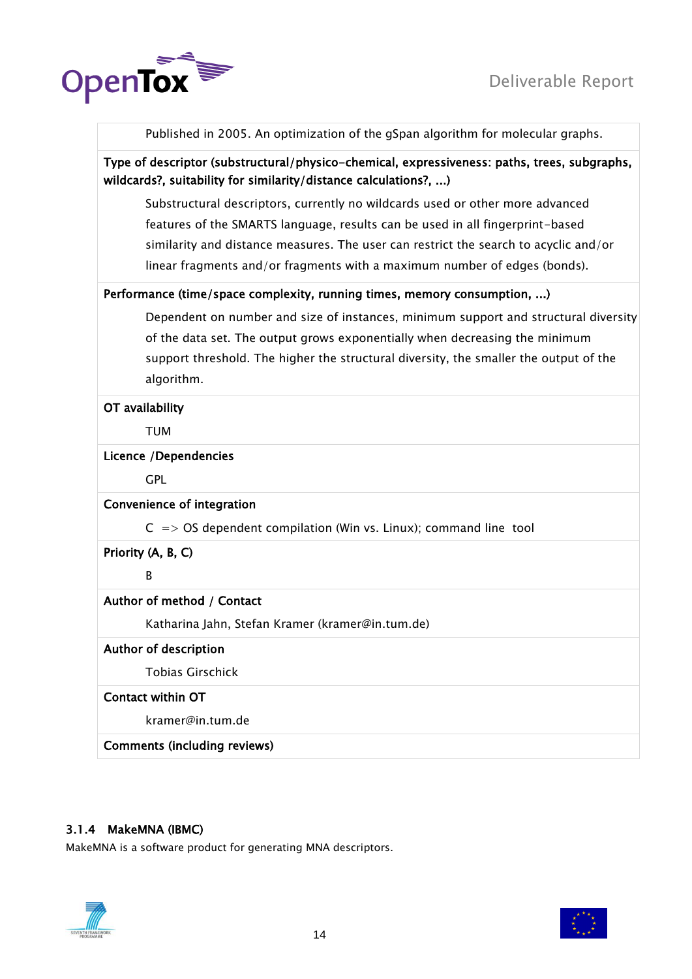

Published in 2005. An optimization of the gSpan algorithm for molecular graphs.

# Type of descriptor (substructural/physico-chemical, expressiveness: paths, trees, subgraphs, wildcards?, suitability for similarity/distance calculations?, ...)

Substructural descriptors, currently no wildcards used or other more advanced features of the SMARTS language, results can be used in all fingerprint-based similarity and distance measures. The user can restrict the search to acyclic and/or linear fragments and/or fragments with a maximum number of edges (bonds).

# Performance (time/space complexity, running times, memory consumption, ...)

Dependent on number and size of instances, minimum support and structural diversity of the data set. The output grows exponentially when decreasing the minimum support threshold. The higher the structural diversity, the smaller the output of the algorithm.

#### OT availability

TUM

# Licence /Dependencies

GPL

# Convenience of integration

 $C \Rightarrow OS$  dependent compilation (Win vs. Linux); command line tool

Priority (A, B, C)

B

# Author of method / Contact

Katharina Jahn, Stefan Kramer (kramer@in.tum.de)

#### Author of description

Tobias Girschick

# Contact within OT

kramer@in.tum.de

Comments (including reviews)

# <span id="page-13-0"></span>3.1.4 MakeMNA (IBMC)

MakeMNA is a software product for generating MNA descriptors.



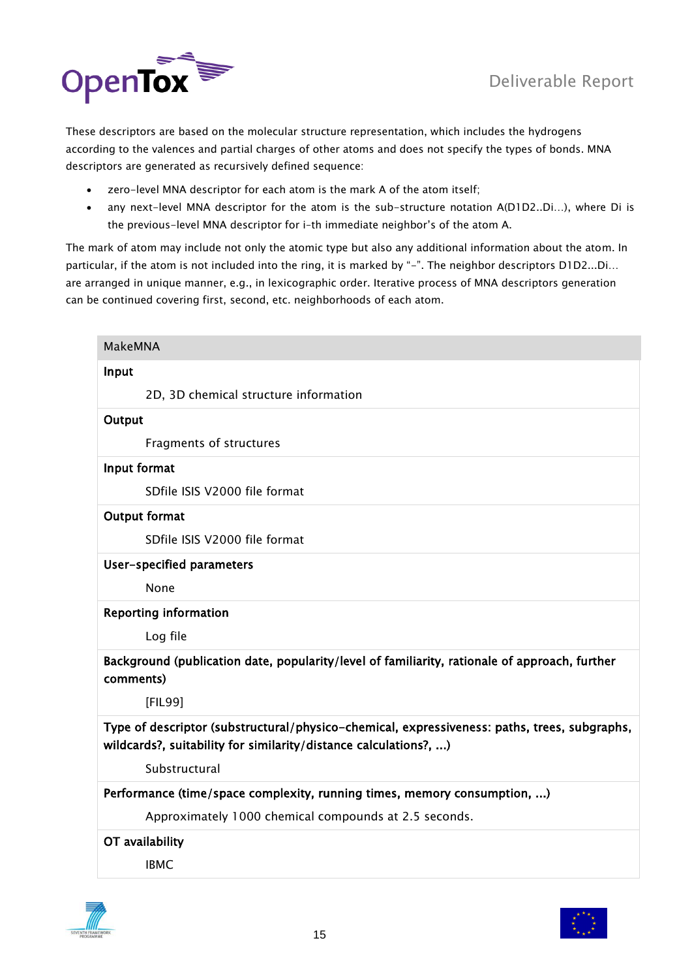

These descriptors are based on the molecular structure representation, which includes the hydrogens according to the valences and partial charges of other atoms and does not specify the types of bonds. MNA descriptors are generated as recursively defined sequence:

- zero-level MNA descriptor for each atom is the mark A of the atom itself;
- any next-level MNA descriptor for the atom is the sub-structure notation A(D1D2..Di…), where Di is the previous-level MNA descriptor for i–th immediate neighbor"s of the atom A.

The mark of atom may include not only the atomic type but also any additional information about the atom. In particular, if the atom is not included into the ring, it is marked by "-". The neighbor descriptors D1D2...Di... are arranged in unique manner, e.g., in lexicographic order. Iterative process of MNA descriptors generation can be continued covering first, second, etc. neighborhoods of each atom.

| <b>MakeMNA</b> |                                                                                                                                                                  |
|----------------|------------------------------------------------------------------------------------------------------------------------------------------------------------------|
| Input          |                                                                                                                                                                  |
|                | 2D, 3D chemical structure information                                                                                                                            |
| Output         |                                                                                                                                                                  |
|                | Fragments of structures                                                                                                                                          |
| Input format   |                                                                                                                                                                  |
|                | SDfile ISIS V2000 file format                                                                                                                                    |
|                | <b>Output format</b>                                                                                                                                             |
|                | SDfile ISIS V2000 file format                                                                                                                                    |
|                | User-specified parameters                                                                                                                                        |
|                | None                                                                                                                                                             |
|                | <b>Reporting information</b>                                                                                                                                     |
|                | Log file                                                                                                                                                         |
| comments)      | Background (publication date, popularity/level of familiarity, rationale of approach, further                                                                    |
|                | [FIL99]                                                                                                                                                          |
|                | Type of descriptor (substructural/physico-chemical, expressiveness: paths, trees, subgraphs,<br>wildcards?, suitability for similarity/distance calculations?, ) |
|                | Substructural                                                                                                                                                    |
|                | Performance (time/space complexity, running times, memory consumption, )                                                                                         |
|                | Approximately 1000 chemical compounds at 2.5 seconds.                                                                                                            |
|                | OT availability                                                                                                                                                  |
|                | <b>IBMC</b>                                                                                                                                                      |



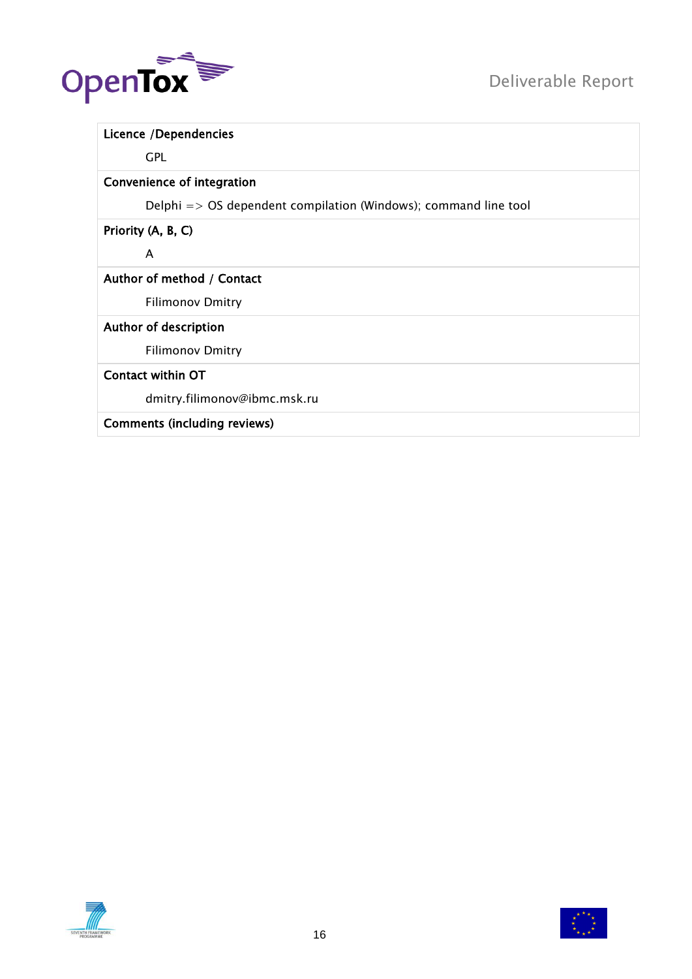

| Licence /Dependencies                                                      |
|----------------------------------------------------------------------------|
| <b>GPL</b>                                                                 |
| Convenience of integration                                                 |
| Delphi $\Rightarrow$ OS dependent compilation (Windows); command line tool |
| Priority (A, B, C)                                                         |
| A                                                                          |
| Author of method / Contact                                                 |
| <b>Filimonov Dmitry</b>                                                    |
| Author of description                                                      |
| <b>Filimonov Dmitry</b>                                                    |
| Contact within OT                                                          |
| dmitry.filimonov@ibmc.msk.ru                                               |
| <b>Comments (including reviews)</b>                                        |



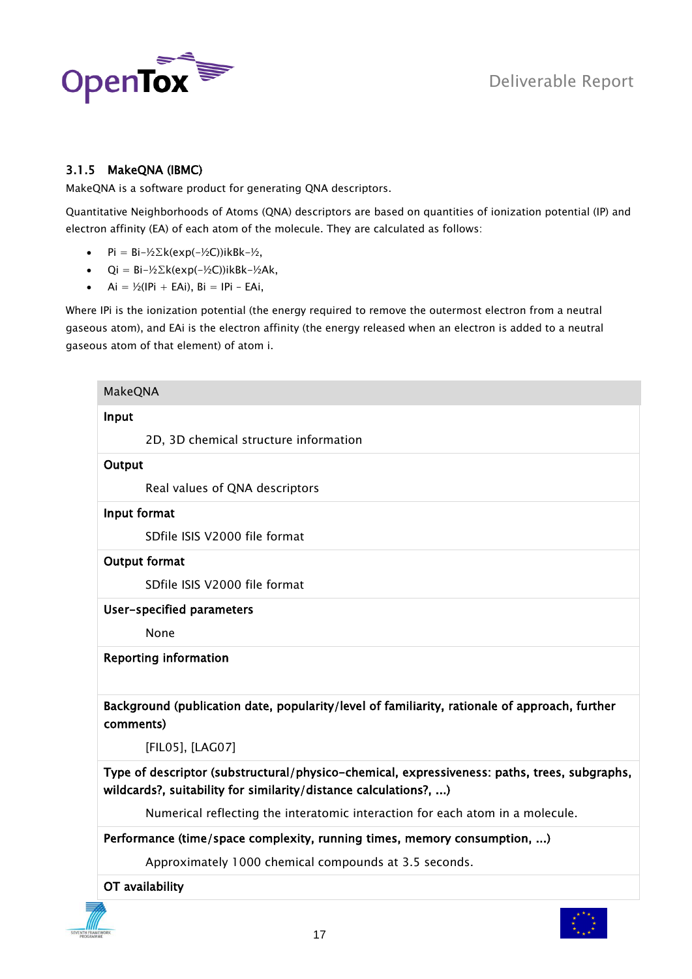

# <span id="page-16-0"></span>3.1.5 MakeQNA (IBMC)

MakeQNA is a software product for generating QNA descriptors.

Quantitative Neighborhoods of Atoms (QNA) descriptors are based on quantities of ionization potential (IP) and electron affinity (EA) of each atom of the molecule. They are calculated as follows:

- Pi =  $Bi-\frac{1}{2}\Sigma k(exp(-\frac{1}{2}C))ikBk-\frac{1}{2},$
- $\bullet$  Qi = Bi-½∑k(exp(-½C))ikBk-½Ak,
- $\bullet$  Ai = ½(IPi + EAi), Bi = IPi EAi,

Where IPi is the ionization potential (the energy required to remove the outermost electron from a neutral gaseous atom), and EAi is the electron affinity (the energy released when an electron is added to a neutral gaseous atom of that element) of atom i.

| <b>MakeQNA</b>                                                                                                                                                   |
|------------------------------------------------------------------------------------------------------------------------------------------------------------------|
| Input                                                                                                                                                            |
| 2D, 3D chemical structure information                                                                                                                            |
| Output                                                                                                                                                           |
| Real values of QNA descriptors                                                                                                                                   |
| Input format                                                                                                                                                     |
| SDfile ISIS V2000 file format                                                                                                                                    |
| <b>Output format</b>                                                                                                                                             |
| SDfile ISIS V2000 file format                                                                                                                                    |
| User-specified parameters                                                                                                                                        |
| None                                                                                                                                                             |
| <b>Reporting information</b>                                                                                                                                     |
| Background (publication date, popularity/level of familiarity, rationale of approach, further<br>comments)                                                       |
| [FIL05], [LAG07]                                                                                                                                                 |
| Type of descriptor (substructural/physico-chemical, expressiveness: paths, trees, subgraphs,<br>wildcards?, suitability for similarity/distance calculations?, ) |
| Numerical reflecting the interatomic interaction for each atom in a molecule.                                                                                    |
| Performance (time/space complexity, running times, memory consumption, )                                                                                         |
| Approximately 1000 chemical compounds at 3.5 seconds.                                                                                                            |
| OT availability                                                                                                                                                  |

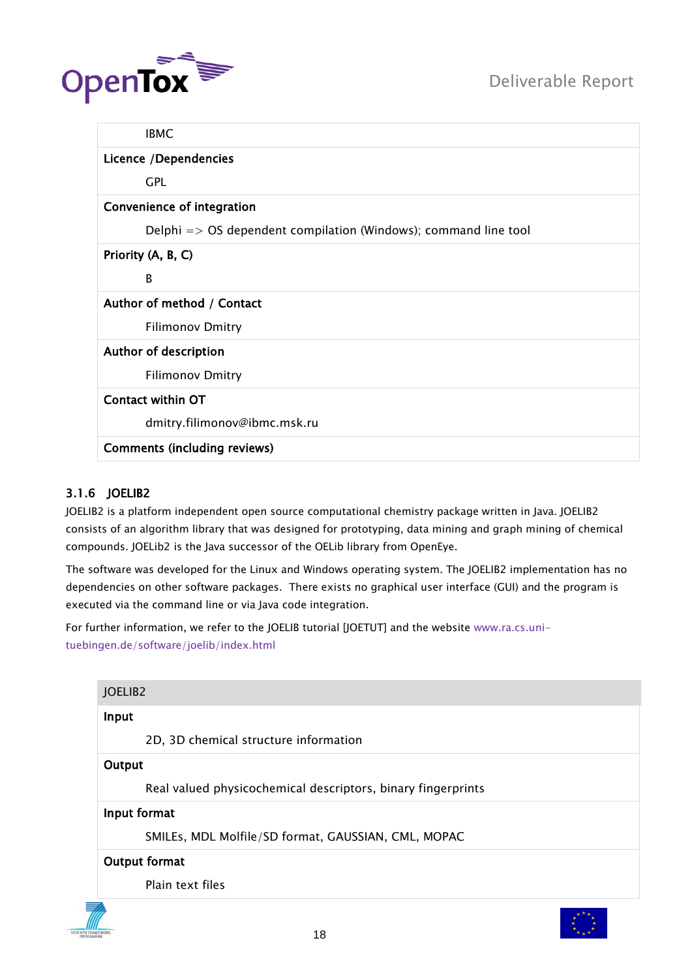

| <b>IBMC</b>                                                                |
|----------------------------------------------------------------------------|
| Licence /Dependencies                                                      |
| <b>GPL</b>                                                                 |
| Convenience of integration                                                 |
| Delphi $\Rightarrow$ OS dependent compilation (Windows); command line tool |
| Priority (A, B, C)                                                         |
| B                                                                          |
| Author of method / Contact                                                 |
| <b>Filimonov Dmitry</b>                                                    |
| Author of description                                                      |
| <b>Filimonov Dmitry</b>                                                    |
| Contact within OT                                                          |
| dmitry.filimonov@ibmc.msk.ru                                               |
| <b>Comments (including reviews)</b>                                        |

# <span id="page-17-0"></span>3.1.6 JOELIB2

JOELIB2 is a platform independent open source computational chemistry package written in Java. JOELIB2 consists of an algorithm library that was designed for prototyping, data mining and graph mining of chemical compounds. JOELib2 is the Java successor of the OELib library from OpenEye.

The software was developed for the Linux and Windows operating system. The JOELIB2 implementation has no dependencies on other software packages. There exists no graphical user interface (GUI) and the program is executed via the command line or via Java code integration.

For further information, we refer to the JOELIB tutorial [JOETUT] and the website [www.ra.cs.uni](http://www.ra.cs.uni-tuebingen.de/software/joelib/index.html)[tuebingen.de/software/joelib/index.html](http://www.ra.cs.uni-tuebingen.de/software/joelib/index.html)

| JOELIB <sub>2</sub> |                                                              |  |
|---------------------|--------------------------------------------------------------|--|
| Input               |                                                              |  |
|                     | 2D, 3D chemical structure information                        |  |
| Output              |                                                              |  |
|                     | Real valued physicochemical descriptors, binary fingerprints |  |
|                     | Input format                                                 |  |
|                     | SMILEs, MDL Molfile/SD format, GAUSSIAN, CML, MOPAC          |  |
|                     | Output format                                                |  |
|                     | Plain text files                                             |  |
|                     |                                                              |  |
|                     | 18                                                           |  |

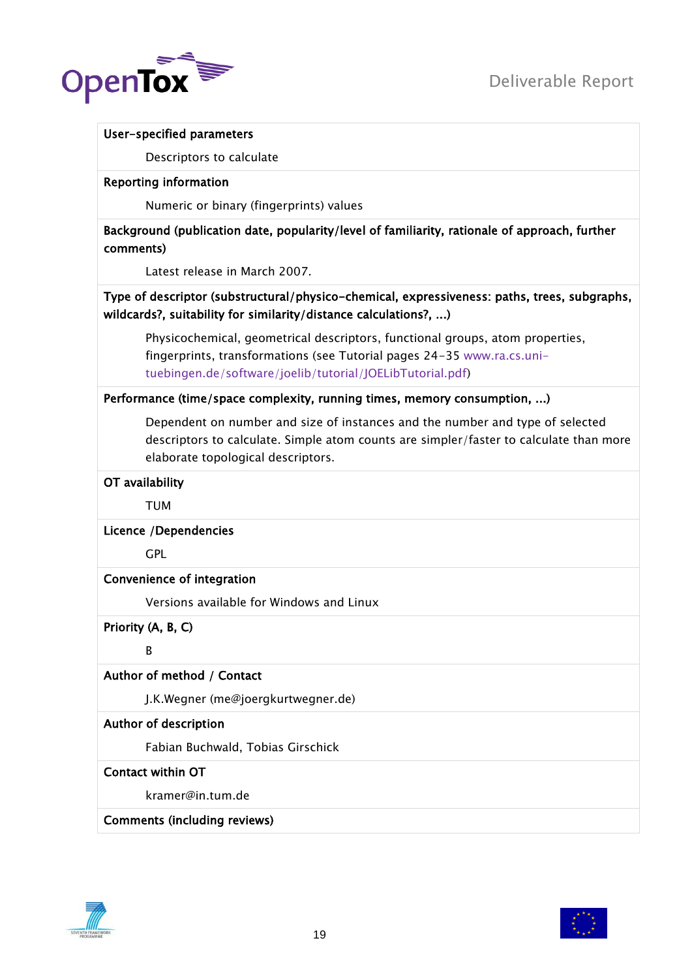

#### User-specified parameters

Descriptors to calculate

#### Reporting information

Numeric or binary (fingerprints) values

# Background (publication date, popularity/level of familiarity, rationale of approach, further comments)

Latest release in March 2007.

# Type of descriptor (substructural/physico-chemical, expressiveness: paths, trees, subgraphs, wildcards?, suitability for similarity/distance calculations?, ...)

Physicochemical, geometrical descriptors, functional groups, atom properties, fingerprints, transformations (see Tutorial pages 24-35 [www.ra.cs.uni](http://www.ra.cs.uni-tuebingen.de/software/joelib/tutorial/JOELibTutorial.pdf)[tuebingen.de/software/joelib/tutorial/JOELibTutorial.pdf\)](http://www.ra.cs.uni-tuebingen.de/software/joelib/tutorial/JOELibTutorial.pdf)

# Performance (time/space complexity, running times, memory consumption, ...)

Dependent on number and size of instances and the number and type of selected descriptors to calculate. Simple atom counts are simpler/faster to calculate than more elaborate topological descriptors.

#### OT availability

TUM

# Licence /Dependencies

**GPL** 

# Convenience of integration

Versions available for Windows and Linux

Priority (A, B, C)

B

# Author of method / Contact

J.K.Wegner (me@joergkurtwegner.de)

# Author of description

Fabian Buchwald, Tobias Girschick

# Contact within OT

kramer@in.tum.de

# Comments (including reviews)



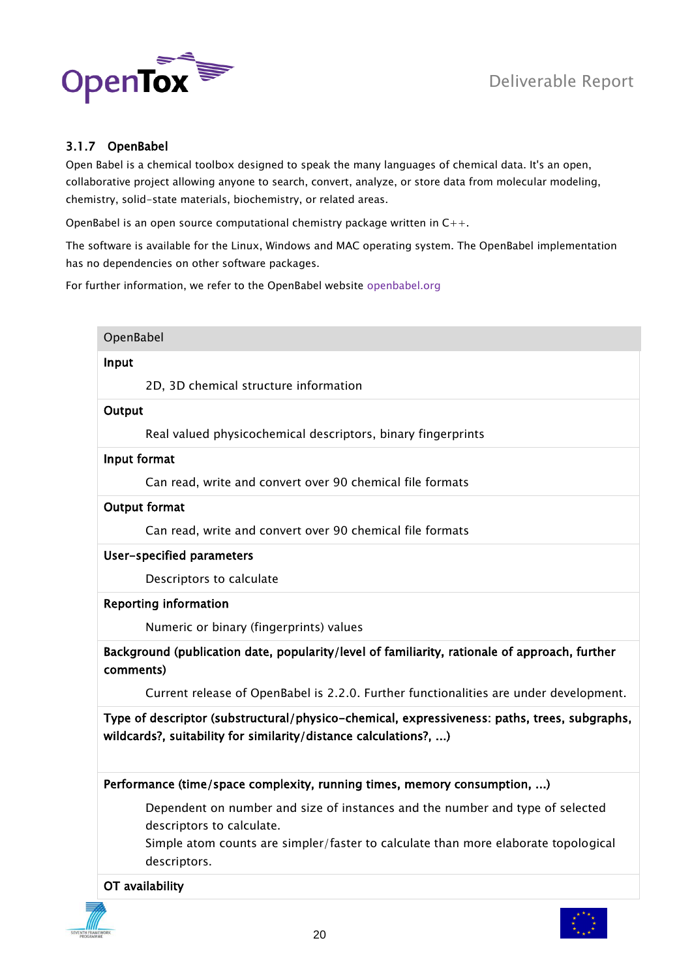



# <span id="page-19-0"></span>3.1.7 OpenBabel

Open Babel is a chemical toolbox designed to speak the many languages of chemical data. It's an open, collaborative project allowing anyone to search, convert, analyze, or store data from molecular modeling, chemistry, solid-state materials, biochemistry, or related areas.

OpenBabel is an open source computational chemistry package written in C++.

The software is available for the Linux, Windows and MAC operating system. The OpenBabel implementation has no dependencies on other software packages.

For further information, we refer to the OpenBabel website [openbabel.org](http://openbabel.org/)

| OpenBabel            |                                                                                                                                                                  |
|----------------------|------------------------------------------------------------------------------------------------------------------------------------------------------------------|
| Input                |                                                                                                                                                                  |
|                      | 2D, 3D chemical structure information                                                                                                                            |
| Output               |                                                                                                                                                                  |
|                      | Real valued physicochemical descriptors, binary fingerprints                                                                                                     |
| Input format         |                                                                                                                                                                  |
|                      | Can read, write and convert over 90 chemical file formats                                                                                                        |
| <b>Output format</b> |                                                                                                                                                                  |
|                      | Can read, write and convert over 90 chemical file formats                                                                                                        |
|                      | User-specified parameters                                                                                                                                        |
|                      | Descriptors to calculate                                                                                                                                         |
|                      | <b>Reporting information</b>                                                                                                                                     |
|                      | Numeric or binary (fingerprints) values                                                                                                                          |
| comments)            | Background (publication date, popularity/level of familiarity, rationale of approach, further                                                                    |
|                      | Current release of OpenBabel is 2.2.0. Further functionalities are under development.                                                                            |
|                      | Type of descriptor (substructural/physico-chemical, expressiveness: paths, trees, subgraphs,<br>wildcards?, suitability for similarity/distance calculations?, ) |
|                      | Performance (time/space complexity, running times, memory consumption, )                                                                                         |
|                      | Dependent on number and size of instances and the number and type of selected<br>descriptors to calculate.                                                       |
|                      | Simple atom counts are simpler/faster to calculate than more elaborate topological<br>descriptors.                                                               |
| OT availability      |                                                                                                                                                                  |

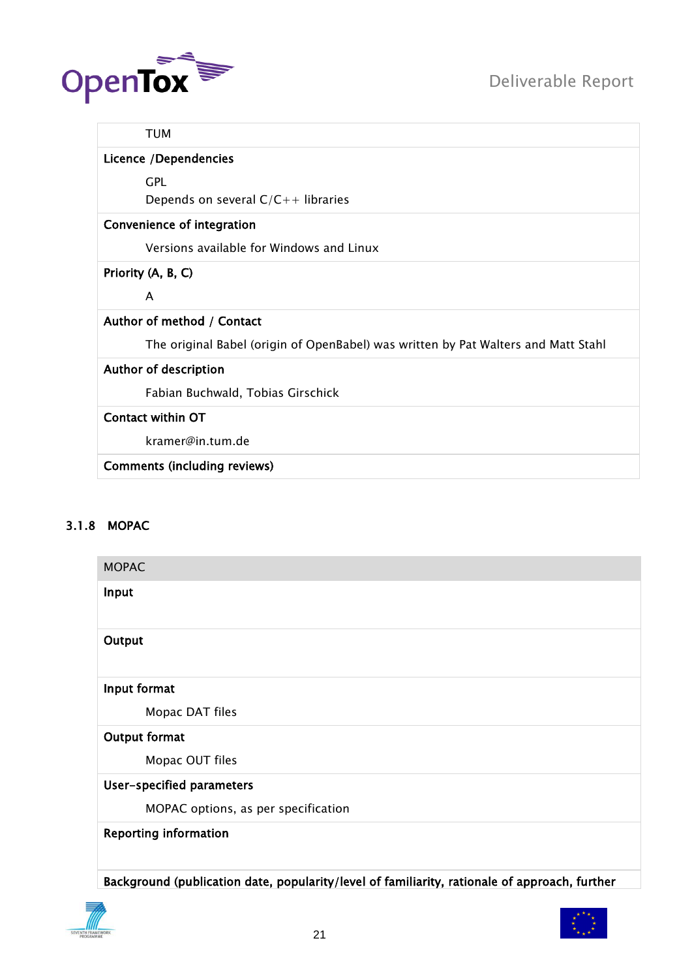



#### TUM

# Licence /Dependencies

GPL

Depends on several  $C/C++$  libraries

#### Convenience of integration

Versions available for Windows and Linux

# Priority (A, B, C)

A

# Author of method / Contact

The original Babel (origin of OpenBabel) was written by Pat Walters and Matt Stahl

# Author of description

Fabian Buchwald, Tobias Girschick

# Contact within OT

kramer@in.tum.de

Comments (including reviews)

# <span id="page-20-0"></span>3.1.8 MOPAC

| <b>MOPAC</b>                        |
|-------------------------------------|
| Input                               |
| Output                              |
| Input format                        |
| Mopac DAT files                     |
| Output format                       |
| Mopac OUT files                     |
| User-specified parameters           |
| MOPAC options, as per specification |
| <b>Reporting information</b>        |

Background (publication date, popularity/level of familiarity, rationale of approach, further

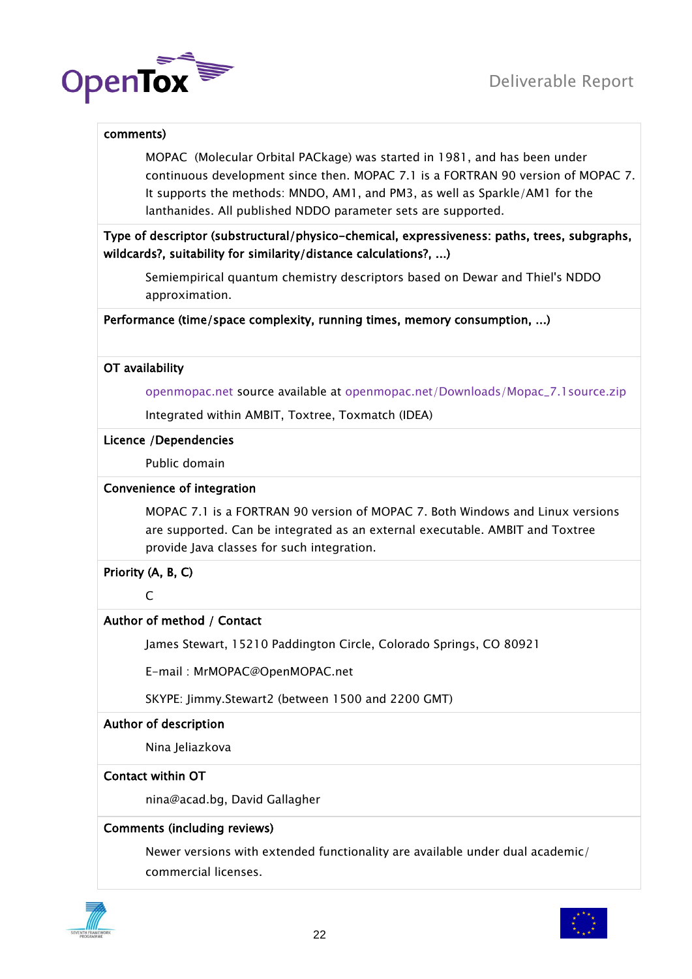

#### comments)

MOPAC (Molecular Orbital PACkage) was started in 1981, and has been under continuous development since then. MOPAC 7.1 is a FORTRAN 90 version of MOPAC 7. It supports the methods: MNDO, AM1, and PM3, as well as Sparkle/AM1 for the lanthanides. All published NDDO parameter sets are supported.

Type of descriptor (substructural/physico-chemical, expressiveness: paths, trees, subgraphs, wildcards?, suitability for similarity/distance calculations?, ...)

Semiempirical quantum chemistry descriptors based on Dewar and Thiel's NDDO approximation.

Performance (time/space complexity, running times, memory consumption, ...)

#### OT availability

[openmopac.net](http://openmopac.net/) source available at [openmopac.net/Downloads/Mopac\\_7.1source.zip](http://openmopac.net/Downloads/Mopac_7.1source.zip)

Integrated within AMBIT, Toxtree, Toxmatch (IDEA)

#### Licence /Dependencies

Public domain

#### Convenience of integration

MOPAC 7.1 is a FORTRAN 90 version of MOPAC 7. Both Windows and Linux versions are supported. Can be integrated as an external executable. AMBIT and Toxtree provide Java classes for such integration.

# Priority (A, B, C)

 $\Gamma$ 

# Author of method / Contact

James Stewart, 15210 Paddington Circle, Colorado Springs, CO 80921

E-mail : MrMOPAC@OpenMOPAC.net

SKYPE: Jimmy.Stewart2 (between 1500 and 2200 GMT)

# Author of description

Nina Jeliazkova

# Contact within OT

nina@acad.bg, David Gallagher

#### Comments (including reviews)

Newer versions with extended functionality are available under dual academic/ commercial licenses.



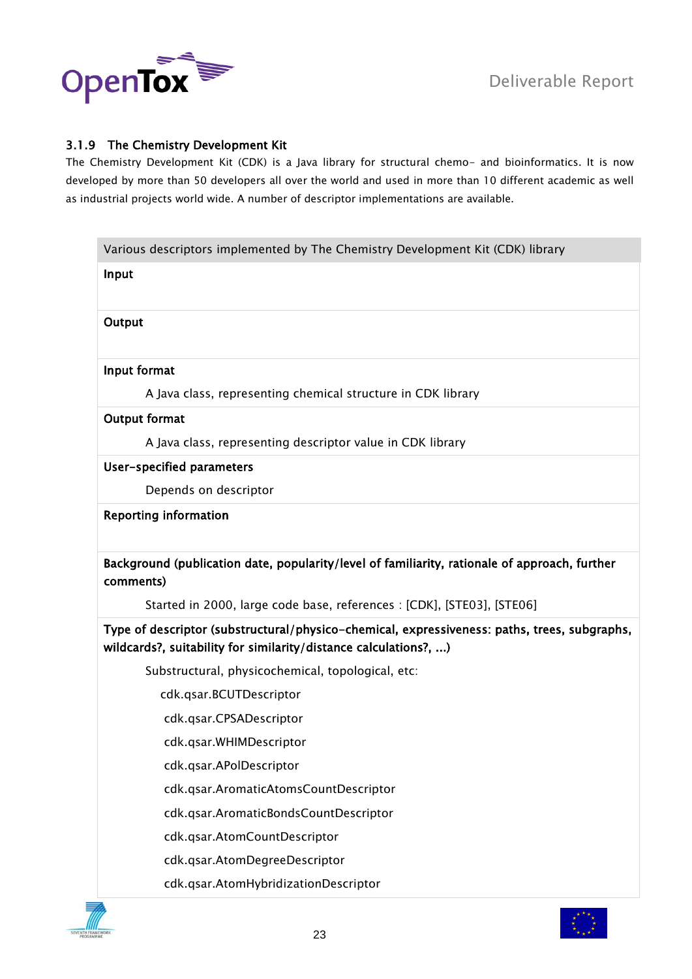

# <span id="page-22-0"></span>3.1.9 The Chemistry Development Kit

The Chemistry Development Kit (CDK) is a Java library for structural chemo- and bioinformatics. It is now developed by more than 50 developers all over the world and used in more than 10 different academic as well as industrial projects world wide. A number of descriptor implementations are available.

|               | Various descriptors implemented by The Chemistry Development Kit (CDK) library                                          |
|---------------|-------------------------------------------------------------------------------------------------------------------------|
| Input         |                                                                                                                         |
|               |                                                                                                                         |
| Output        |                                                                                                                         |
|               |                                                                                                                         |
| Input format  |                                                                                                                         |
|               | A Java class, representing chemical structure in CDK library                                                            |
| Output format |                                                                                                                         |
|               | A Java class, representing descriptor value in CDK library                                                              |
|               | User-specified parameters                                                                                               |
|               | Depends on descriptor                                                                                                   |
|               | <b>Reporting information</b>                                                                                            |
|               |                                                                                                                         |
| comments)     | Background (publication date, popularity/level of familiarity, rationale of approach, further                           |
|               |                                                                                                                         |
|               | Started in 2000, large code base, references : [CDK], [STE03], [STE06]                                                  |
|               | wildcards?, suitability for similarity/distance calculations?, )                                                        |
|               | Substructural, physicochemical, topological, etc:                                                                       |
|               | cdk.qsar.BCUTDescriptor                                                                                                 |
|               | cdk.qsar.CPSADescriptor                                                                                                 |
|               | Type of descriptor (substructural/physico-chemical, expressiveness: paths, trees, subgraphs,<br>cdk.qsar.WHIMDescriptor |
|               | cdk.qsar.APolDescriptor                                                                                                 |
|               | cdk.qsar.AromaticAtomsCountDescriptor                                                                                   |
|               | cdk.qsar.AromaticBondsCountDescriptor                                                                                   |
|               | cdk.qsar.AtomCountDescriptor                                                                                            |
|               | cdk.qsar.AtomDegreeDescriptor                                                                                           |



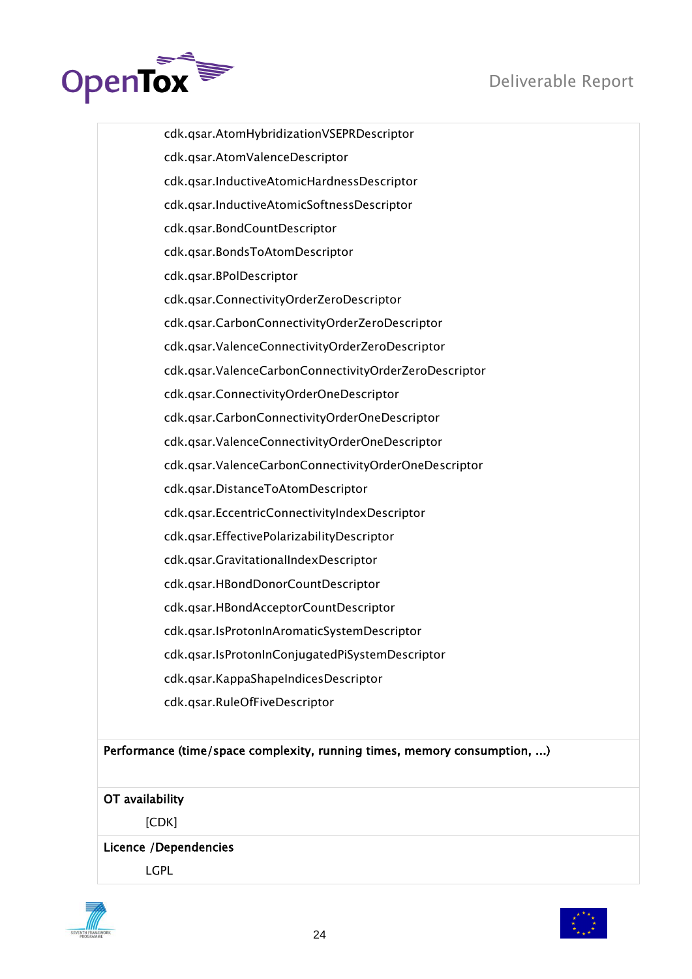

 cdk.qsar.AtomHybridizationVSEPRDescriptor cdk.qsar.AtomValenceDescriptor cdk.qsar.InductiveAtomicHardnessDescriptor cdk.qsar.InductiveAtomicSoftnessDescriptor cdk.qsar.BondCountDescriptor cdk.qsar.BondsToAtomDescriptor cdk.qsar.BPolDescriptor cdk.qsar.ConnectivityOrderZeroDescriptor cdk.qsar.CarbonConnectivityOrderZeroDescriptor cdk.qsar.ValenceConnectivityOrderZeroDescriptor cdk.qsar.ValenceCarbonConnectivityOrderZeroDescriptor cdk.qsar.ConnectivityOrderOneDescriptor cdk.qsar.CarbonConnectivityOrderOneDescriptor cdk.qsar.ValenceConnectivityOrderOneDescriptor cdk.qsar.ValenceCarbonConnectivityOrderOneDescriptor cdk.qsar.DistanceToAtomDescriptor cdk.qsar.EccentricConnectivityIndexDescriptor cdk.qsar.EffectivePolarizabilityDescriptor cdk.qsar.GravitationalIndexDescriptor cdk.qsar.HBondDonorCountDescriptor cdk.qsar.HBondAcceptorCountDescriptor cdk.qsar.IsProtonInAromaticSystemDescriptor cdk.qsar.IsProtonInConjugatedPiSystemDescriptor cdk.qsar.KappaShapeIndicesDescriptor cdk.qsar.RuleOfFiveDescriptor

# Performance (time/space complexity, running times, memory consumption, ...)

# OT availability

[CDK]

# Licence /Dependencies

LGPL



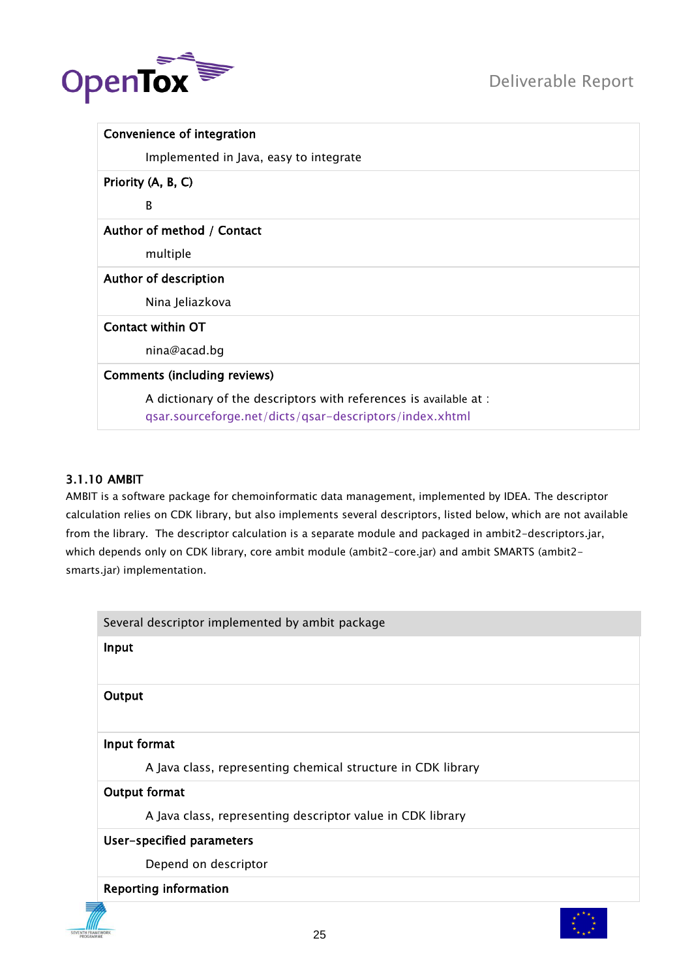

| Convenience of integration                                                                                                   |
|------------------------------------------------------------------------------------------------------------------------------|
| Implemented in Java, easy to integrate                                                                                       |
| Priority (A, B, C)                                                                                                           |
| B                                                                                                                            |
| Author of method / Contact                                                                                                   |
| multiple                                                                                                                     |
| Author of description                                                                                                        |
| Nina Jeliazkova                                                                                                              |
| Contact within OT                                                                                                            |
| nina@acad.bg                                                                                                                 |
| <b>Comments (including reviews)</b>                                                                                          |
| A dictionary of the descriptors with references is available at :<br>qsar.sourceforge.net/dicts/qsar-descriptors/index.xhtml |

# <span id="page-24-0"></span>3.1.10 AMBIT

AMBIT is a software package for chemoinformatic data management, implemented by IDEA. The descriptor calculation relies on CDK library, but also implements several descriptors, listed below, which are not available from the library. The descriptor calculation is a separate module and packaged in ambit2-descriptors.jar, which depends only on CDK library, core ambit module (ambit2-core.jar) and ambit SMARTS (ambit2 smarts.jar) implementation.

| Several descriptor implemented by ambit package              |
|--------------------------------------------------------------|
| Input                                                        |
| Output                                                       |
| Input format                                                 |
| A Java class, representing chemical structure in CDK library |
| Output format                                                |
| A Java class, representing descriptor value in CDK library   |
| User-specified parameters                                    |
| Depend on descriptor                                         |
| <b>Reporting information</b>                                 |

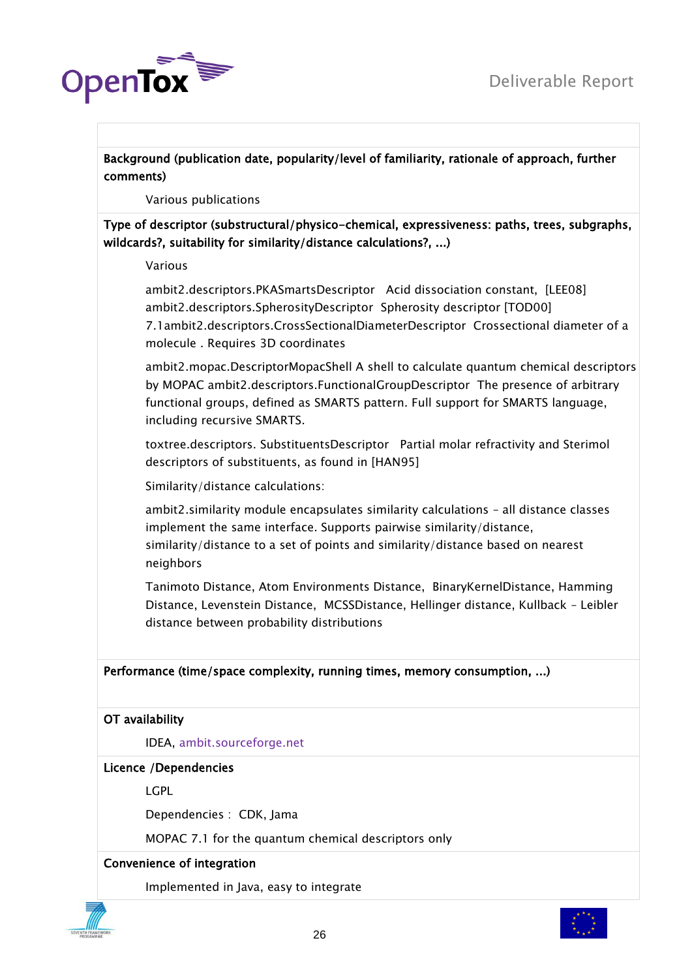

Background (publication date, popularity/level of familiarity, rationale of approach, further comments)

Various publications

Type of descriptor (substructural/physico-chemical, expressiveness: paths, trees, subgraphs, wildcards?, suitability for similarity/distance calculations?, ...)

Various

ambit2.descriptors.PKASmartsDescriptor Acid dissociation constant, [LEE08] ambit2.descriptors.SpherosityDescriptor Spherosity descriptor [TOD00] 7.1ambit2.descriptors.CrossSectionalDiameterDescriptor Crossectional diameter of a molecule . Requires 3D coordinates

ambit2.mopac.DescriptorMopacShell A shell to calculate quantum chemical descriptors by MOPAC ambit2.descriptors.FunctionalGroupDescriptor The presence of arbitrary functional groups, defined as SMARTS pattern. Full support for SMARTS language, including recursive SMARTS.

toxtree.descriptors. SubstituentsDescriptor Partial molar refractivity and Sterimol descriptors of substituents, as found in [HAN95]

Similarity/distance calculations:

ambit2.similarity module encapsulates similarity calculations – all distance classes implement the same interface. Supports pairwise similarity/distance, similarity/distance to a set of points and similarity/distance based on nearest neighbors

Tanimoto Distance, Atom Environments Distance, BinaryKernelDistance, Hamming Distance, Levenstein Distance, MCSSDistance, Hellinger distance, Kullback – Leibler distance between probability distributions

# Performance (time/space complexity, running times, memory consumption, ...)

# OT availability

IDEA, [ambit.sourceforge.net](http://ambit.sourceforge.net/)

# Licence /Dependencies

LGPL

Dependencies : CDK, Jama

MOPAC 7.1 for the quantum chemical descriptors only

# Convenience of integration

Implemented in Java, easy to integrate



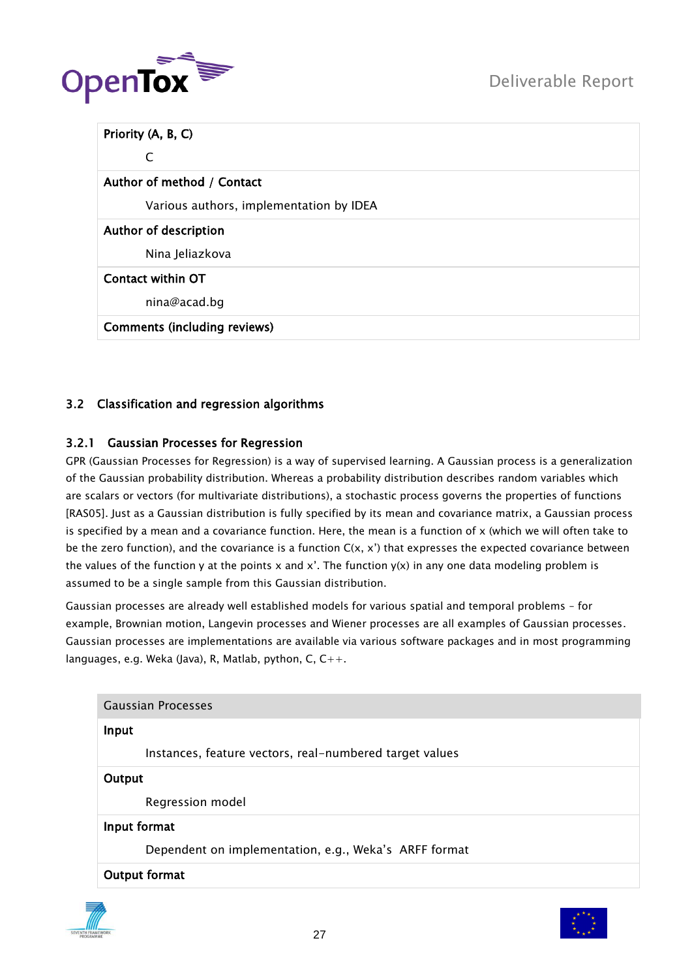

| Priority (A, B, C)                      |
|-----------------------------------------|
| C                                       |
| Author of method / Contact              |
| Various authors, implementation by IDEA |
| Author of description                   |
| Nina Jeliazkova                         |
| <b>Contact within OT</b>                |
| nina@acad.bg                            |
| <b>Comments (including reviews)</b>     |

# <span id="page-26-1"></span><span id="page-26-0"></span>3.2 Classification and regression algorithms

# 3.2.1 Gaussian Processes for Regression

GPR (Gaussian Processes for Regression) is a way of supervised learning. A Gaussian process is a generalization of the Gaussian probability distribution. Whereas a probability distribution describes random variables which are scalars or vectors (for multivariate distributions), a stochastic process governs the properties of functions [RAS05]. Just as a Gaussian distribution is fully specified by its mean and covariance matrix, a Gaussian process is specified by a mean and a covariance function. Here, the mean is a function of x (which we will often take to be the zero function), and the covariance is a function  $C(x, x')$  that expresses the expected covariance between the values of the function y at the points x and x'. The function  $y(x)$  in any one data modeling problem is assumed to be a single sample from this Gaussian distribution.

Gaussian processes are already well established models for various spatial and temporal problems – for example, Brownian motion, Langevin processes and Wiener processes are all examples of Gaussian processes. Gaussian processes are implementations are available via various software packages and in most programming languages, e.g. Weka (Java), R, Matlab, python, C,  $C_{++}$ .

|        | <b>Gaussian Processes</b>                               |
|--------|---------------------------------------------------------|
| Input  |                                                         |
|        | Instances, feature vectors, real-numbered target values |
| Output |                                                         |
|        | Regression model                                        |
|        | Input format                                            |
|        | Dependent on implementation, e.g., Weka's ARFF format   |
|        | Output format                                           |



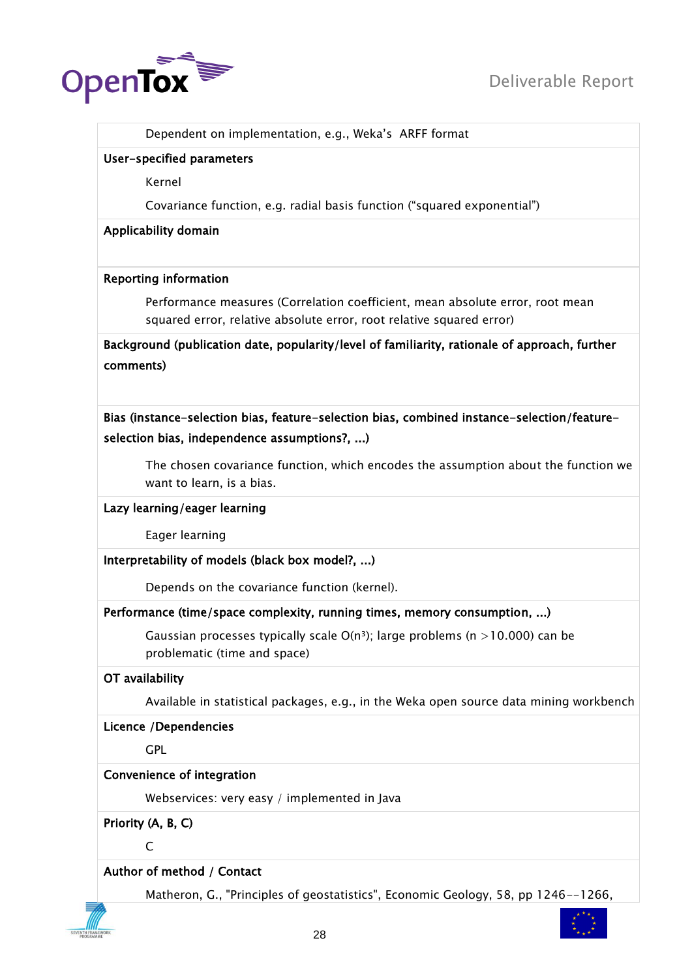

Dependent on implementation, e.g., Weka"s ARFF format

#### User-specified parameters

Kernel

Covariance function, e.g. radial basis function ("squared exponential")

#### Applicability domain

#### Reporting information

Performance measures (Correlation coefficient, mean absolute error, root mean squared error, relative absolute error, root relative squared error)

Background (publication date, popularity/level of familiarity, rationale of approach, further comments)

Bias (instance-selection bias, feature-selection bias, combined instance-selection/featureselection bias, independence assumptions?, ...)

The chosen covariance function, which encodes the assumption about the function we want to learn, is a bias.

# Lazy learning/eager learning

Eager learning

# Interpretability of models (black box model?, ...)

Depends on the covariance function (kernel).

# Performance (time/space complexity, running times, memory consumption, ...)

Gaussian processes typically scale  $O(n^3)$ ; large problems (n >10.000) can be problematic (time and space)

# OT availability

Available in statistical packages, e.g., in the Weka open source data mining workbench

#### Licence /Dependencies

**GPL** 

# Convenience of integration

Webservices: very easy / implemented in Java

Priority (A, B, C)

 $\mathsf{C}$ 

# Author of method / Contact

Matheron, G., "Principles of geostatistics", Economic Geology, 58, pp 1246--1266,

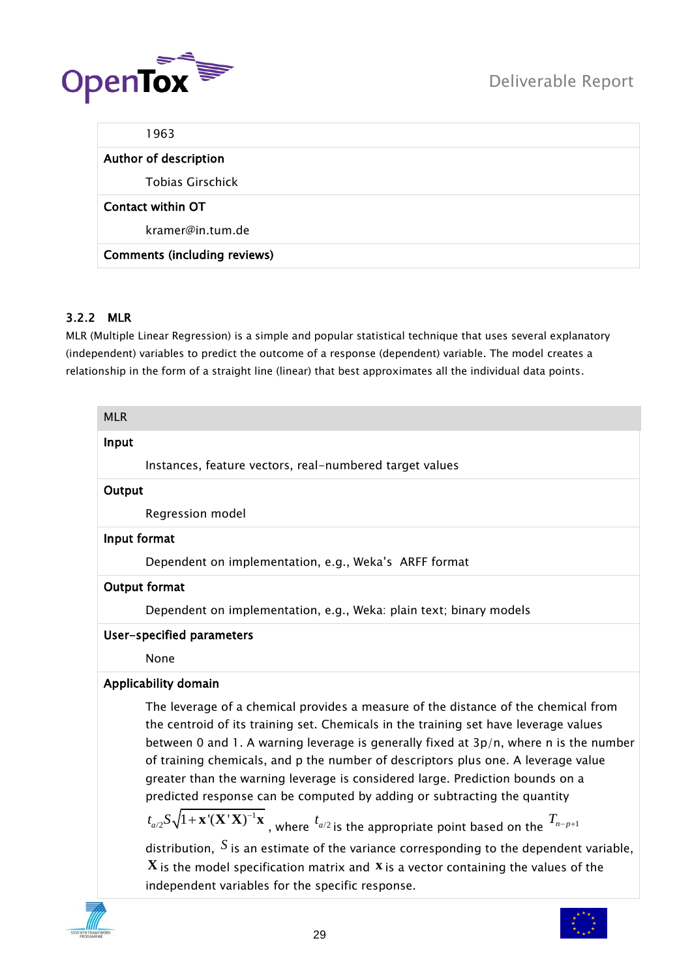



| 1963                                |  |
|-------------------------------------|--|
| Author of description               |  |
| <b>Tobias Girschick</b>             |  |
| Contact within OT                   |  |
| kramer@in.tum.de                    |  |
| <b>Comments (including reviews)</b> |  |

# <span id="page-28-0"></span>3.2.2 MLR

MLR (Multiple Linear Regression) is a simple and popular statistical technique that uses several explanatory (independent) variables to predict the outcome of a response (dependent) variable. The model creates a relationship in the form of a straight line (linear) that best approximates all the individual data points.

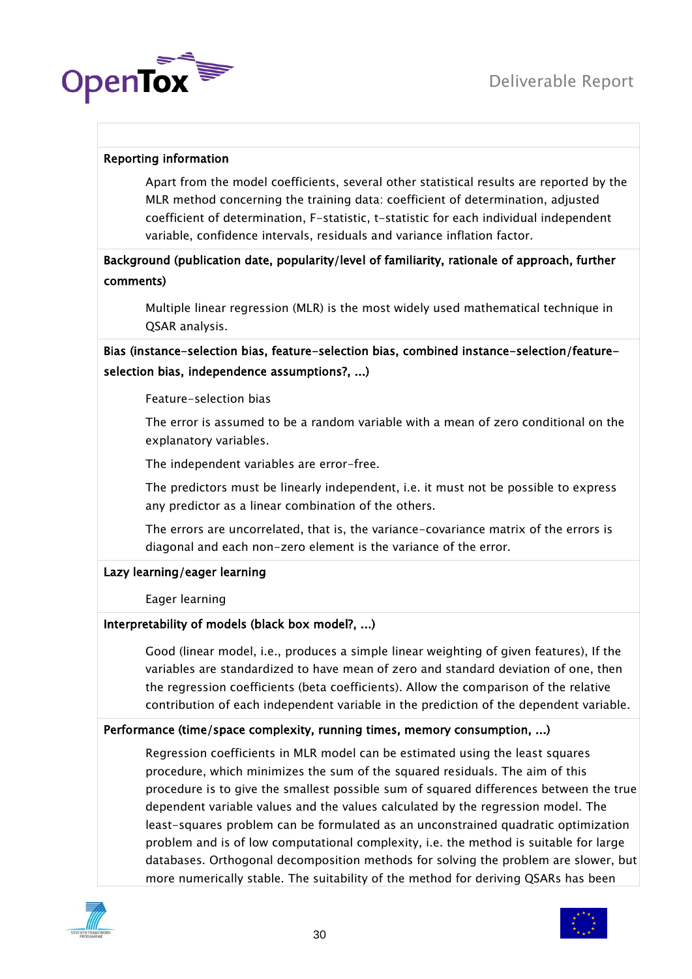

# Reporting information

Apart from the model coefficients, several other statistical results are reported by the MLR method concerning the training data: coefficient of determination, adjusted coefficient of determination, F-statistic, t-statistic for each individual independent variable, confidence intervals, residuals and variance inflation factor.

# Background (publication date, popularity/level of familiarity, rationale of approach, further comments)

Multiple linear regression (MLR) is the most widely used mathematical technique in QSAR analysis.

# Bias (instance-selection bias, feature-selection bias, combined instance-selection/featureselection bias, independence assumptions?, ...)

#### Feature-selection bias

The error is assumed to be a random variable with a mean of zero conditional on the explanatory variables.

The independent variables are error-free.

The predictors must be linearly independent, i.e. it must not be possible to express any predictor as a linear combination of the others.

The errors are uncorrelated, that is, the variance-covariance matrix of the errors is diagonal and each non-zero element is the variance of the error.

# Lazy learning/eager learning

Eager learning

# Interpretability of models (black box model?, ...)

Good (linear model, i.e., produces a simple linear weighting of given features), If the variables are standardized to have mean of zero and standard deviation of one, then the regression coefficients (beta coefficients). Allow the comparison of the relative contribution of each independent variable in the prediction of the dependent variable.

# Performance (time/space complexity, running times, memory consumption, ...)

Regression coefficients in MLR model can be estimated using the least squares procedure, which minimizes the sum of the squared residuals. The aim of this procedure is to give the smallest possible sum of squared differences between the true dependent variable values and the values calculated by the regression model. The least-squares problem can be formulated as an unconstrained quadratic optimization problem and is of low computational complexity, i.e. the method is suitable for large databases. Orthogonal decomposition methods for solving the problem are slower, but more numerically stable. The suitability of the method for deriving QSARs has been



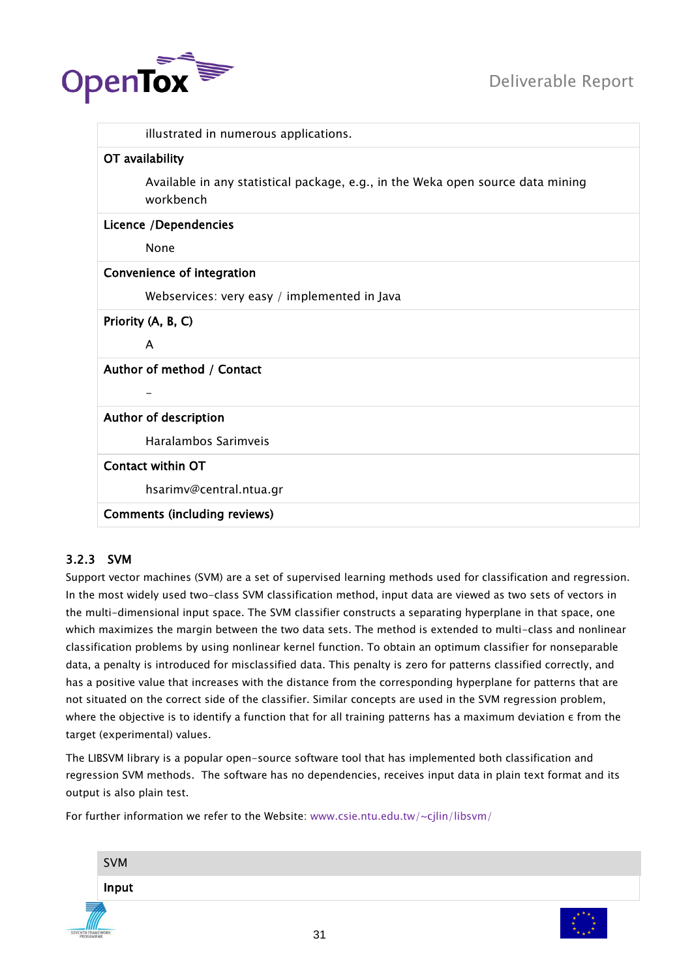

|                            | illustrated in numerous applications.                                           |
|----------------------------|---------------------------------------------------------------------------------|
| OT availability            |                                                                                 |
| workbench                  | Available in any statistical package, e.g., in the Weka open source data mining |
| Licence /Dependencies      |                                                                                 |
| None                       |                                                                                 |
| Convenience of integration |                                                                                 |
|                            | Webservices: very easy / implemented in Java                                    |
| Priority (A, B, C)         |                                                                                 |
| A                          |                                                                                 |
| Author of method / Contact |                                                                                 |
|                            |                                                                                 |
| Author of description      |                                                                                 |
|                            | Haralambos Sarimveis                                                            |
| Contact within OT          |                                                                                 |
|                            | hsarimv@central.ntua.gr                                                         |
|                            | <b>Comments (including reviews)</b>                                             |

# <span id="page-30-0"></span>3.2.3 SVM

Support vector machines (SVM) are a set of supervised learning methods used for classification and regression. In the most widely used two-class SVM classification method, input data are viewed as two sets of vectors in the multi-dimensional input space. The SVM classifier constructs a separating hyperplane in that space, one which maximizes the margin between the two data sets. The method is extended to multi-class and nonlinear classification problems by using nonlinear kernel function. To obtain an optimum classifier for nonseparable data, a penalty is introduced for misclassified data. This penalty is zero for patterns classified correctly, and has a positive value that increases with the distance from the corresponding hyperplane for patterns that are not situated on the correct side of the classifier. Similar concepts are used in the SVM regression problem, where the objective is to identify a function that for all training patterns has a maximum deviation ε from the target (experimental) values.

The LIBSVM library is a popular open-source software tool that has implemented both classification and regression SVM methods. The software has no dependencies, receives input data in plain text format and its output is also plain test.

For further information we refer to the Website: [www.csie.ntu.edu.tw/~cjlin/libsvm/](http://www.csie.ntu.edu.tw/~cjlin/libsvm/)

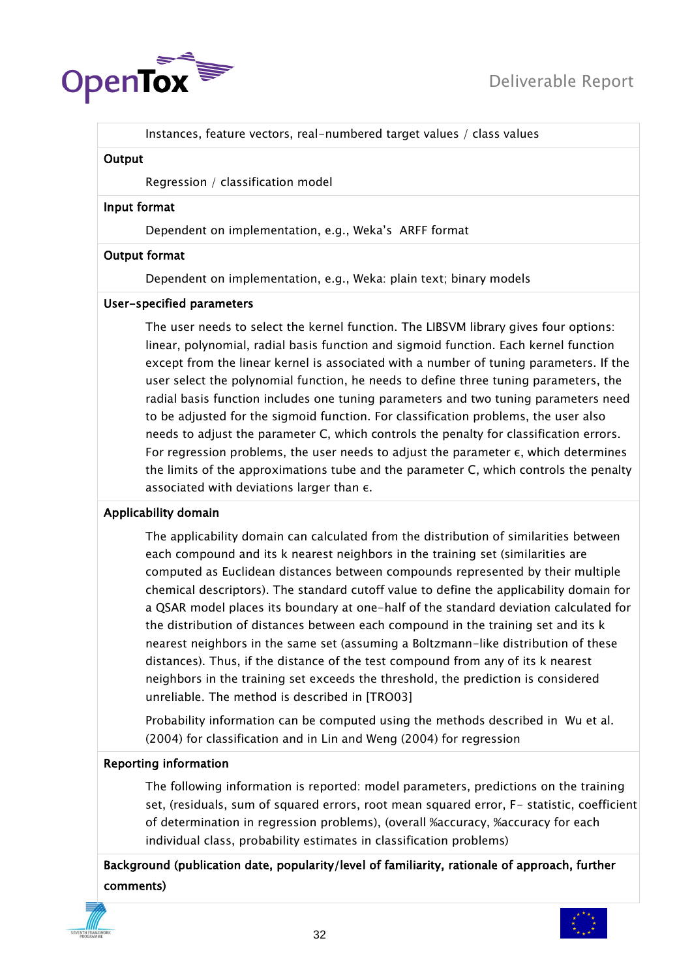

Instances, feature vectors, real-numbered target values / class values

#### **Output**

Regression / classification model

#### Input format

Dependent on implementation, e.g., Weka"s ARFF format

#### Output format

Dependent on implementation, e.g., Weka: plain text; binary models

#### User-specified parameters

The user needs to select the kernel function. The LIBSVM library gives four options: linear, polynomial, radial basis function and sigmoid function. Each kernel function except from the linear kernel is associated with a number of tuning parameters. If the user select the polynomial function, he needs to define three tuning parameters, the radial basis function includes one tuning parameters and two tuning parameters need to be adjusted for the sigmoid function. For classification problems, the user also needs to adjust the parameter C, which controls the penalty for classification errors. For regression problems, the user needs to adjust the parameter ε, which determines the limits of the approximations tube and the parameter C, which controls the penalty associated with deviations larger than ε.

# Applicability domain

The applicability domain can calculated from the distribution of similarities between each compound and its k nearest neighbors in the training set (similarities are computed as Euclidean distances between compounds represented by their multiple chemical descriptors). The standard cutoff value to define the applicability domain for a QSAR model places its boundary at one-half of the standard deviation calculated for the distribution of distances between each compound in the training set and its k nearest neighbors in the same set (assuming a Boltzmann-like distribution of these distances). Thus, if the distance of the test compound from any of its k nearest neighbors in the training set exceeds the threshold, the prediction is considered unreliable. The method is described in [TRO03]

Probability information can be computed using the methods described in Wu et al. (2004) for classification and in Lin and Weng (2004) for regression

# Reporting information

The following information is reported: model parameters, predictions on the training set, (residuals, sum of squared errors, root mean squared error, F- statistic, coefficient of determination in regression problems), (overall %accuracy, %accuracy for each individual class, probability estimates in classification problems)

Background (publication date, popularity/level of familiarity, rationale of approach, further comments)



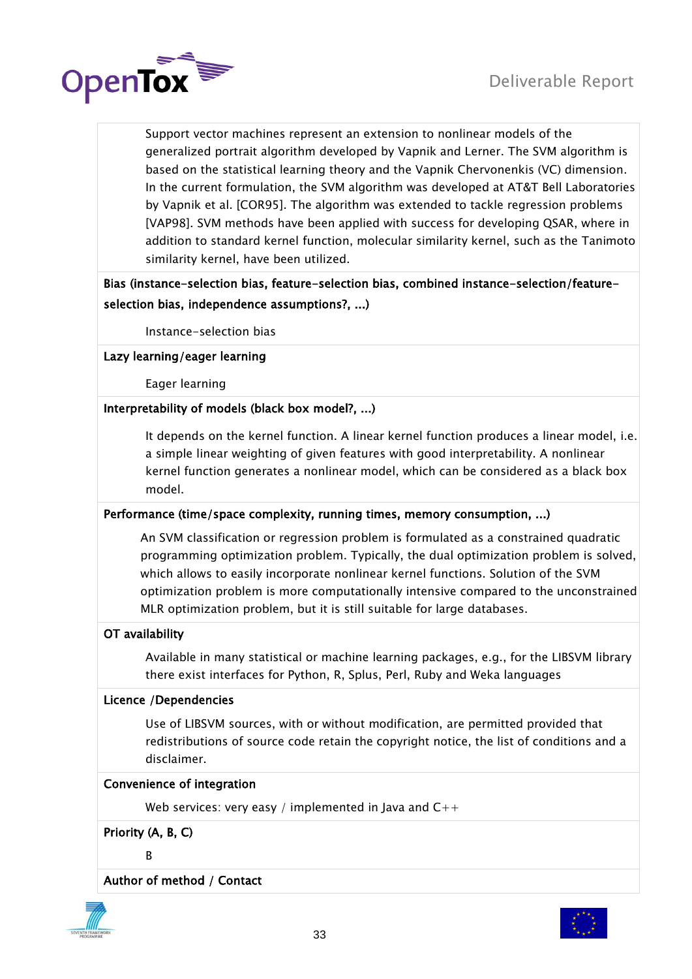

Support vector machines represent an extension to nonlinear models of the generalized portrait algorithm developed by Vapnik and Lerner. The SVM algorithm is based on the statistical learning theory and the Vapnik Chervonenkis (VC) dimension. In the current formulation, the SVM algorithm was developed at AT&T Bell Laboratories by Vapnik et al. [COR95]. The algorithm was extended to tackle regression problems [VAP98]. SVM methods have been applied with success for developing QSAR, where in addition to standard kernel function, molecular similarity kernel, such as the Tanimoto similarity kernel, have been utilized.

# Bias (instance-selection bias, feature-selection bias, combined instance-selection/featureselection bias, independence assumptions?, ...)

Instance-selection bias

# Lazy learning/eager learning

Eager learning

# Interpretability of models (black box model?, ...)

It depends on the kernel function. A linear kernel function produces a linear model, i.e. a simple linear weighting of given features with good interpretability. A nonlinear kernel function generates a nonlinear model, which can be considered as a black box model.

# Performance (time/space complexity, running times, memory consumption, ...)

An SVM classification or regression problem is formulated as a constrained quadratic programming optimization problem. Typically, the dual optimization problem is solved, which allows to easily incorporate nonlinear kernel functions. Solution of the SVM optimization problem is more computationally intensive compared to the unconstrained MLR optimization problem, but it is still suitable for large databases.

# OT availability

Available in many statistical or machine learning packages, e.g., for the LIBSVM library there exist interfaces for Python, R, Splus, Perl, Ruby and Weka languages

# Licence /Dependencies

Use of LIBSVM sources, with or without modification, are permitted provided that redistributions of source code retain the copyright notice, the list of conditions and a disclaimer.

# Convenience of integration

Web services: very easy / implemented in Java and  $C++$ 

Priority (A, B, C)

B

Author of method / Contact



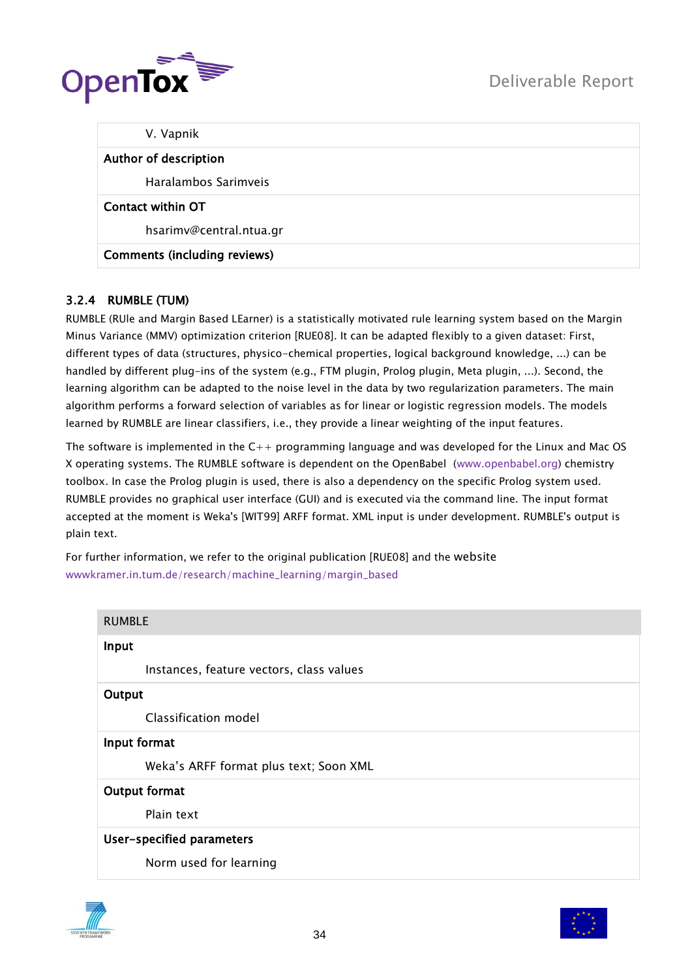

| V. Vapnik                           |  |
|-------------------------------------|--|
| Author of description               |  |
| Haralambos Sarimveis                |  |
| Contact within OT                   |  |
| hsarimv@central.ntua.gr             |  |
| <b>Comments (including reviews)</b> |  |

# <span id="page-33-0"></span>3.2.4 RUMBLE (TUM)

RUMBLE (RUle and Margin Based LEarner) is a statistically motivated rule learning system based on the Margin Minus Variance (MMV) optimization criterion [RUE08]. It can be adapted flexibly to a given dataset: First, different types of data (structures, physico-chemical properties, logical background knowledge, ...) can be handled by different plug-ins of the system (e.g., FTM plugin, Prolog plugin, Meta plugin, ...). Second, the learning algorithm can be adapted to the noise level in the data by two regularization parameters. The main algorithm performs a forward selection of variables as for linear or logistic regression models. The models learned by RUMBLE are linear classifiers, i.e., they provide a linear weighting of the input features.

The software is implemented in the  $C_{++}$  programming language and was developed for the Linux and Mac OS X operating systems. The RUMBLE software is dependent on the OpenBabel [\(www.openbabel.org\)](http://www.openbabel.org/) chemistry toolbox. In case the Prolog plugin is used, there is also a dependency on the specific Prolog system used. RUMBLE provides no graphical user interface (GUI) and is executed via the command line. The input format accepted at the moment is Weka's [WIT99] ARFF format. XML input is under development. RUMBLE's output is plain text.

For further information, we refer to the original publication [RUE08] and the website [wwwkramer.in.tum.de/research/machine\\_learning/margin\\_based](http://wwwkramer.in.tum.de/research/machine_learning/margin_based)

| <b>RUMBLE</b> |                                          |
|---------------|------------------------------------------|
| Input         |                                          |
|               | Instances, feature vectors, class values |
| Output        |                                          |
|               | Classification model                     |
| Input format  |                                          |
|               | Weka's ARFF format plus text; Soon XML   |
|               | Output format                            |
|               | Plain text                               |
|               | User-specified parameters                |
|               | Norm used for learning                   |



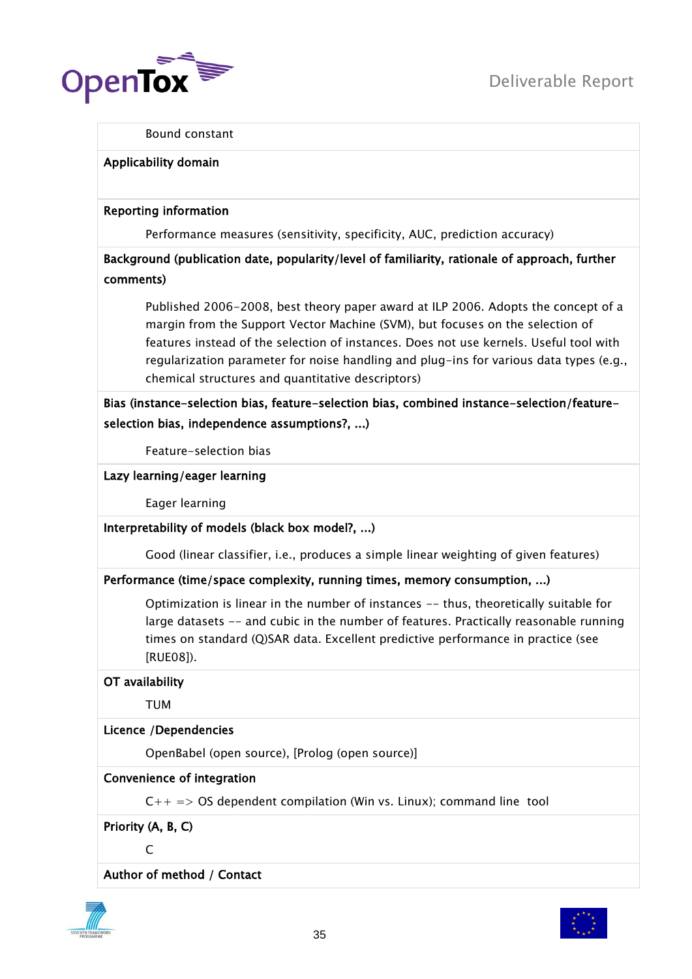

#### Bound constant

#### Applicability domain

#### Reporting information

Performance measures (sensitivity, specificity, AUC, prediction accuracy)

Background (publication date, popularity/level of familiarity, rationale of approach, further comments)

Published 2006-2008, best theory paper award at ILP 2006. Adopts the concept of a margin from the Support Vector Machine (SVM), but focuses on the selection of features instead of the selection of instances. Does not use kernels. Useful tool with regularization parameter for noise handling and plug-ins for various data types (e.g., chemical structures and quantitative descriptors)

Bias (instance-selection bias, feature-selection bias, combined instance-selection/featureselection bias, independence assumptions?, ...)

Feature-selection bias

Lazy learning/eager learning

Eager learning

Interpretability of models (black box model?, ...)

Good (linear classifier, i.e., produces a simple linear weighting of given features)

# Performance (time/space complexity, running times, memory consumption, ...)

Optimization is linear in the number of instances -- thus, theoretically suitable for large datasets -- and cubic in the number of features. Practically reasonable running times on standard (Q)SAR data. Excellent predictive performance in practice (see [RUE08]).

OT availability

TUM

# Licence /Dependencies

OpenBabel (open source), [Prolog (open source)]

# Convenience of integration

 $C++ \implies OS$  dependent compilation (Win vs. Linux); command line tool

Priority (A, B, C)

 $\mathcal{C}$ 

Author of method / Contact



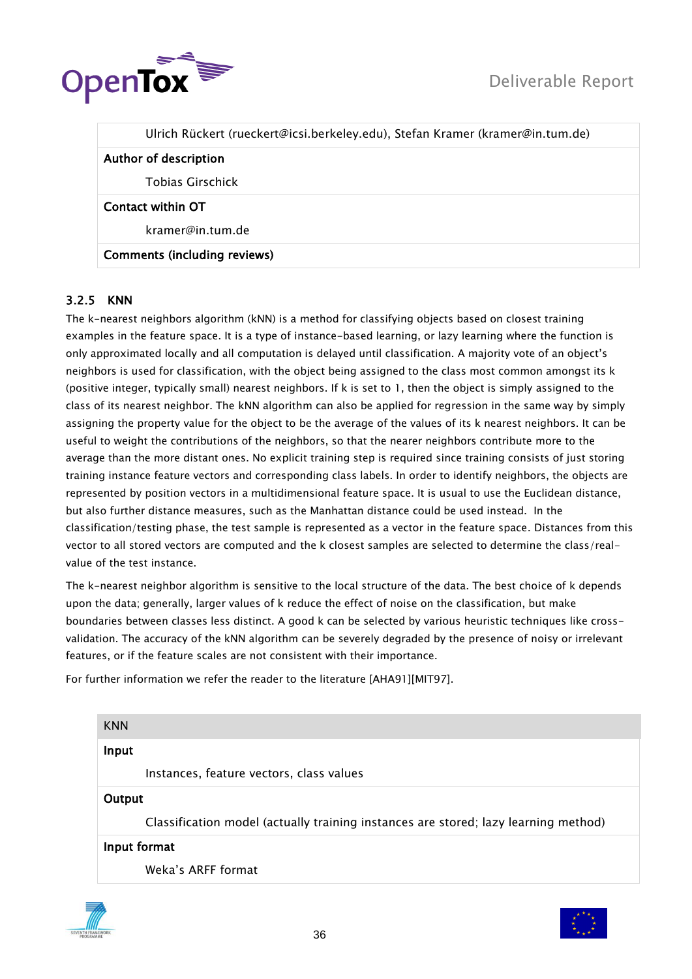

|                       | Ulrich Rückert (rueckert@icsi.berkeley.edu), Stefan Kramer (kramer@in.tum.de) |
|-----------------------|-------------------------------------------------------------------------------|
| Author of description |                                                                               |
|                       | Tobias Girschick                                                              |
| Contact within OT     |                                                                               |
|                       | kramer@in.tum.de                                                              |

# Comments (including reviews)

# <span id="page-35-0"></span>3.2.5 KNN

The k-nearest neighbors algorithm (kNN) is a method for classifying objects based on closest training examples in the feature space. It is a type of instance-based learning, or lazy learning where the function is only approximated locally and all computation is delayed until classification. A majority vote of an object"s neighbors is used for classification, with the object being assigned to the class most common amongst its k (positive integer, typically small) nearest neighbors. If k is set to 1, then the object is simply assigned to the class of its nearest neighbor. The kNN algorithm can also be applied for regression in the same way by simply assigning the property value for the object to be the average of the values of its k nearest neighbors. It can be useful to weight the contributions of the neighbors, so that the nearer neighbors contribute more to the average than the more distant ones. No explicit training step is required since training consists of just storing training instance feature vectors and corresponding class labels. In order to identify neighbors, the objects are represented by position vectors in a multidimensional feature space. It is usual to use the Euclidean distance, but also further distance measures, such as the Manhattan distance could be used instead. In the classification/testing phase, the test sample is represented as a vector in the feature space. Distances from this vector to all stored vectors are computed and the k closest samples are selected to determine the class/realvalue of the test instance.

The k-nearest neighbor algorithm is sensitive to the local structure of the data. The best choice of k depends upon the data; generally, larger values of k reduce the effect of noise on the classification, but make boundaries between classes less distinct. A good k can be selected by various heuristic techniques like crossvalidation. The accuracy of the kNN algorithm can be severely degraded by the presence of noisy or irrelevant features, or if the feature scales are not consistent with their importance.

For further information we refer the reader to the literature [AHA91][MIT97].

| <b>KNN</b>                                                                          |  |
|-------------------------------------------------------------------------------------|--|
| Input                                                                               |  |
| Instances, feature vectors, class values                                            |  |
| Output                                                                              |  |
| Classification model (actually training instances are stored; lazy learning method) |  |
| Input format                                                                        |  |
| Weka's ARFF format                                                                  |  |



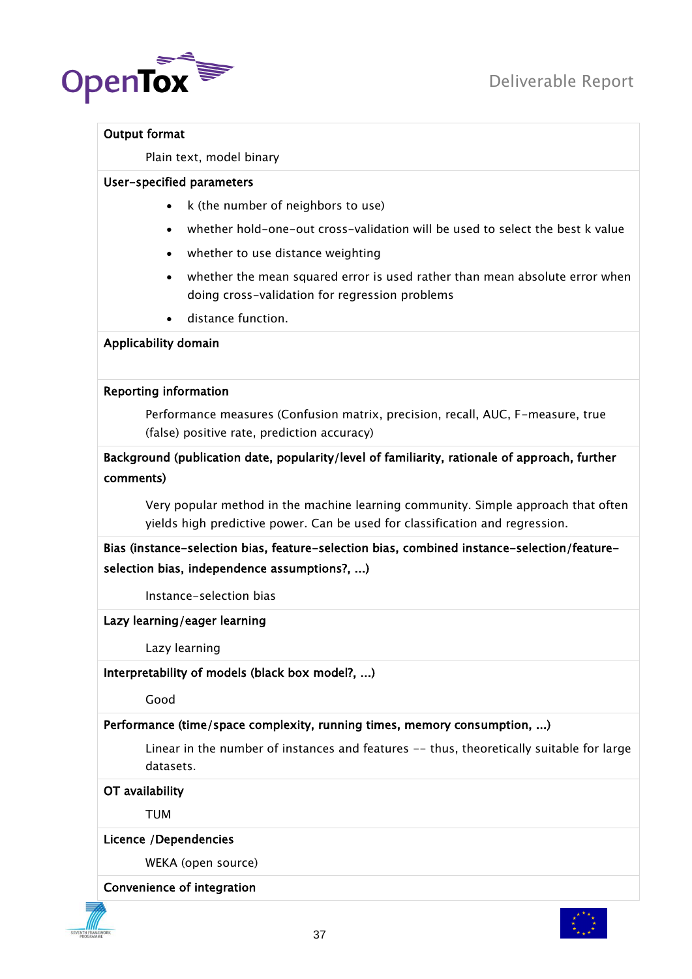

#### Output format

Plain text, model binary

#### User-specified parameters

- $\bullet$  k (the number of neighbors to use)
- whether hold-one-out cross-validation will be used to select the best k value
- whether to use distance weighting
- whether the mean squared error is used rather than mean absolute error when doing cross-validation for regression problems
- distance function.

#### Applicability domain

#### Reporting information

Performance measures (Confusion matrix, precision, recall, AUC, F-measure, true (false) positive rate, prediction accuracy)

Background (publication date, popularity/level of familiarity, rationale of approach, further comments)

Very popular method in the machine learning community. Simple approach that often yields high predictive power. Can be used for classification and regression.

Bias (instance-selection bias, feature-selection bias, combined instance-selection/featureselection bias, independence assumptions?, ...)

Instance-selection bias

Lazy learning/eager learning

Lazy learning

Interpretability of models (black box model?, ...)

Good

# Performance (time/space complexity, running times, memory consumption, ...)

Linear in the number of instances and features -- thus, theoretically suitable for large datasets.

OT availability

TUM

#### Licence /Dependencies

WEKA (open source)

#### Convenience of integration



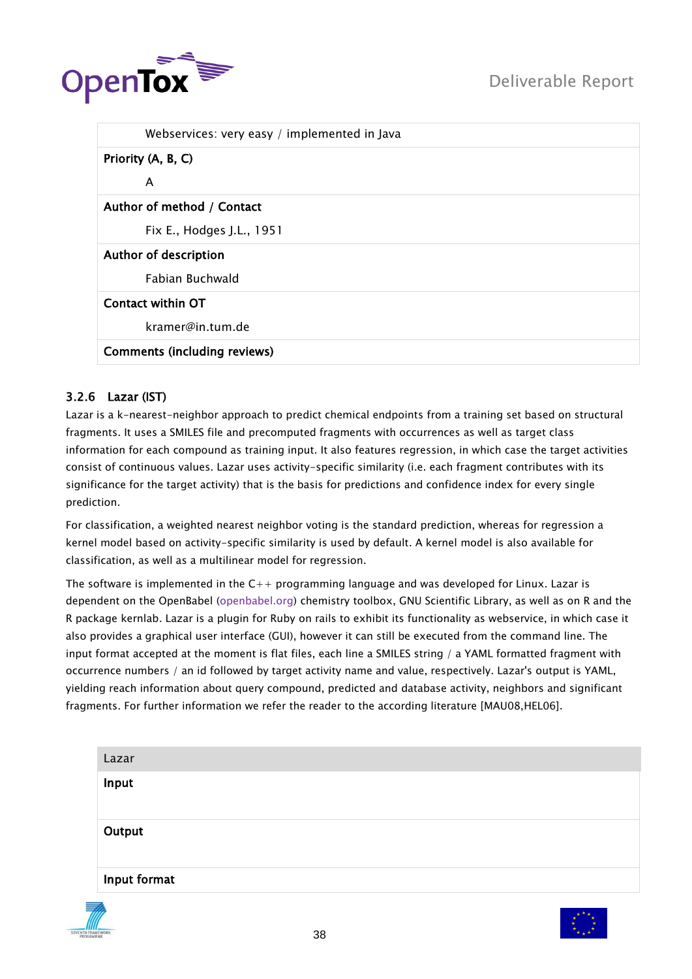

| Webservices: very easy / implemented in Java |
|----------------------------------------------|
| Priority (A, B, C)                           |
| A                                            |
| Author of method / Contact                   |
| Fix E., Hodges J.L., 1951                    |
| Author of description                        |
| <b>Fabian Buchwald</b>                       |
| <b>Contact within OT</b>                     |
| kramer@in.tum.de                             |
| <b>Comments (including reviews)</b>          |

# 3.2.6 Lazar (IST)

Lazar is a k-nearest-neighbor approach to predict chemical endpoints from a training set based on structural fragments. It uses a SMILES file and precomputed fragments with occurrences as well as target class information for each compound as training input. It also features regression, in which case the target activities consist of continuous values. Lazar uses activity-specific similarity (i.e. each fragment contributes with its significance for the target activity) that is the basis for predictions and confidence index for every single prediction.

For classification, a weighted nearest neighbor voting is the standard prediction, whereas for regression a kernel model based on activity-specific similarity is used by default. A kernel model is also available for classification, as well as a multilinear model for regression.

The software is implemented in the  $C_{++}$  programming language and was developed for Linux. Lazar is dependent on the OpenBabel [\(openbabel.org\)](http://openbabel.org/) chemistry toolbox, GNU Scientific Library, as well as on R and the R package kernlab. Lazar is a plugin for Ruby on rails to exhibit its functionality as webservice, in which case it also provides a graphical user interface (GUI), however it can still be executed from the command line. The input format accepted at the moment is flat files, each line a SMILES string / a YAML formatted fragment with occurrence numbers / an id followed by target activity name and value, respectively. Lazar's output is YAML, yielding reach information about query compound, predicted and database activity, neighbors and significant fragments. For further information we refer the reader to the according literature [MAU08,HEL06].

| Lazar        |  |  |  |
|--------------|--|--|--|
| Input        |  |  |  |
| Output       |  |  |  |
| Input format |  |  |  |



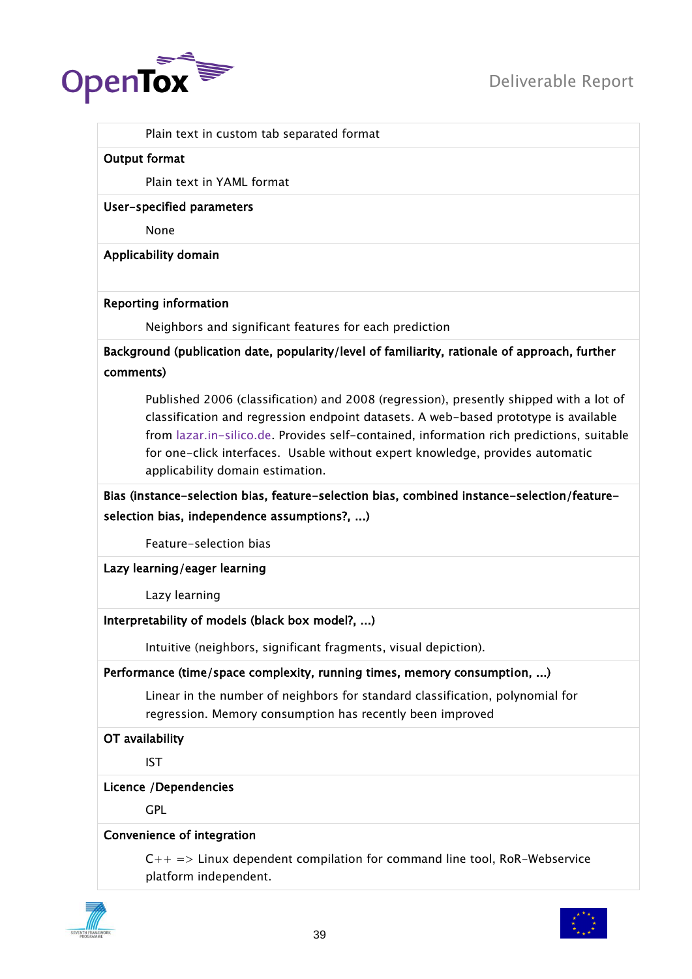

Plain text in custom tab separated format

#### Output format

Plain text in YAML format

User-specified parameters

None

Applicability domain

#### Reporting information

Neighbors and significant features for each prediction

Background (publication date, popularity/level of familiarity, rationale of approach, further comments)

Published 2006 (classification) and 2008 (regression), presently shipped with a lot of classification and regression endpoint datasets. A web-based prototype is available from [lazar.in-silico.de.](http://lazar.in-silico.de/) Provides self-contained, information rich predictions, suitable for one-click interfaces. Usable without expert knowledge, provides automatic applicability domain estimation.

Bias (instance-selection bias, feature-selection bias, combined instance-selection/featureselection bias, independence assumptions?, ...)

Feature-selection bias

Lazy learning/eager learning

Lazy learning

# Interpretability of models (black box model?, ...)

Intuitive (neighbors, significant fragments, visual depiction).

# Performance (time/space complexity, running times, memory consumption, ...)

Linear in the number of neighbors for standard classification, polynomial for regression. Memory consumption has recently been improved

#### OT availability

IST

#### Licence /Dependencies

GPL

# Convenience of integration

 $C_{++}$  => Linux dependent compilation for command line tool, RoR-Webservice platform independent.



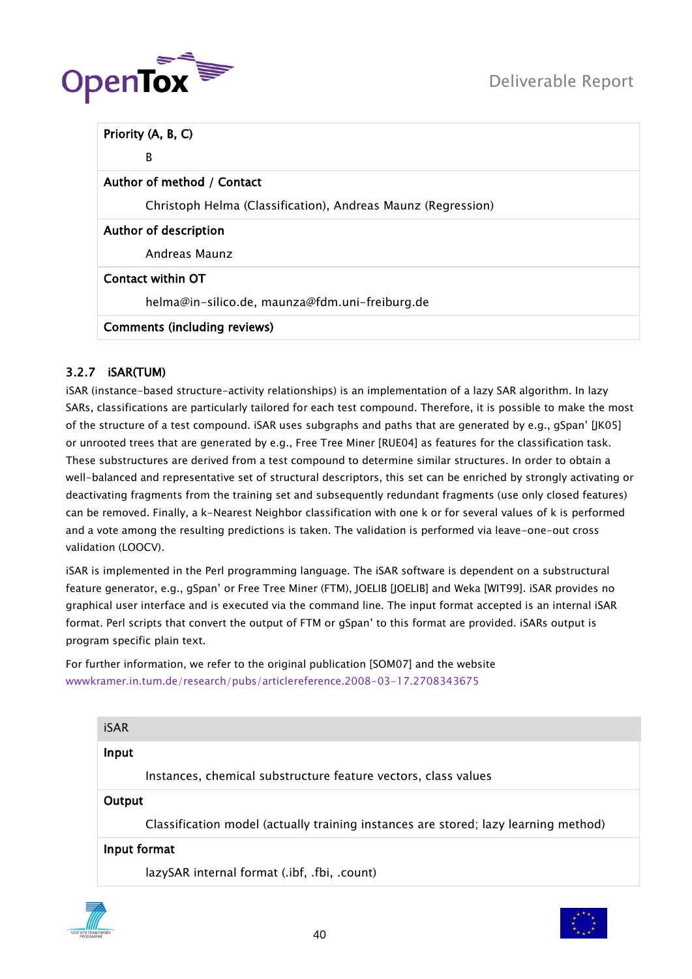

| Priority (A, B, C)                                           |
|--------------------------------------------------------------|
| B                                                            |
| Author of method / Contact                                   |
| Christoph Helma (Classification), Andreas Maunz (Regression) |
| <b>Author of description</b>                                 |
| Andreas Maunz                                                |
| Contact within OT                                            |
| helma@in-silico.de, maunza@fdm.uni-freiburg.de               |
| <b>Comments (including reviews)</b>                          |

# 3.2.7 iSAR(TUM)

iSAR (instance-based structure-activity relationships) is an implementation of a lazy SAR algorithm. In lazy SARs, classifications are particularly tailored for each test compound. Therefore, it is possible to make the most of the structure of a test compound. iSAR uses subgraphs and paths that are generated by e.g., gSpan" [JK05] or unrooted trees that are generated by e.g., Free Tree Miner [RUE04] as features for the classification task. These substructures are derived from a test compound to determine similar structures. In order to obtain a well-balanced and representative set of structural descriptors, this set can be enriched by strongly activating or deactivating fragments from the training set and subsequently redundant fragments (use only closed features) can be removed. Finally, a k-Nearest Neighbor classification with one k or for several values of k is performed and a vote among the resulting predictions is taken. The validation is performed via leave-one-out cross validation (LOOCV).

iSAR is implemented in the Perl programming language. The iSAR software is dependent on a substructural feature generator, e.g., gSpan" or Free Tree Miner (FTM), JOELIB [JOELIB] and Weka [WIT99]. iSAR provides no graphical user interface and is executed via the command line. The input format accepted is an internal iSAR format. Perl scripts that convert the output of FTM or gSpan" to this format are provided. iSARs output is program specific plain text.

For further information, we refer to the original publication [SOM07] and the website [wwwkramer.in.tum.de/research/pubs/articlereference.2008-03-17.2708343675](http://wwwkramer.in.tum.de/research/pubs/articlereference.2008-03-17.2708343675)

| <b>iSAR</b> |                                                                                     |
|-------------|-------------------------------------------------------------------------------------|
| Input       |                                                                                     |
|             | Instances, chemical substructure feature vectors, class values                      |
| Output      |                                                                                     |
|             | Classification model (actually training instances are stored; lazy learning method) |
|             | Input format                                                                        |
|             | lazySAR internal format (.ibf, .fbi, .count)                                        |



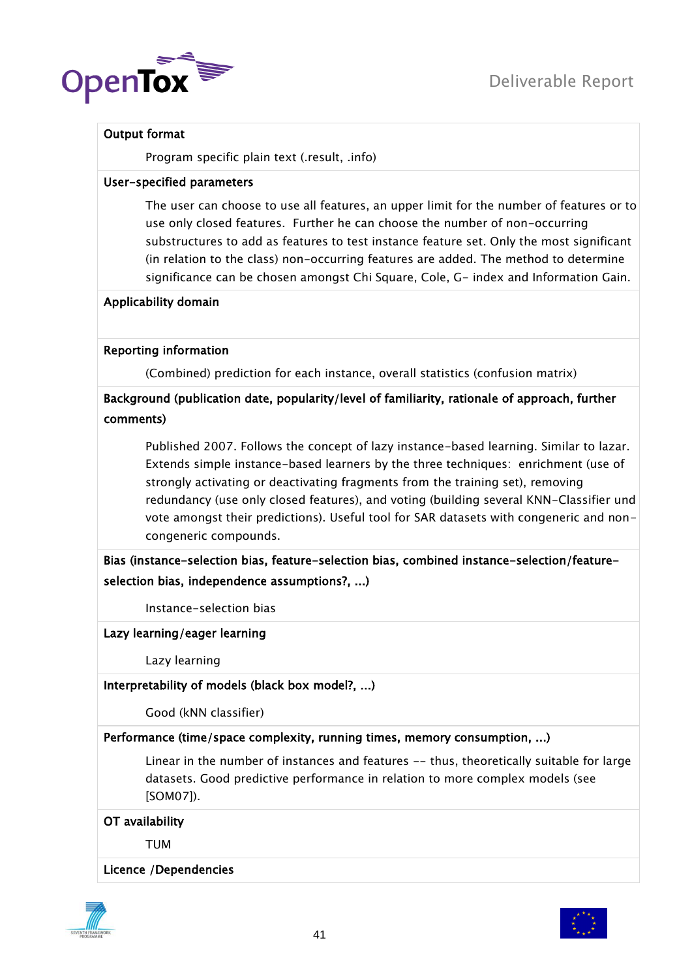

# Output format

Program specific plain text (.result, .info)

# User-specified parameters

The user can choose to use all features, an upper limit for the number of features or to use only closed features. Further he can choose the number of non-occurring substructures to add as features to test instance feature set. Only the most significant (in relation to the class) non-occurring features are added. The method to determine significance can be chosen amongst Chi Square, Cole, G- index and Information Gain.

# Applicability domain

# Reporting information

(Combined) prediction for each instance, overall statistics (confusion matrix)

# Background (publication date, popularity/level of familiarity, rationale of approach, further comments)

Published 2007. Follows the concept of lazy instance-based learning. Similar to lazar. Extends simple instance-based learners by the three techniques: enrichment (use of strongly activating or deactivating fragments from the training set), removing redundancy (use only closed features), and voting (building several KNN-Classifier und vote amongst their predictions). Useful tool for SAR datasets with congeneric and noncongeneric compounds.

# Bias (instance-selection bias, feature-selection bias, combined instance-selection/featureselection bias, independence assumptions?, ...)

Instance-selection bias

# Lazy learning/eager learning

Lazy learning

# Interpretability of models (black box model?, ...)

Good (kNN classifier)

# Performance (time/space complexity, running times, memory consumption, ...)

Linear in the number of instances and features -- thus, theoretically suitable for large datasets. Good predictive performance in relation to more complex models (see [SOM07]).

# OT availability

TUM

# Licence /Dependencies



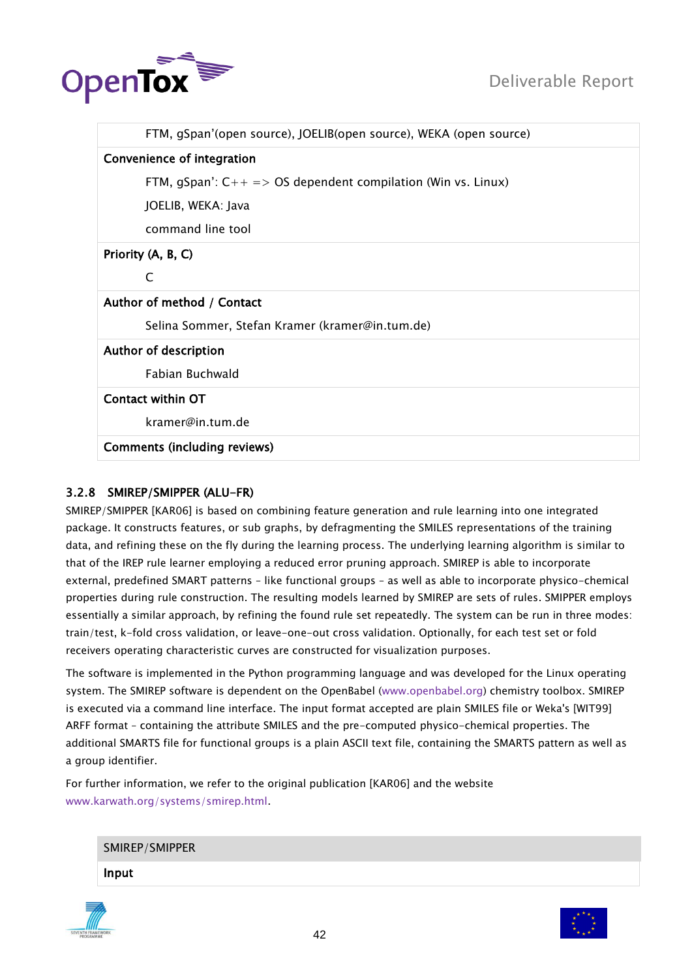

| FTM, gSpan'(open source), JOELIB(open source), WEKA (open source) |
|-------------------------------------------------------------------|
| Convenience of integration                                        |
| FTM, gSpan': $C_{++}$ => OS dependent compilation (Win vs. Linux) |
| JOELIB, WEKA: Java                                                |
| command line tool                                                 |
| Priority (A, B, C)                                                |
| C                                                                 |
| Author of method / Contact                                        |
| Selina Sommer, Stefan Kramer (kramer@in.tum.de)                   |
| Author of description                                             |
| Fabian Buchwald                                                   |
| Contact within OT                                                 |
| kramer@in.tum.de                                                  |
| <b>Comments (including reviews)</b>                               |

# 3.2.8 SMIREP/SMIPPER (ALU-FR)

SMIREP/SMIPPER [KAR06] is based on combining feature generation and rule learning into one integrated package. It constructs features, or sub graphs, by defragmenting the SMILES representations of the training data, and refining these on the fly during the learning process. The underlying learning algorithm is similar to that of the IREP rule learner employing a reduced error pruning approach. SMIREP is able to incorporate external, predefined SMART patterns – like functional groups – as well as able to incorporate physico-chemical properties during rule construction. The resulting models learned by SMIREP are sets of rules. SMIPPER employs essentially a similar approach, by refining the found rule set repeatedly. The system can be run in three modes: train/test, k-fold cross validation, or leave-one-out cross validation. Optionally, for each test set or fold receivers operating characteristic curves are constructed for visualization purposes.

The software is implemented in the Python programming language and was developed for the Linux operating system. The SMIREP software is dependent on the OpenBabel [\(www.openbabel.org\)](http://www.openbabel.org/) chemistry toolbox. SMIREP is executed via a command line interface. The input format accepted are plain SMILES file or Weka's [WIT99] ARFF format – containing the attribute SMILES and the pre-computed physico-chemical properties. The additional SMARTS file for functional groups is a plain ASCII text file, containing the SMARTS pattern as well as a group identifier.

For further information, we refer to the original publication [KAR06] and the website [www.karwath.org/systems/smirep.html.](http://www.karwath.org/systems/smirep.html)

| SMIREP/SMIPPER |  |
|----------------|--|
| Input          |  |



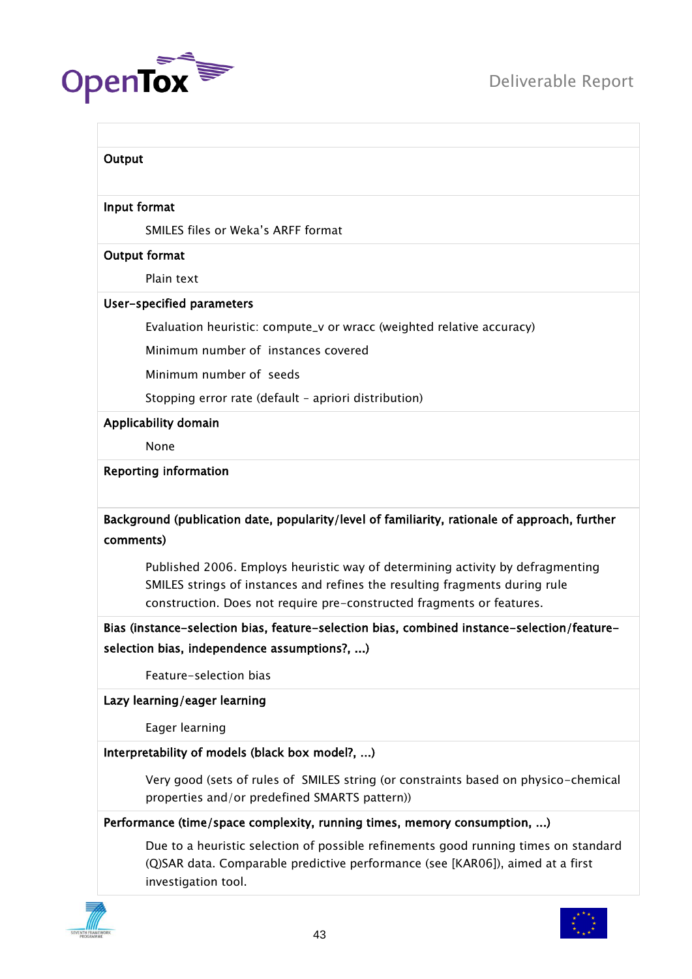

# **Output** Input format SMILES files or Weka"s ARFF format Output format Plain text User-specified parameters Evaluation heuristic: compute\_v or wracc (weighted relative accuracy) Minimum number of instances covered Minimum number of seeds Stopping error rate (default – apriori distribution) Applicability domain None Reporting information Background (publication date, popularity/level of familiarity, rationale of approach, further comments) Published 2006. Employs heuristic way of determining activity by defragmenting SMILES strings of instances and refines the resulting fragments during rule construction. Does not require pre-constructed fragments or features. Bias (instance-selection bias, feature-selection bias, combined instance-selection/featureselection bias, independence assumptions?, ...) Feature-selection bias Lazy learning/eager learning Eager learning Interpretability of models (black box model?, ...) Very good (sets of rules of SMILES string (or constraints based on physico-chemical properties and/or predefined SMARTS pattern)) Performance (time/space complexity, running times, memory consumption, ...) Due to a heuristic selection of possible refinements good running times on standard (Q)SAR data. Comparable predictive performance (see [KAR06]), aimed at a first



investigation tool.

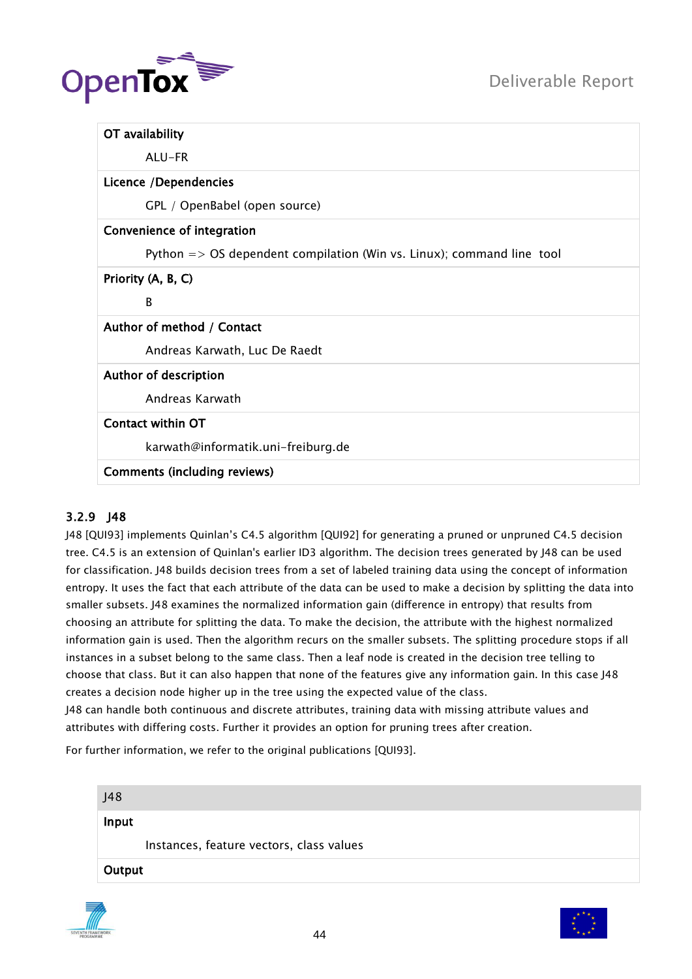

| OT availability                                                                  |
|----------------------------------------------------------------------------------|
| ALU-FR                                                                           |
| Licence /Dependencies                                                            |
| GPL / OpenBabel (open source)                                                    |
| Convenience of integration                                                       |
| Python $\Rightarrow$ OS dependent compilation (Win vs. Linux); command line tool |
| Priority (A, B, C)                                                               |
| B                                                                                |
| Author of method / Contact                                                       |
| Andreas Karwath, Luc De Raedt                                                    |
| Author of description                                                            |
| Andreas Karwath                                                                  |
| Contact within OT                                                                |
| karwath@informatik.uni-freiburg.de                                               |
| <b>Comments (including reviews)</b>                                              |

# 3.2.9 J48

J48 [QUI93] implements Quinlan"s C4.5 algorithm [QUI92] for generating a pruned or unpruned C4.5 decision tree. C4.5 is an extension of Quinlan's earlier ID3 algorithm. The decision trees generated by J48 can be used for classification. J48 builds decision trees from a set of labeled training data using the concept of information entropy. It uses the fact that each attribute of the data can be used to make a decision by splitting the data into smaller subsets. J48 examines the normalized information gain (difference in entropy) that results from choosing an attribute for splitting the data. To make the decision, the attribute with the highest normalized information gain is used. Then the algorithm recurs on the smaller subsets. The splitting procedure stops if all instances in a subset belong to the same class. Then a leaf node is created in the decision tree telling to choose that class. But it can also happen that none of the features give any information gain. In this case J48 creates a decision node higher up in the tree using the expected value of the class.

J48 can handle both continuous and discrete attributes, training data with missing attribute values and attributes with differing costs. Further it provides an option for pruning trees after creation.

For further information, we refer to the original publications [QUI93].

| J48    |                                          |
|--------|------------------------------------------|
| Input  |                                          |
|        | Instances, feature vectors, class values |
| Output |                                          |



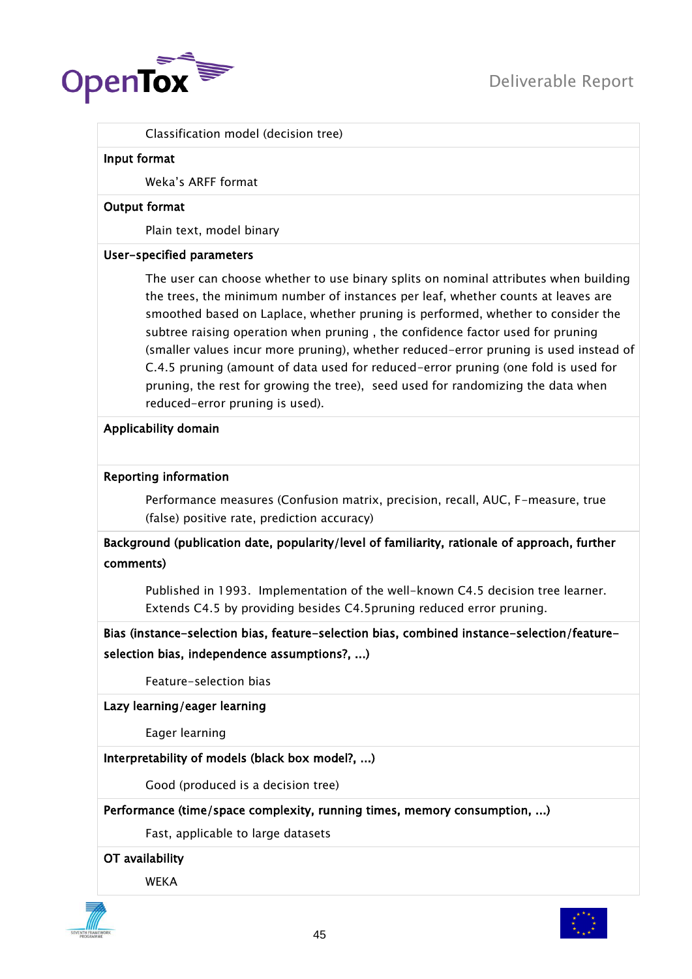

Classification model (decision tree)

#### Input format

Weka"s ARFF format

### Output format

Plain text, model binary

# User-specified parameters

The user can choose whether to use binary splits on nominal attributes when building the trees, the minimum number of instances per leaf, whether counts at leaves are smoothed based on Laplace, whether pruning is performed, whether to consider the subtree raising operation when pruning , the confidence factor used for pruning (smaller values incur more pruning), whether reduced-error pruning is used instead of C.4.5 pruning (amount of data used for reduced-error pruning (one fold is used for pruning, the rest for growing the tree), seed used for randomizing the data when reduced-error pruning is used).

# Applicability domain

# Reporting information

Performance measures (Confusion matrix, precision, recall, AUC, F-measure, true (false) positive rate, prediction accuracy)

Background (publication date, popularity/level of familiarity, rationale of approach, further comments)

Published in 1993. Implementation of the well-known C4.5 decision tree learner. Extends C4.5 by providing besides C4.5pruning reduced error pruning.

Bias (instance-selection bias, feature-selection bias, combined instance-selection/featureselection bias, independence assumptions?, ...)

Feature-selection bias

Lazy learning/eager learning

Eager learning

Interpretability of models (black box model?, ...)

Good (produced is a decision tree)

Performance (time/space complexity, running times, memory consumption, ...)

Fast, applicable to large datasets

OT availability

WEKA



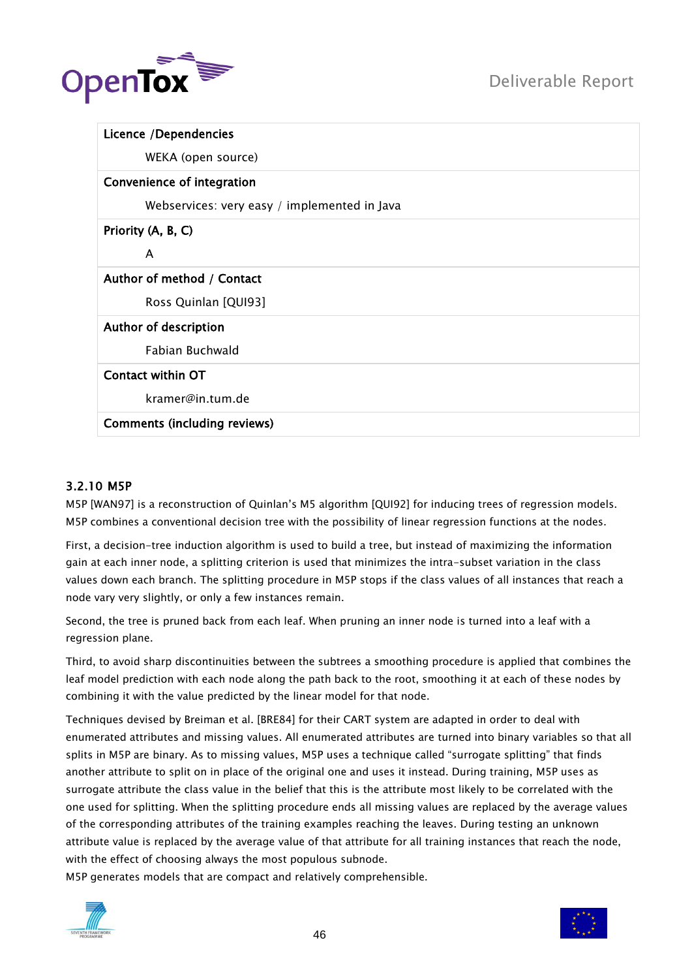

|                    | Licence /Dependencies                        |
|--------------------|----------------------------------------------|
|                    | WEKA (open source)                           |
|                    | Convenience of integration                   |
|                    | Webservices: very easy / implemented in Java |
| Priority (A, B, C) |                                              |
| A                  |                                              |
|                    | Author of method / Contact                   |
|                    | Ross Quinlan [QUI93]                         |
|                    | Author of description                        |
|                    | Fabian Buchwald                              |
|                    | Contact within OT                            |
|                    | kramer@in.tum.de                             |
|                    | <b>Comments (including reviews)</b>          |

# 3.2.10 M5P

M5P [WAN97] is a reconstruction of Quinlan"s M5 algorithm [QUI92] for inducing trees of regression models. M5P combines a conventional decision tree with the possibility of linear regression functions at the nodes.

First, a decision-tree induction algorithm is used to build a tree, but instead of maximizing the information gain at each inner node, a splitting criterion is used that minimizes the intra-subset variation in the class values down each branch. The splitting procedure in M5P stops if the class values of all instances that reach a node vary very slightly, or only a few instances remain.

Second, the tree is pruned back from each leaf. When pruning an inner node is turned into a leaf with a regression plane.

Third, to avoid sharp discontinuities between the subtrees a smoothing procedure is applied that combines the leaf model prediction with each node along the path back to the root, smoothing it at each of these nodes by combining it with the value predicted by the linear model for that node.

Techniques devised by Breiman et al. [BRE84] for their CART system are adapted in order to deal with enumerated attributes and missing values. All enumerated attributes are turned into binary variables so that all splits in M5P are binary. As to missing values, M5P uses a technique called "surrogate splitting" that finds another attribute to split on in place of the original one and uses it instead. During training, M5P uses as surrogate attribute the class value in the belief that this is the attribute most likely to be correlated with the one used for splitting. When the splitting procedure ends all missing values are replaced by the average values of the corresponding attributes of the training examples reaching the leaves. During testing an unknown attribute value is replaced by the average value of that attribute for all training instances that reach the node, with the effect of choosing always the most populous subnode.

M5P generates models that are compact and relatively comprehensible.



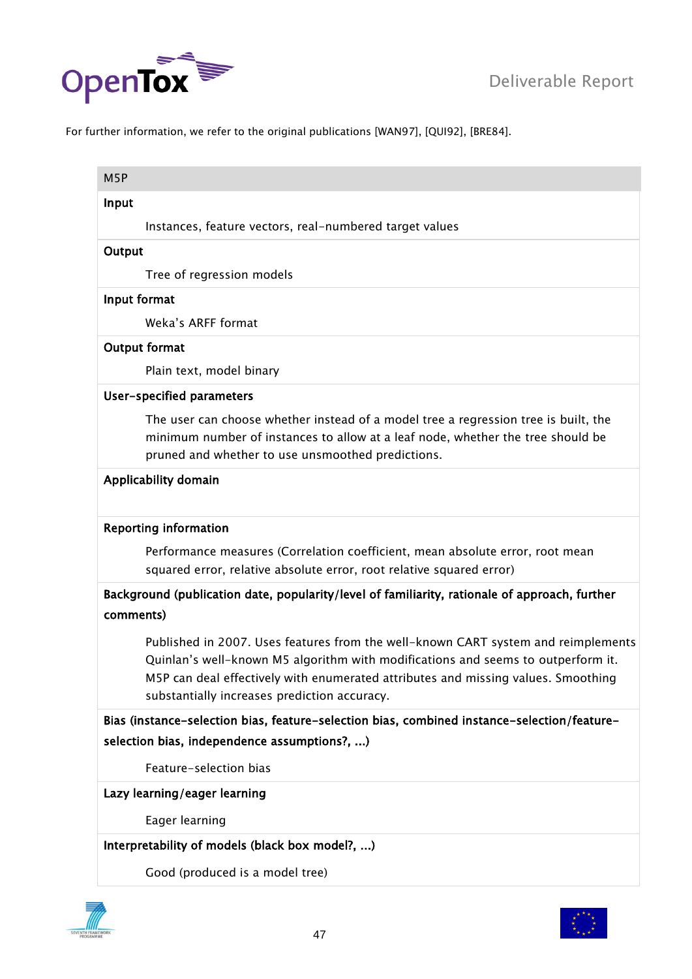

For further information, we refer to the original publications [WAN97], [QUI92], [BRE84].

| M <sub>5</sub> P |                                                                                                                                                                                                                                                                                                            |
|------------------|------------------------------------------------------------------------------------------------------------------------------------------------------------------------------------------------------------------------------------------------------------------------------------------------------------|
| Input            |                                                                                                                                                                                                                                                                                                            |
|                  | Instances, feature vectors, real-numbered target values                                                                                                                                                                                                                                                    |
| Output           |                                                                                                                                                                                                                                                                                                            |
|                  | Tree of regression models                                                                                                                                                                                                                                                                                  |
| Input format     |                                                                                                                                                                                                                                                                                                            |
|                  | Weka's ARFF format                                                                                                                                                                                                                                                                                         |
|                  | Output format                                                                                                                                                                                                                                                                                              |
|                  | Plain text, model binary                                                                                                                                                                                                                                                                                   |
|                  | User-specified parameters                                                                                                                                                                                                                                                                                  |
|                  | The user can choose whether instead of a model tree a regression tree is built, the<br>minimum number of instances to allow at a leaf node, whether the tree should be<br>pruned and whether to use unsmoothed predictions.                                                                                |
|                  | Applicability domain                                                                                                                                                                                                                                                                                       |
|                  | <b>Reporting information</b>                                                                                                                                                                                                                                                                               |
|                  | Performance measures (Correlation coefficient, mean absolute error, root mean<br>squared error, relative absolute error, root relative squared error)                                                                                                                                                      |
| comments)        | Background (publication date, popularity/level of familiarity, rationale of approach, further                                                                                                                                                                                                              |
|                  | Published in 2007. Uses features from the well-known CART system and reimplements<br>Quinlan's well-known M5 algorithm with modifications and seems to outperform it.<br>M5P can deal effectively with enumerated attributes and missing values. Smoothing<br>substantially increases prediction accuracy. |
|                  | Bias (instance-selection bias, feature-selection bias, combined instance-selection/feature-<br>selection bias, independence assumptions?, )                                                                                                                                                                |
|                  | Feature-selection bias                                                                                                                                                                                                                                                                                     |
|                  | Lazy learning/eager learning                                                                                                                                                                                                                                                                               |
|                  | Eager learning                                                                                                                                                                                                                                                                                             |
|                  | Interpretability of models (black box model?, )                                                                                                                                                                                                                                                            |
|                  |                                                                                                                                                                                                                                                                                                            |



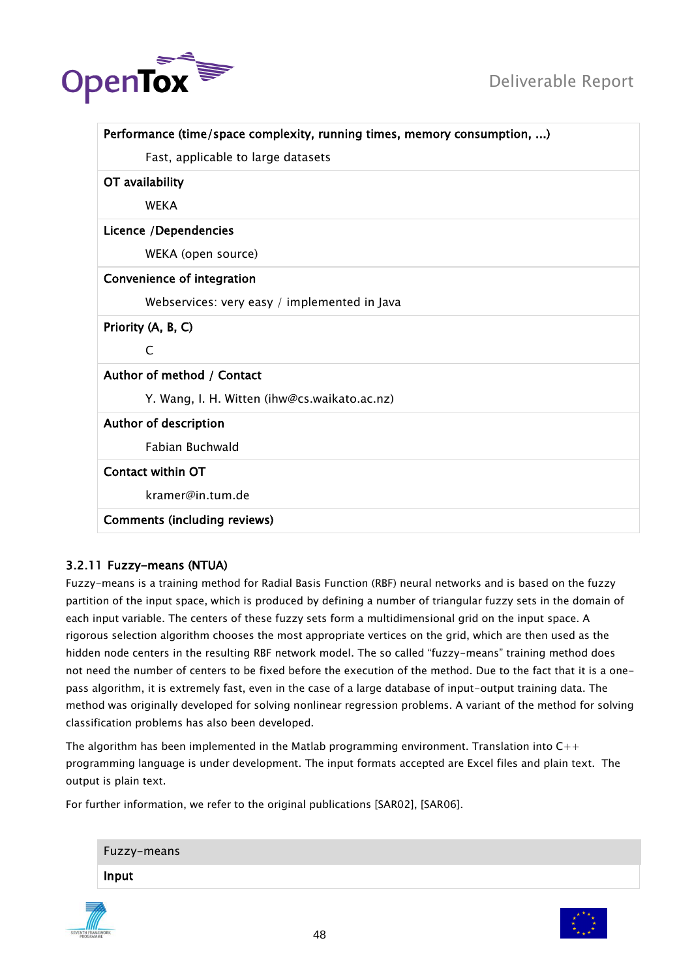

| Performance (time/space complexity, running times, memory consumption, ) |
|--------------------------------------------------------------------------|
| Fast, applicable to large datasets                                       |
| OT availability                                                          |
| <b>WEKA</b>                                                              |
| Licence / Dependencies                                                   |
| WEKA (open source)                                                       |
| Convenience of integration                                               |
| Webservices: very easy / implemented in Java                             |
| Priority (A, B, C)                                                       |
| C                                                                        |
| Author of method / Contact                                               |
| Y. Wang, I. H. Witten (ihw@cs.waikato.ac.nz)                             |
| Author of description                                                    |
| <b>Fabian Buchwald</b>                                                   |
| <b>Contact within OT</b>                                                 |
| kramer@in.tum.de                                                         |
| <b>Comments (including reviews)</b>                                      |

# 3.2.11 Fuzzy-means (NTUA)

Fuzzy-means is a training method for Radial Basis Function (RBF) neural networks and is based on the fuzzy partition of the input space, which is produced by defining a number of triangular fuzzy sets in the domain of each input variable. The centers of these fuzzy sets form a multidimensional grid on the input space. A rigorous selection algorithm chooses the most appropriate vertices on the grid, which are then used as the hidden node centers in the resulting RBF network model. The so called "fuzzy-means" training method does not need the number of centers to be fixed before the execution of the method. Due to the fact that it is a onepass algorithm, it is extremely fast, even in the case of a large database of input-output training data. The method was originally developed for solving nonlinear regression problems. A variant of the method for solving classification problems has also been developed.

The algorithm has been implemented in the Matlab programming environment. Translation into  $C++$ programming language is under development. The input formats accepted are Excel files and plain text. The output is plain text.

For further information, we refer to the original publications [SAR02], [SAR06].

| Fuzzy-means |
|-------------|
| Input       |
|             |

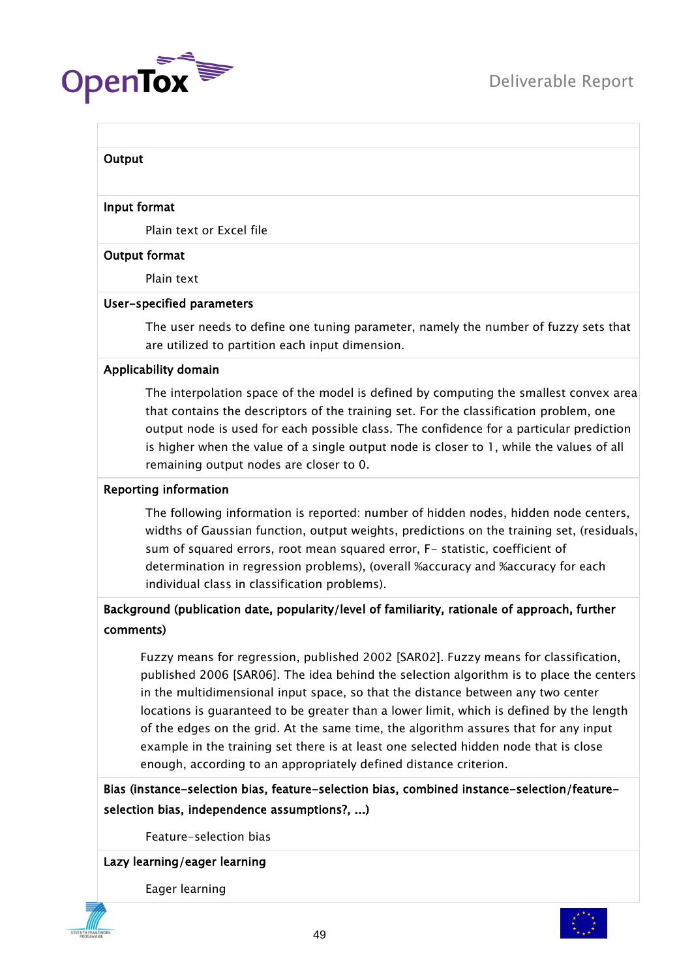

#### **Output**

#### Input format

Plain text or Excel file

#### Output format

Plain text

#### User-specified parameters

The user needs to define one tuning parameter, namely the number of fuzzy sets that are utilized to partition each input dimension.

#### Applicability domain

The interpolation space of the model is defined by computing the smallest convex area that contains the descriptors of the training set. For the classification problem, one output node is used for each possible class. The confidence for a particular prediction is higher when the value of a single output node is closer to 1, while the values of all remaining output nodes are closer to 0.

#### Reporting information

The following information is reported: number of hidden nodes, hidden node centers, widths of Gaussian function, output weights, predictions on the training set, (residuals, sum of squared errors, root mean squared error, F- statistic, coefficient of determination in regression problems), (overall %accuracy and %accuracy for each individual class in classification problems).

# Background (publication date, popularity/level of familiarity, rationale of approach, further comments)

Fuzzy means for regression, published 2002 [SAR02]. Fuzzy means for classification, published 2006 [SAR06]. The idea behind the selection algorithm is to place the centers in the multidimensional input space, so that the distance between any two center locations is guaranteed to be greater than a lower limit, which is defined by the length of the edges on the grid. At the same time, the algorithm assures that for any input example in the training set there is at least one selected hidden node that is close enough, according to an appropriately defined distance criterion.

Bias (instance-selection bias, feature-selection bias, combined instance-selection/featureselection bias, independence assumptions?, ...)

Feature-selection bias

#### Lazy learning/eager learning

Eager learning



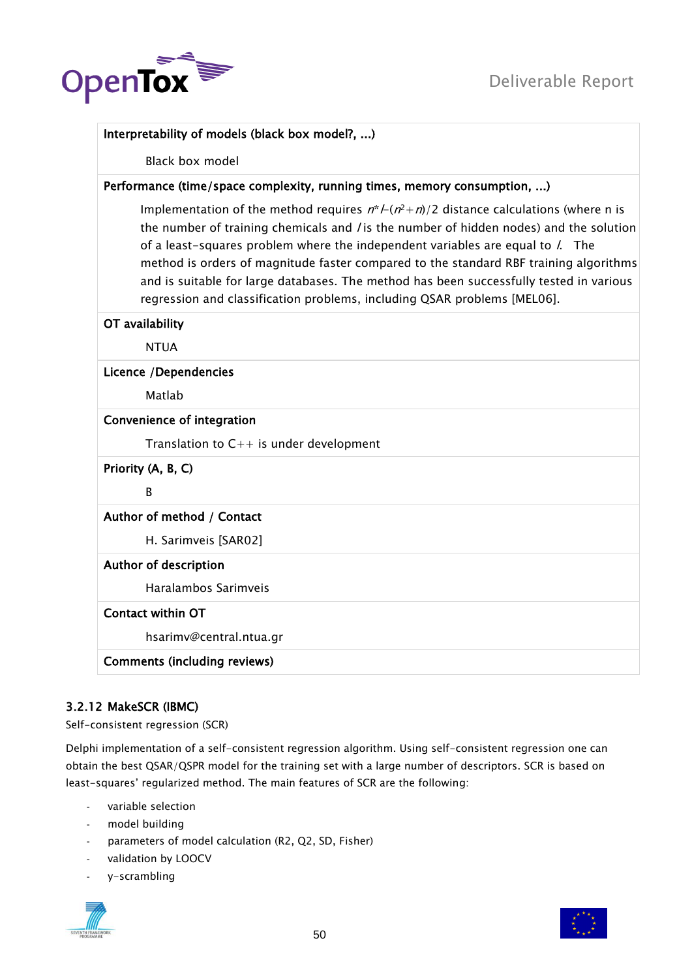

# Interpretability of models (black box model?, ...)

Black box model

# Performance (time/space complexity, running times, memory consumption, ...)

Implementation of the method requires  $n^*$  /-( $n^2$ +n)/2 distance calculations (where n is the number of training chemicals and / is the number of hidden nodes) and the solution of a least-squares problem where the independent variables are equal to  $\ell$ . The method is orders of magnitude faster compared to the standard RBF training algorithms and is suitable for large databases. The method has been successfully tested in various regression and classification problems, including QSAR problems [MEL06].

#### OT availability

NTUA

#### Licence /Dependencies

Matlab

#### Convenience of integration

Translation to  $C++$  is under development

Priority (A, B, C)

<sub>R</sub>

# Author of method / Contact

H. Sarimveis [SAR02]

#### Author of description

Haralambos Sarimveis

#### Contact within OT

hsarimv@central.ntua.gr

Comments (including reviews)

# 3.2.12 MakeSCR (IBMC)

Self-consistent regression (SCR)

Delphi implementation of a self-consistent regression algorithm. Using self-consistent regression one can obtain the best QSAR/QSPR model for the training set with a large number of descriptors. SCR is based on least-squares" regularized method. The main features of SCR are the following:

- variable selection
- model building
- parameters of model calculation (R2, Q2, SD, Fisher)
- validation by LOOCV
- y-scrambling



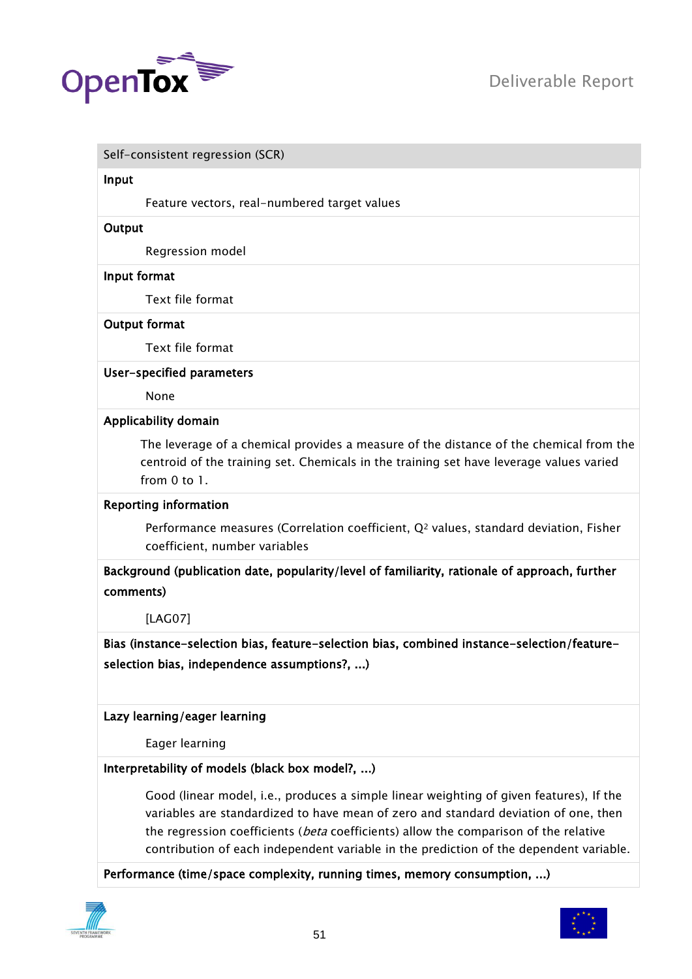

#### Self-consistent regression (SCR)

#### Input

Feature vectors, real-numbered target values

#### **Output**

Regression model

#### Input format

Text file format

#### Output format

Text file format

#### User-specified parameters

None

#### Applicability domain

The leverage of a chemical provides a measure of the distance of the chemical from the centroid of the training set. Chemicals in the training set have leverage values varied from 0 to 1.

#### Reporting information

Performance measures (Correlation coefficient,  $Q<sup>2</sup>$  values, standard deviation, Fisher coefficient, number variables

Background (publication date, popularity/level of familiarity, rationale of approach, further comments)

[LAG07]

Bias (instance-selection bias, feature-selection bias, combined instance-selection/featureselection bias, independence assumptions?, ...)

#### Lazy learning/eager learning

Eager learning

#### Interpretability of models (black box model?, ...)

Good (linear model, i.e., produces a simple linear weighting of given features), If the variables are standardized to have mean of zero and standard deviation of one, then the regression coefficients (beta coefficients) allow the comparison of the relative contribution of each independent variable in the prediction of the dependent variable.

Performance (time/space complexity, running times, memory consumption, ...)



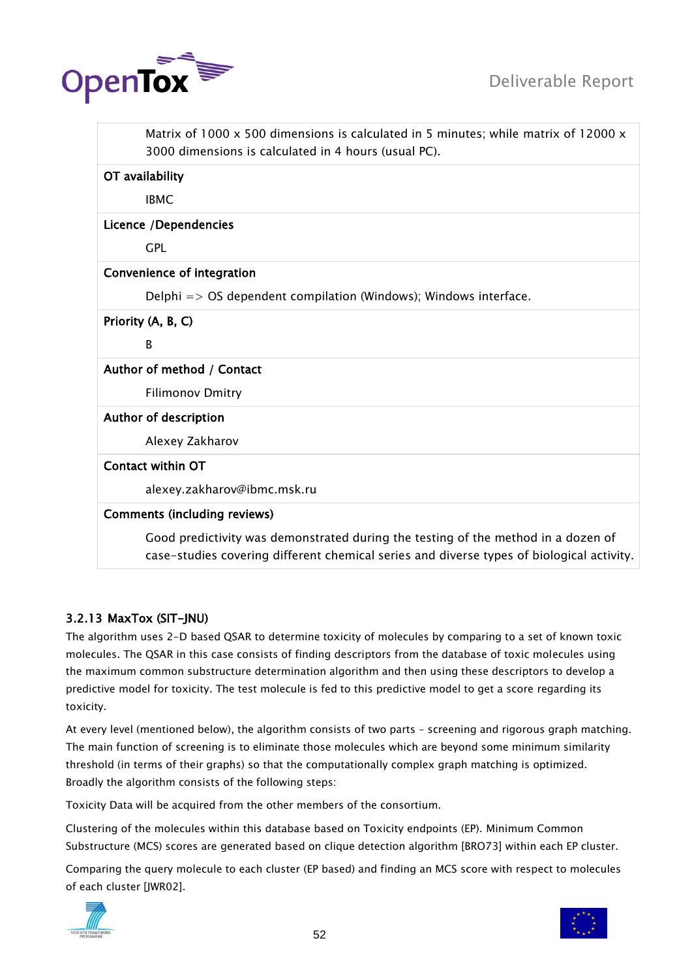

|                                     | Matrix of 1000 $\times$ 500 dimensions is calculated in 5 minutes; while matrix of 12000 $\times$<br>3000 dimensions is calculated in 4 hours (usual PC).                      |
|-------------------------------------|--------------------------------------------------------------------------------------------------------------------------------------------------------------------------------|
| OT availability                     |                                                                                                                                                                                |
| <b>IBMC</b>                         |                                                                                                                                                                                |
| Licence /Dependencies               |                                                                                                                                                                                |
| <b>GPL</b>                          |                                                                                                                                                                                |
| Convenience of integration          |                                                                                                                                                                                |
|                                     | Delphi $\Rightarrow$ OS dependent compilation (Windows); Windows interface.                                                                                                    |
| Priority (A, B, C)                  |                                                                                                                                                                                |
| В                                   |                                                                                                                                                                                |
| Author of method / Contact          |                                                                                                                                                                                |
| <b>Filimonov Dmitry</b>             |                                                                                                                                                                                |
| Author of description               |                                                                                                                                                                                |
| Alexey Zakharov                     |                                                                                                                                                                                |
| <b>Contact within OT</b>            |                                                                                                                                                                                |
|                                     | alexey.zakharov@ibmc.msk.ru                                                                                                                                                    |
| <b>Comments (including reviews)</b> |                                                                                                                                                                                |
|                                     | Good predictivity was demonstrated during the testing of the method in a dozen of<br>case-studies covering different chemical series and diverse types of biological activity. |

# 3.2.13 MaxTox (SIT-JNU)

The algorithm uses 2-D based QSAR to determine toxicity of molecules by comparing to a set of known toxic molecules. The QSAR in this case consists of finding descriptors from the database of toxic molecules using the maximum common substructure determination algorithm and then using these descriptors to develop a predictive model for toxicity. The test molecule is fed to this predictive model to get a score regarding its toxicity.

At every level (mentioned below), the algorithm consists of two parts – screening and rigorous graph matching. The main function of screening is to eliminate those molecules which are beyond some minimum similarity threshold (in terms of their graphs) so that the computationally complex graph matching is optimized. Broadly the algorithm consists of the following steps:

Toxicity Data will be acquired from the other members of the consortium.

Clustering of the molecules within this database based on Toxicity endpoints (EP). Minimum Common Substructure (MCS) scores are generated based on clique detection algorithm [BRO73] within each EP cluster.

Comparing the query molecule to each cluster (EP based) and finding an MCS score with respect to molecules of each cluster [JWR02].



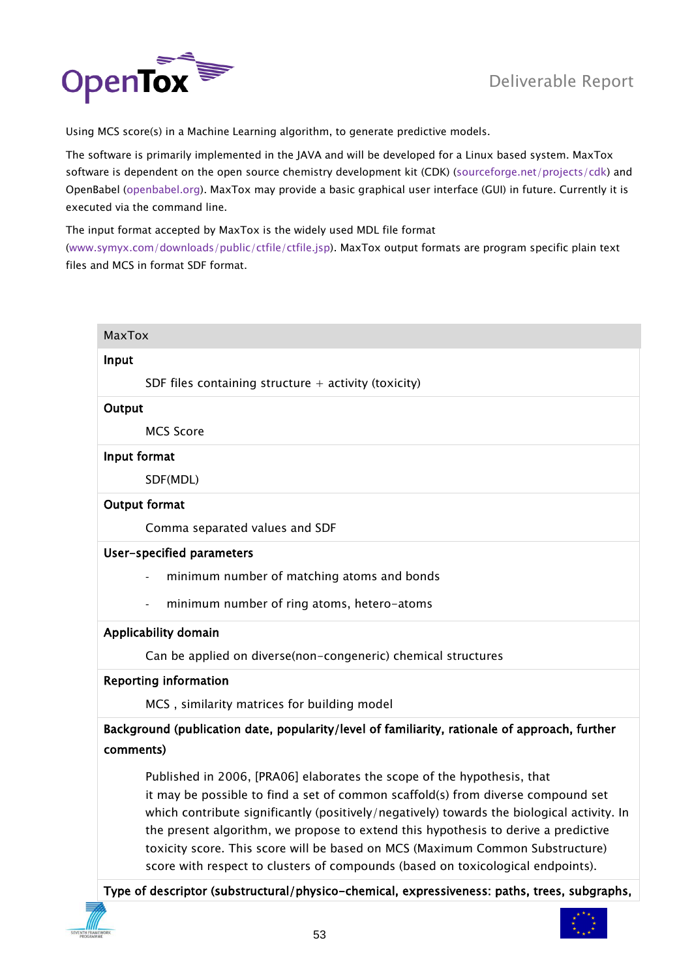

Using MCS score(s) in a Machine Learning algorithm, to generate predictive models.

The software is primarily implemented in the JAVA and will be developed for a Linux based system. MaxTox software is dependent on the open source chemistry development kit (CDK) [\(sourceforge.net/projects/cdk\)](http://sourceforge.net/projects/cdk) and OpenBabel [\(openbabel.org\)](http://openbabel.org/). MaxTox may provide a basic graphical user interface (GUI) in future. Currently it is executed via the command line.

The input format accepted by MaxTox is the widely used MDL file format [\(www.symyx.com/downloads/public/ctfile/ctfile.jsp\)](http://www.symyx.com/downloads/public/ctfile/ctfile.jsp). MaxTox output formats are program specific plain text files and MCS in format SDF format.

| SDF files containing structure $+$ activity (toxicity)                                                                                                                                                                                                                                                                                                                                                                                                                                                              |
|---------------------------------------------------------------------------------------------------------------------------------------------------------------------------------------------------------------------------------------------------------------------------------------------------------------------------------------------------------------------------------------------------------------------------------------------------------------------------------------------------------------------|
|                                                                                                                                                                                                                                                                                                                                                                                                                                                                                                                     |
|                                                                                                                                                                                                                                                                                                                                                                                                                                                                                                                     |
|                                                                                                                                                                                                                                                                                                                                                                                                                                                                                                                     |
|                                                                                                                                                                                                                                                                                                                                                                                                                                                                                                                     |
| <b>MCS Score</b>                                                                                                                                                                                                                                                                                                                                                                                                                                                                                                    |
| Input format                                                                                                                                                                                                                                                                                                                                                                                                                                                                                                        |
| SDF(MDL)                                                                                                                                                                                                                                                                                                                                                                                                                                                                                                            |
| <b>Output format</b>                                                                                                                                                                                                                                                                                                                                                                                                                                                                                                |
| Comma separated values and SDF                                                                                                                                                                                                                                                                                                                                                                                                                                                                                      |
| User-specified parameters                                                                                                                                                                                                                                                                                                                                                                                                                                                                                           |
| minimum number of matching atoms and bonds                                                                                                                                                                                                                                                                                                                                                                                                                                                                          |
| minimum number of ring atoms, hetero-atoms                                                                                                                                                                                                                                                                                                                                                                                                                                                                          |
| Applicability domain                                                                                                                                                                                                                                                                                                                                                                                                                                                                                                |
| Can be applied on diverse(non-congeneric) chemical structures                                                                                                                                                                                                                                                                                                                                                                                                                                                       |
| <b>Reporting information</b>                                                                                                                                                                                                                                                                                                                                                                                                                                                                                        |
| MCS, similarity matrices for building model                                                                                                                                                                                                                                                                                                                                                                                                                                                                         |
| Background (publication date, popularity/level of familiarity, rationale of approach, further<br>comments)                                                                                                                                                                                                                                                                                                                                                                                                          |
| Published in 2006, [PRA06] elaborates the scope of the hypothesis, that<br>it may be possible to find a set of common scaffold(s) from diverse compound set<br>which contribute significantly (positively/negatively) towards the biological activity. In<br>the present algorithm, we propose to extend this hypothesis to derive a predictive<br>toxicity score. This score will be based on MCS (Maximum Common Substructure)<br>score with respect to clusters of compounds (based on toxicological endpoints). |
| Type of descriptor (substructural/physico-chemical, expressiveness: paths, trees, subgraphs,                                                                                                                                                                                                                                                                                                                                                                                                                        |

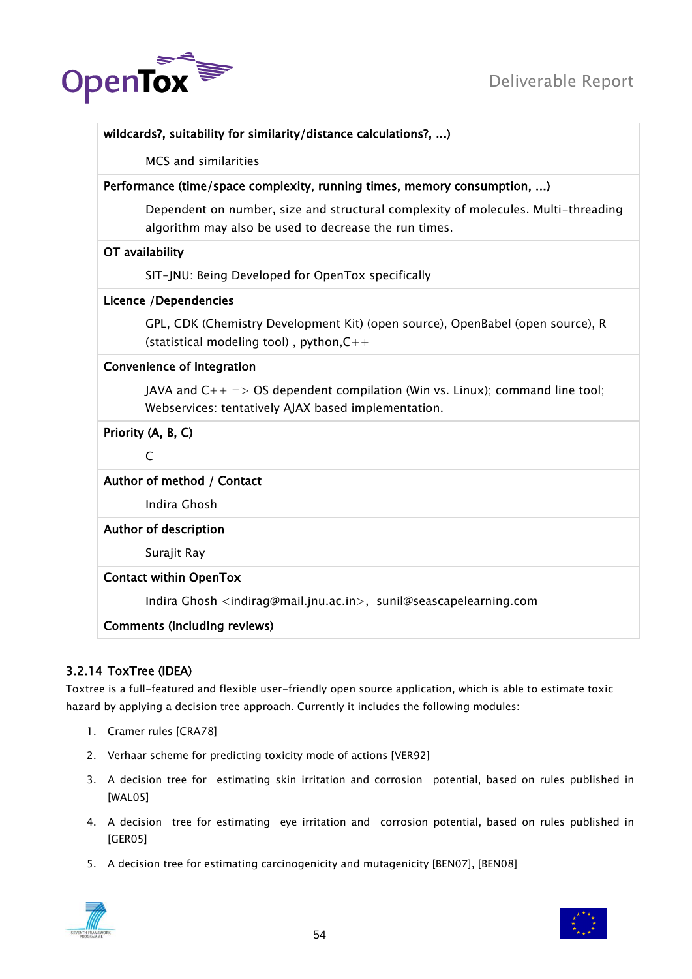

| wildcards?, suitability for similarity/distance calculations?, )                                                                           |
|--------------------------------------------------------------------------------------------------------------------------------------------|
| MCS and similarities                                                                                                                       |
| Performance (time/space complexity, running times, memory consumption, )                                                                   |
| Dependent on number, size and structural complexity of molecules. Multi-threading<br>algorithm may also be used to decrease the run times. |
| OT availability                                                                                                                            |
| SIT-JNU: Being Developed for OpenTox specifically                                                                                          |
| Licence /Dependencies                                                                                                                      |
| GPL, CDK (Chemistry Development Kit) (open source), OpenBabel (open source), R<br>(statistical modeling tool), python, $C++$               |
| Convenience of integration                                                                                                                 |
| JAVA and $C_{++}$ => OS dependent compilation (Win vs. Linux); command line tool;<br>Webservices: tentatively AJAX based implementation.   |
| Priority (A, B, C)                                                                                                                         |
| $\mathsf{C}$                                                                                                                               |
| Author of method / Contact                                                                                                                 |
| Indira Ghosh                                                                                                                               |
| Author of description                                                                                                                      |
| Surajit Ray                                                                                                                                |
| <b>Contact within OpenTox</b>                                                                                                              |
| Indira Ghosh <indirag@mail.jnu.ac.in>, sunil@seascapelearning.com</indirag@mail.jnu.ac.in>                                                 |
| <b>Comments (including reviews)</b>                                                                                                        |

# 3.2.14 ToxTree (IDEA)

Toxtree is a full-featured and flexible user-friendly open source application, which is able to estimate toxic hazard by applying a decision tree approach. Currently it includes the following modules:

- 1. Cramer rules [CRA78]
- 2. Verhaar scheme for predicting toxicity mode of actions [VER92]
- 3. A decision tree for estimating skin irritation and corrosion potential, based on rules published in [WAL05]
- 4. A decision tree for estimating eye irritation and corrosion potential, based on rules published in [GER05]
- 5. A decision tree for estimating carcinogenicity and mutagenicity [BEN07], [BEN08]



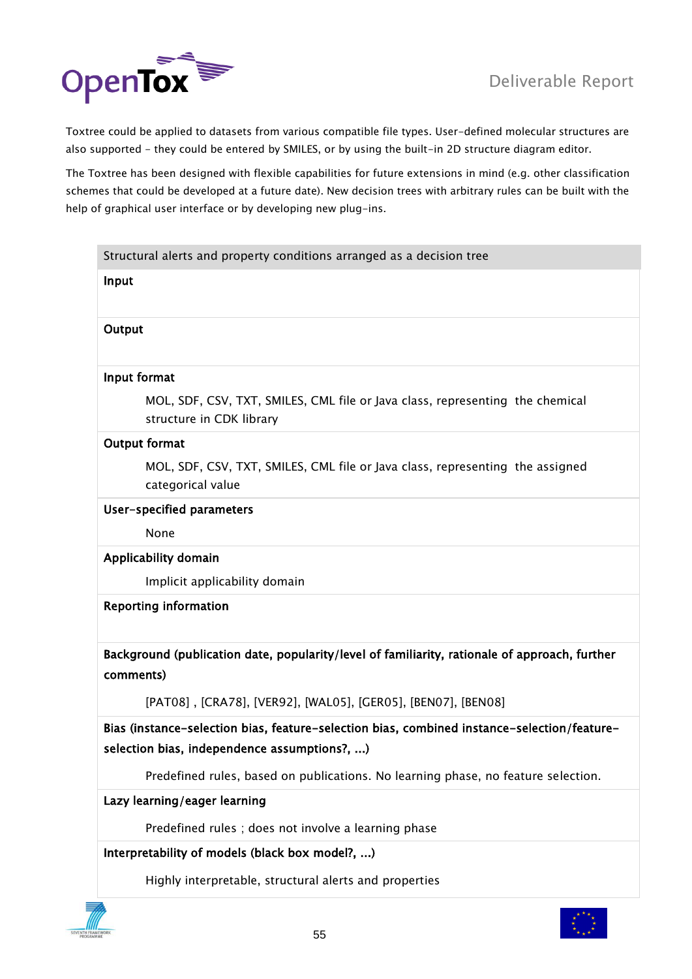

Toxtree could be applied to datasets from various compatible file types. User-defined molecular structures are also supported - they could be entered by SMILES, or by using the built-in 2D structure diagram editor.

The Toxtree has been designed with flexible capabilities for future extensions in mind (e.g. other classification schemes that could be developed at a future date). New decision trees with arbitrary rules can be built with the help of graphical user interface or by developing new plug-ins.

|                      | Structural alerts and property conditions arranged as a decision tree                                                                       |
|----------------------|---------------------------------------------------------------------------------------------------------------------------------------------|
| Input                |                                                                                                                                             |
| Output               |                                                                                                                                             |
| Input format         |                                                                                                                                             |
|                      | MOL, SDF, CSV, TXT, SMILES, CML file or Java class, representing the chemical<br>structure in CDK library                                   |
| <b>Output format</b> |                                                                                                                                             |
|                      | MOL, SDF, CSV, TXT, SMILES, CML file or Java class, representing the assigned<br>categorical value                                          |
|                      | User-specified parameters                                                                                                                   |
|                      | None                                                                                                                                        |
|                      | Applicability domain                                                                                                                        |
|                      | Implicit applicability domain                                                                                                               |
|                      | <b>Reporting information</b>                                                                                                                |
| comments)            | Background (publication date, popularity/level of familiarity, rationale of approach, further                                               |
|                      | [PAT08], [CRA78], [VER92], [WAL05], [GER05], [BEN07], [BEN08]                                                                               |
|                      | Bias (instance-selection bias, feature-selection bias, combined instance-selection/feature-<br>selection bias, independence assumptions?, ) |
|                      | Predefined rules, based on publications. No learning phase, no feature selection.                                                           |
|                      | Lazy learning/eager learning                                                                                                                |
|                      | Predefined rules; does not involve a learning phase                                                                                         |
|                      | Interpretability of models (black box model?, )                                                                                             |
|                      | Highly interpretable, structural alerts and properties                                                                                      |
|                      |                                                                                                                                             |

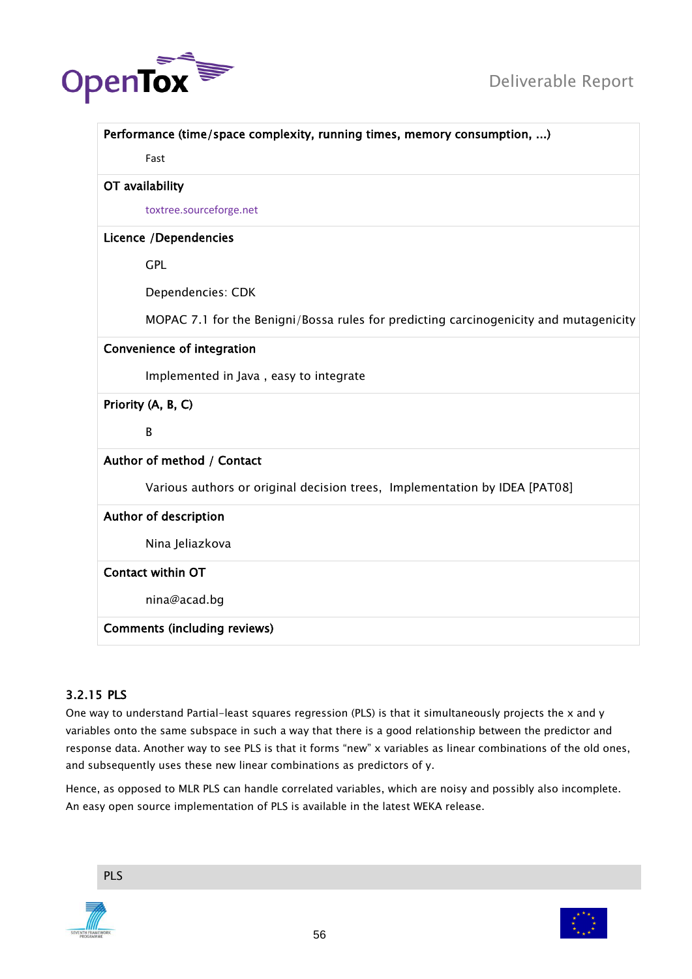



| Performance (time/space complexity, running times, memory consumption, )              |
|---------------------------------------------------------------------------------------|
| Fast                                                                                  |
| OT availability                                                                       |
| toxtree.sourceforge.net                                                               |
| <b>Licence /Dependencies</b>                                                          |
| <b>GPL</b>                                                                            |
| Dependencies: CDK                                                                     |
| MOPAC 7.1 for the Benigni/Bossa rules for predicting carcinogenicity and mutagenicity |
| <b>Convenience of integration</b>                                                     |
| Implemented in Java, easy to integrate                                                |
| Priority (A, B, C)                                                                    |
| B                                                                                     |
| Author of method / Contact                                                            |
| Various authors or original decision trees, Implementation by IDEA [PAT08]            |
| Author of description                                                                 |
| Nina Jeliazkova                                                                       |
| <b>Contact within OT</b>                                                              |
| nina@acad.bg                                                                          |

# 3.2.15 PLS

One way to understand Partial-least squares regression (PLS) is that it simultaneously projects the x and y variables onto the same subspace in such a way that there is a good relationship between the predictor and response data. Another way to see PLS is that it forms "new" x variables as linear combinations of the old ones, and subsequently uses these new linear combinations as predictors of y.

Hence, as opposed to MLR PLS can handle correlated variables, which are noisy and possibly also incomplete. An easy open source implementation of PLS is available in the latest WEKA release.

PLS



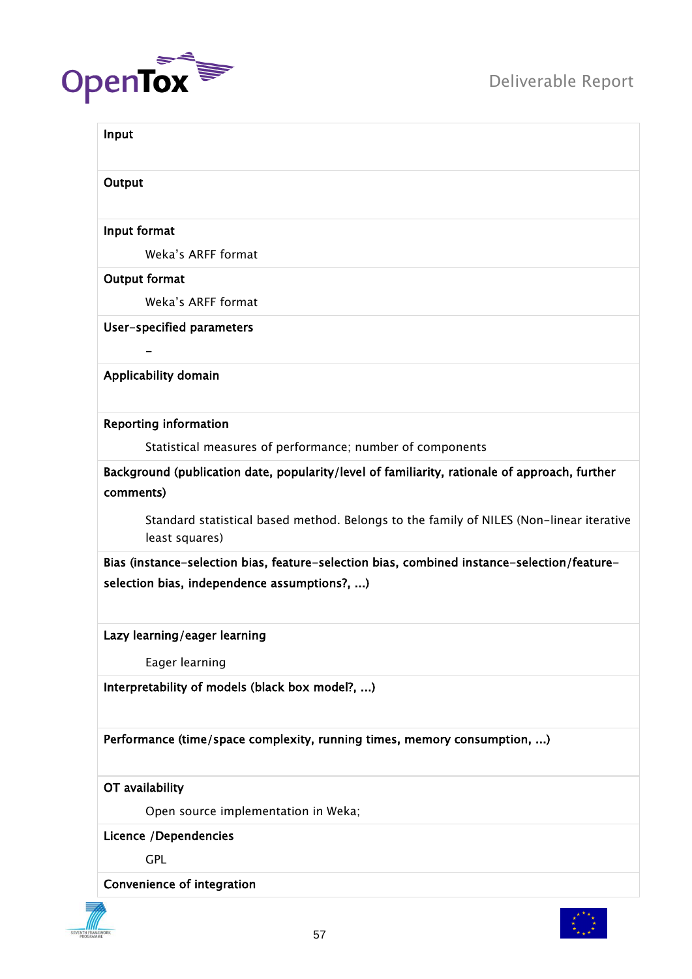

| Input                                                                                                      |
|------------------------------------------------------------------------------------------------------------|
| Output                                                                                                     |
| Input format                                                                                               |
| Weka's ARFF format                                                                                         |
| <b>Output format</b>                                                                                       |
| Weka's ARFF format                                                                                         |
| User-specified parameters                                                                                  |
|                                                                                                            |
| Applicability domain                                                                                       |
| <b>Reporting information</b>                                                                               |
| Statistical measures of performance; number of components                                                  |
| Background (publication date, popularity/level of familiarity, rationale of approach, further<br>comments) |
| Standard statistical based method. Belongs to the family of NILES (Non-linear iterative<br>least squares)  |
| Bias (instance-selection bias, feature-selection bias, combined instance-selection/feature-                |
| selection bias, independence assumptions?, )                                                               |
| Lazy learning/eager learning                                                                               |
| Eager learning                                                                                             |
| Interpretability of models (black box model?, )                                                            |
| Performance (time/space complexity, running times, memory consumption, )                                   |
| OT availability                                                                                            |
| Open source implementation in Weka;                                                                        |
| <b>Licence /Dependencies</b>                                                                               |
| <b>GPL</b>                                                                                                 |
| Convenience of integration                                                                                 |

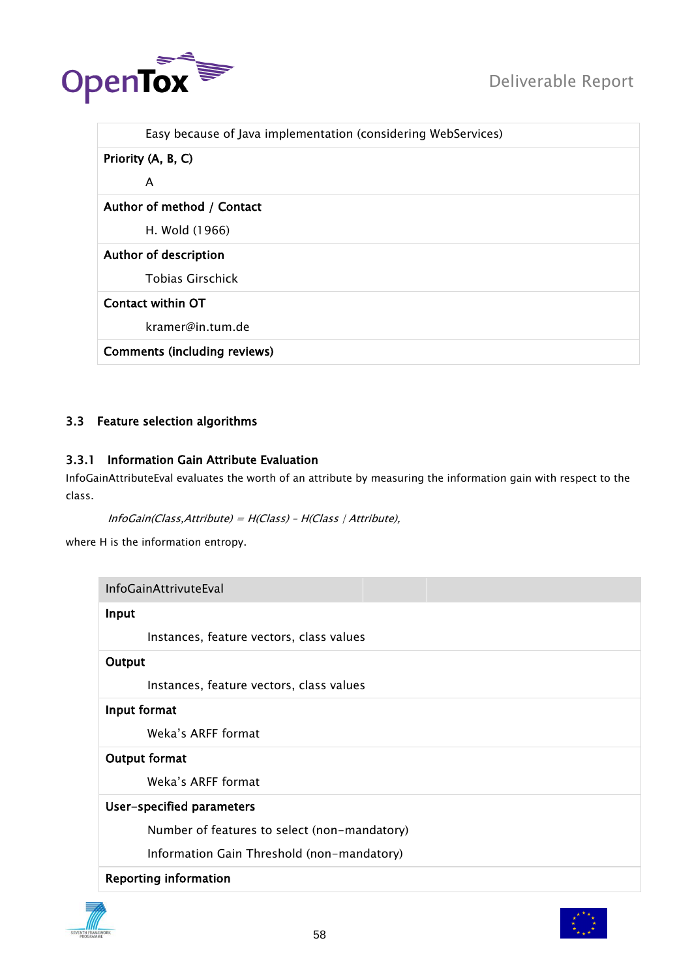

| Easy because of Java implementation (considering WebServices) |
|---------------------------------------------------------------|
| Priority (A, B, C)                                            |
| A                                                             |
| Author of method / Contact                                    |
| H. Wold (1966)                                                |
| Author of description                                         |
| <b>Tobias Girschick</b>                                       |
| Contact within OT                                             |
| kramer@in.tum.de                                              |
| <b>Comments (including reviews)</b>                           |

# 3.3 Feature selection algorithms

# 3.3.1 Information Gain Attribute Evaluation

InfoGainAttributeEval evaluates the worth of an attribute by measuring the information gain with respect to the class.

```
InfoGain(Class,Attribute) = H(Class) – H(Class | Attribute),
```
where H is the information entropy.

| <b>InfoGainAttrivuteEval</b>                 |  |  |
|----------------------------------------------|--|--|
| Input                                        |  |  |
| Instances, feature vectors, class values     |  |  |
| Output                                       |  |  |
| Instances, feature vectors, class values     |  |  |
| Input format                                 |  |  |
| Weka's ARFF format                           |  |  |
| Output format                                |  |  |
| Weka's ARFF format                           |  |  |
| User-specified parameters                    |  |  |
| Number of features to select (non-mandatory) |  |  |
| Information Gain Threshold (non-mandatory)   |  |  |
| <b>Reporting information</b>                 |  |  |



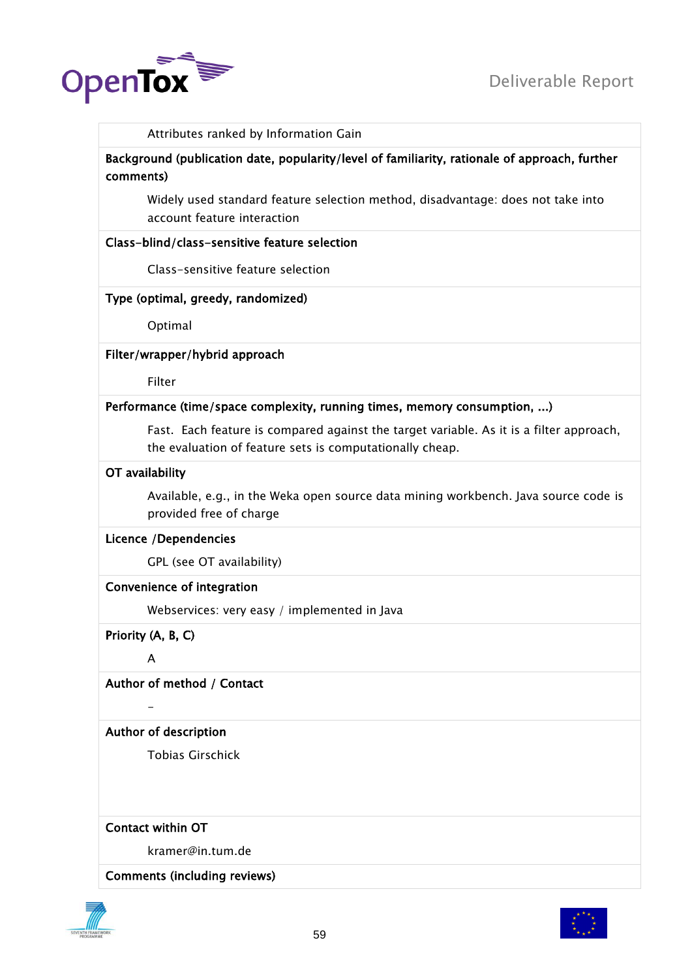

Attributes ranked by Information Gain

Background (publication date, popularity/level of familiarity, rationale of approach, further comments)

Widely used standard feature selection method, disadvantage: does not take into account feature interaction

#### Class-blind/class-sensitive feature selection

Class-sensitive feature selection

# Type (optimal, greedy, randomized)

Optimal

#### Filter/wrapper/hybrid approach

Filter

#### Performance (time/space complexity, running times, memory consumption, ...)

Fast. Each feature is compared against the target variable. As it is a filter approach, the evaluation of feature sets is computationally cheap.

#### OT availability

Available, e.g., in the Weka open source data mining workbench. Java source code is provided free of charge

#### Licence /Dependencies

GPL (see OT availability)

# Convenience of integration

Webservices: very easy / implemented in Java

Priority (A, B, C)

A

-

# Author of method / Contact

Author of description

Tobias Girschick

# Contact within OT

kramer@in.tum.de

#### Comments (including reviews)



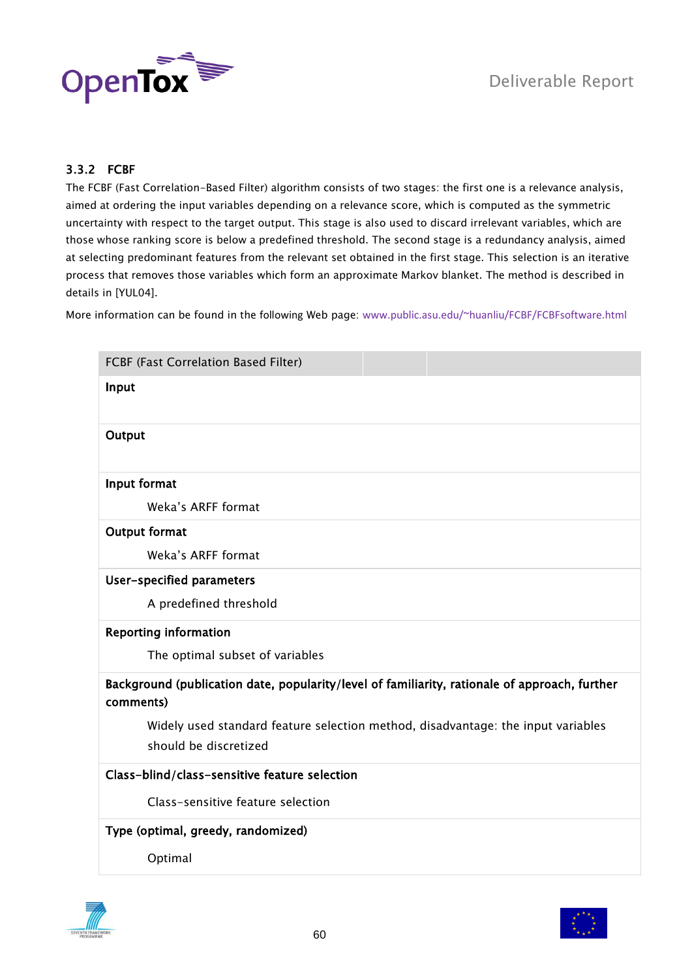

# 3.3.2 FCBF

The FCBF (Fast Correlation-Based Filter) algorithm consists of two stages: the first one is a relevance analysis, aimed at ordering the input variables depending on a relevance score, which is computed as the symmetric uncertainty with respect to the target output. This stage is also used to discard irrelevant variables, which are those whose ranking score is below a predefined threshold. The second stage is a redundancy analysis, aimed at selecting predominant features from the relevant set obtained in the first stage. This selection is an iterative process that removes those variables which form an approximate Markov blanket. The method is described in details in [YUL04].

More information can be found in the following Web page: [www.public.asu.edu/~huanliu/FCBF/FCBFsoftware.html](http://www.public.asu.edu/~huanliu/FCBF/FCBFsoftware.html)

| FCBF (Fast Correlation Based Filter)                                                                       |
|------------------------------------------------------------------------------------------------------------|
| Input                                                                                                      |
|                                                                                                            |
| Output                                                                                                     |
|                                                                                                            |
| Input format                                                                                               |
| Weka's ARFF format                                                                                         |
| <b>Output format</b>                                                                                       |
| Weka's ARFF format                                                                                         |
| User-specified parameters                                                                                  |
| A predefined threshold                                                                                     |
| <b>Reporting information</b>                                                                               |
| The optimal subset of variables                                                                            |
| Background (publication date, popularity/level of familiarity, rationale of approach, further<br>comments) |
| Widely used standard feature selection method, disadvantage: the input variables                           |
| should be discretized                                                                                      |
| Class-blind/class-sensitive feature selection                                                              |
| Class-sensitive feature selection                                                                          |
| Type (optimal, greedy, randomized)                                                                         |
| Optimal                                                                                                    |



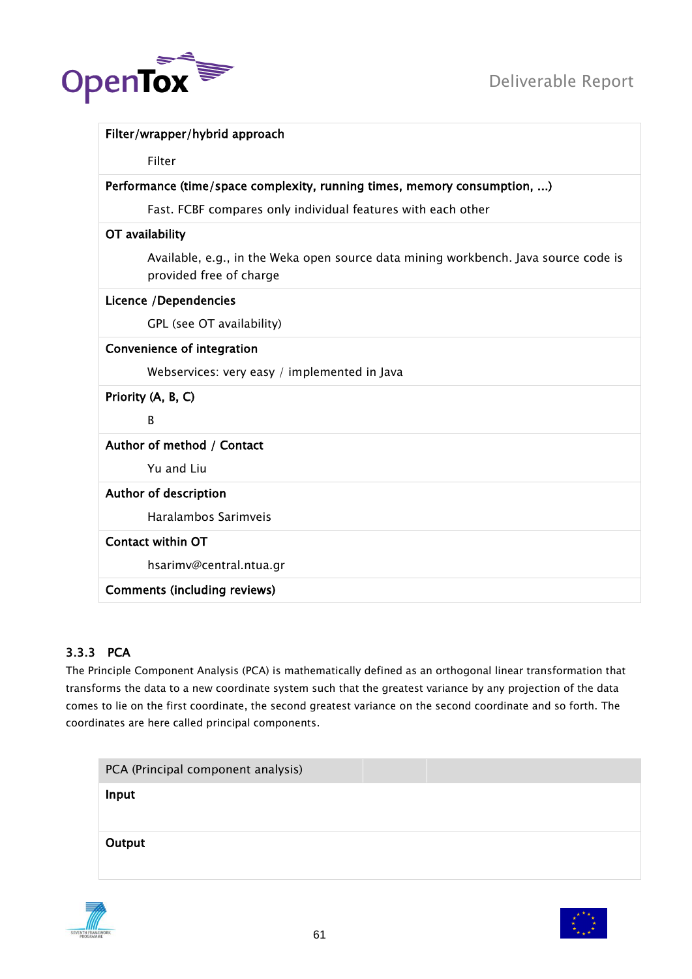

| Filter/wrapper/hybrid approach                                                                                 |  |
|----------------------------------------------------------------------------------------------------------------|--|
| Filter                                                                                                         |  |
| Performance (time/space complexity, running times, memory consumption, )                                       |  |
| Fast. FCBF compares only individual features with each other                                                   |  |
| OT availability                                                                                                |  |
| Available, e.g., in the Weka open source data mining workbench. Java source code is<br>provided free of charge |  |
| Licence /Dependencies                                                                                          |  |
| GPL (see OT availability)                                                                                      |  |
| Convenience of integration                                                                                     |  |
| Webservices: very easy / implemented in Java                                                                   |  |
| Priority (A, B, C)                                                                                             |  |
| <sub>B</sub>                                                                                                   |  |
| Author of method / Contact                                                                                     |  |
| Yu and Liu                                                                                                     |  |
| Author of description                                                                                          |  |
| Haralambos Sarimveis                                                                                           |  |
| <b>Contact within OT</b>                                                                                       |  |
| hsarimv@central.ntua.gr                                                                                        |  |
| <b>Comments (including reviews)</b>                                                                            |  |

# 3.3.3 PCA

The Principle Component Analysis (PCA) is mathematically defined as an orthogonal linear transformation that transforms the data to a new coordinate system such that the greatest variance by any projection of the data comes to lie on the first coordinate, the second greatest variance on the second coordinate and so forth. The coordinates are here called principal components.

|        | PCA (Principal component analysis) |  |
|--------|------------------------------------|--|
| Input  |                                    |  |
|        |                                    |  |
| Output |                                    |  |
|        |                                    |  |



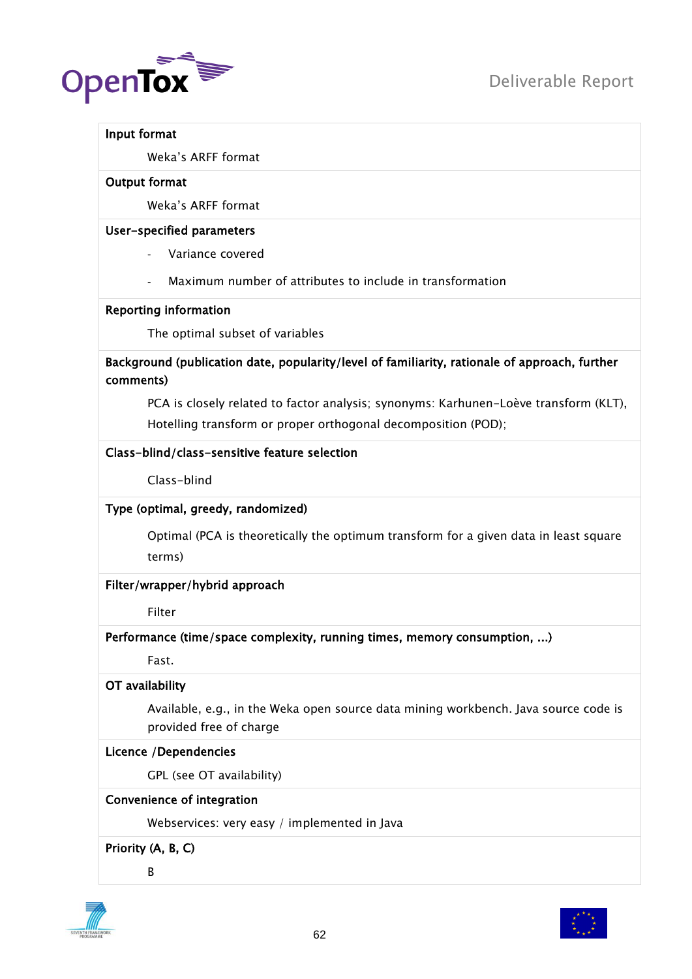

#### Input format

Weka"s ARFF format

#### Output format

Weka"s ARFF format

#### User-specified parameters

Variance covered

Maximum number of attributes to include in transformation

#### Reporting information

The optimal subset of variables

Background (publication date, popularity/level of familiarity, rationale of approach, further comments)

PCA is closely related to factor analysis; synonyms: Karhunen-Loève transform (KLT), Hotelling transform or proper orthogonal decomposition (POD);

# Class-blind/class-sensitive feature selection

Class-blind

# Type (optimal, greedy, randomized)

Optimal (PCA is theoretically the optimum transform for a given data in least square terms)

# Filter/wrapper/hybrid approach

Filter

# Performance (time/space complexity, running times, memory consumption, ...)

Fast.

# OT availability

Available, e.g., in the Weka open source data mining workbench. Java source code is provided free of charge

# Licence /Dependencies

GPL (see OT availability)

# Convenience of integration

Webservices: very easy / implemented in Java

# Priority (A, B, C)

B



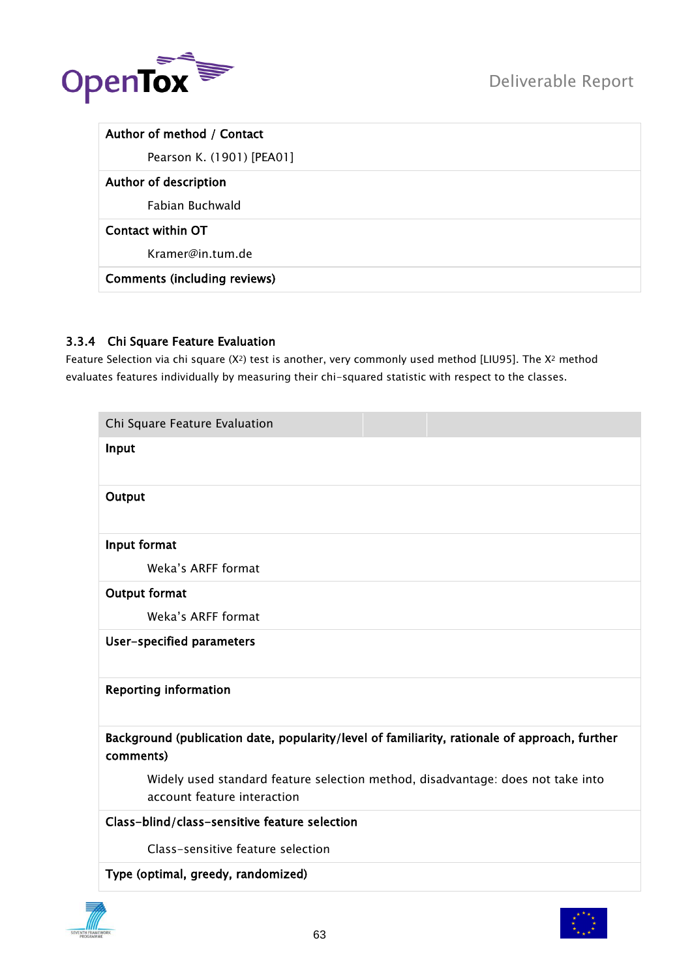

| Author of method / Contact          |  |
|-------------------------------------|--|
| Pearson K. (1901) [PEA01]           |  |
| Author of description               |  |
| Fabian Buchwald                     |  |
| Contact within OT                   |  |
| Kramer@in.tum.de                    |  |
| <b>Comments (including reviews)</b> |  |

# 3.3.4 Chi Square Feature Evaluation

Feature Selection via chi square (X2) test is another, very commonly used method [LIU95]. The X<sup>2</sup> method evaluates features individually by measuring their chi-squared statistic with respect to the classes.

| Chi Square Feature Evaluation                                                                                  |
|----------------------------------------------------------------------------------------------------------------|
| Input                                                                                                          |
| Output                                                                                                         |
| Input format                                                                                                   |
| Weka's ARFF format                                                                                             |
| Output format                                                                                                  |
| Weka's ARFF format                                                                                             |
| User-specified parameters                                                                                      |
| <b>Reporting information</b>                                                                                   |
| Background (publication date, popularity/level of familiarity, rationale of approach, further<br>comments)     |
| Widely used standard feature selection method, disadvantage: does not take into<br>account feature interaction |
| Class-blind/class-sensitive feature selection                                                                  |
| Class-sensitive feature selection                                                                              |
| Type (optimal, greedy, randomized)                                                                             |

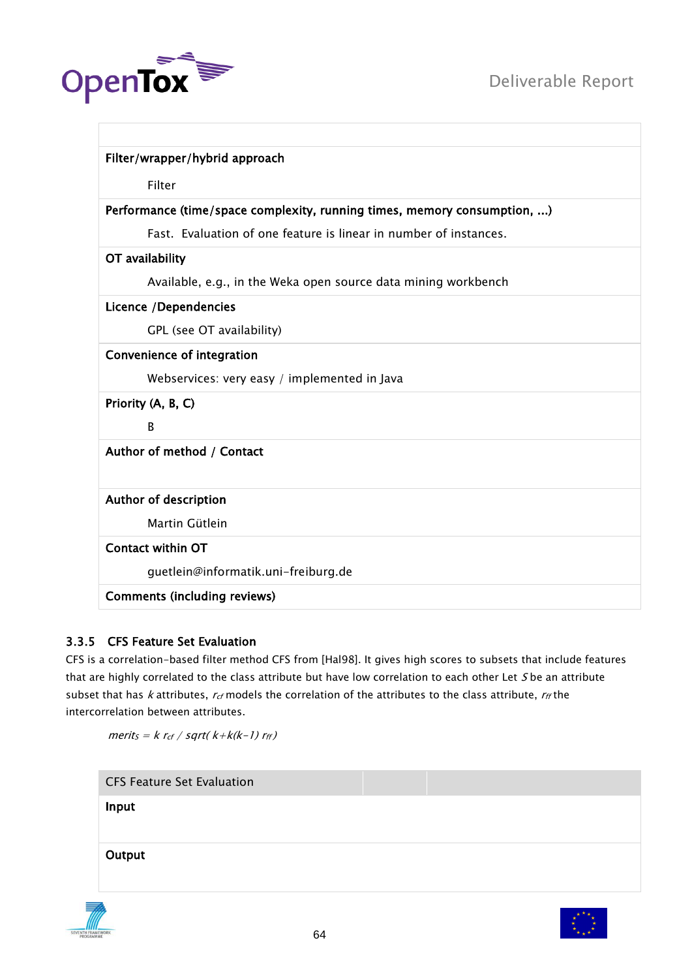



|                                     | Filter/wrapper/hybrid approach                                           |
|-------------------------------------|--------------------------------------------------------------------------|
| Filter                              |                                                                          |
|                                     | Performance (time/space complexity, running times, memory consumption, ) |
|                                     | Fast. Evaluation of one feature is linear in number of instances.        |
| OT availability                     |                                                                          |
|                                     | Available, e.g., in the Weka open source data mining workbench           |
| Licence /Dependencies               |                                                                          |
|                                     | GPL (see OT availability)                                                |
| <b>Convenience of integration</b>   |                                                                          |
|                                     | Webservices: very easy / implemented in Java                             |
| Priority (A, B, C)                  |                                                                          |
| B                                   |                                                                          |
| Author of method / Contact          |                                                                          |
|                                     |                                                                          |
| Author of description               |                                                                          |
| Martin Gütlein                      |                                                                          |
| <b>Contact within OT</b>            |                                                                          |
|                                     | guetlein@informatik.uni-freiburg.de                                      |
| <b>Comments (including reviews)</b> |                                                                          |
|                                     |                                                                          |

# 3.3.5 CFS Feature Set Evaluation

CFS is a correlation-based filter method CFS from [Hal98]. It gives high scores to subsets that include features that are highly correlated to the class attribute but have low correlation to each other Let S be an attribute subset that has k attributes,  $r_{cf}$  models the correlation of the attributes to the class attribute,  $r_{ff}$  the intercorrelation between attributes.

 $merits = k r_{cf} / sqrt(k+k(k-1) r_{ff})$ 

CFS Feature Set Evaluation

Input

**Output** 



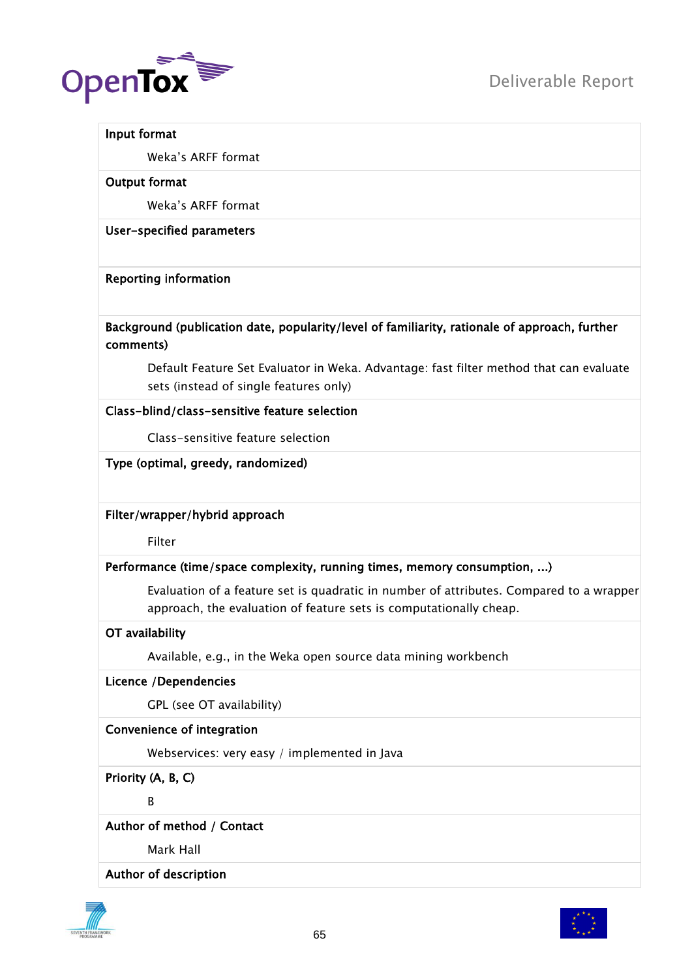

#### Input format

Weka"s ARFF format

#### Output format

Weka"s ARFF format

User-specified parameters

#### Reporting information

# Background (publication date, popularity/level of familiarity, rationale of approach, further comments)

Default Feature Set Evaluator in Weka. Advantage: fast filter method that can evaluate sets (instead of single features only)

#### Class-blind/class-sensitive feature selection

Class-sensitive feature selection

# Type (optimal, greedy, randomized)

# Filter/wrapper/hybrid approach

Filter

# Performance (time/space complexity, running times, memory consumption, ...)

Evaluation of a feature set is quadratic in number of attributes. Compared to a wrapper approach, the evaluation of feature sets is computationally cheap.

# OT availability

Available, e.g., in the Weka open source data mining workbench

# Licence /Dependencies

GPL (see OT availability)

# Convenience of integration

Webservices: very easy / implemented in Java

Priority (A, B, C)

B

# Author of method / Contact

Mark Hall

### Author of description



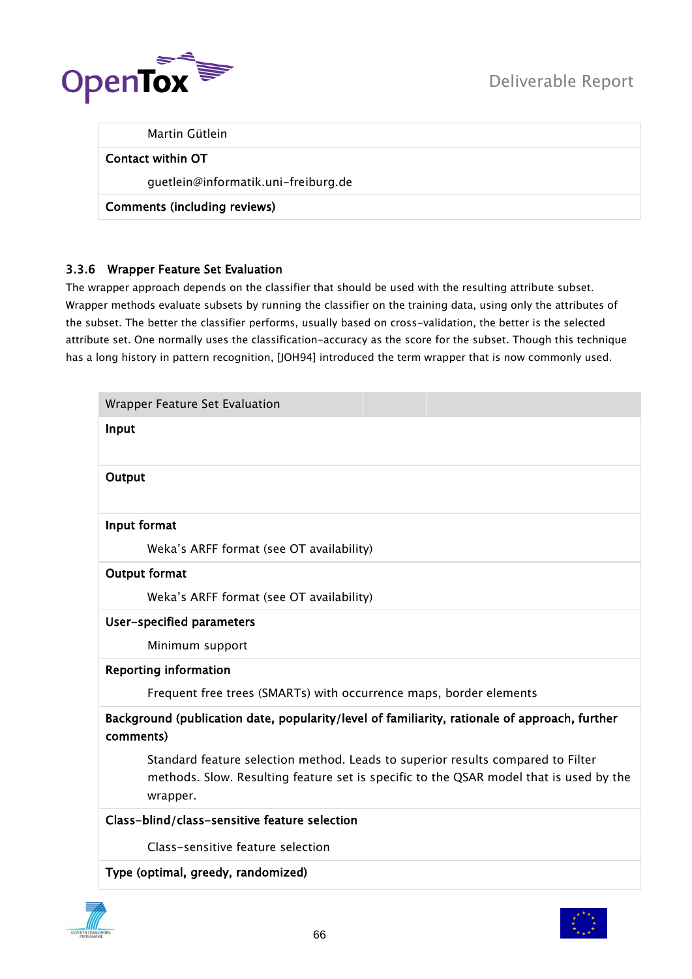

Martin Gütlein

#### Contact within OT

guetlein@informatik.uni-freiburg.de

Comments (including reviews)

# 3.3.6 Wrapper Feature Set Evaluation

The wrapper approach depends on the classifier that should be used with the resulting attribute subset. Wrapper methods evaluate subsets by running the classifier on the training data, using only the attributes of the subset. The better the classifier performs, usually based on cross-validation, the better is the selected attribute set. One normally uses the classification-accuracy as the score for the subset. Though this technique has a long history in pattern recognition, [JOH94] introduced the term wrapper that is now commonly used.

| Input<br>Output<br>Input format<br>Weka's ARFF format (see OT availability)<br><b>Output format</b><br>Weka's ARFF format (see OT availability)<br>User-specified parameters<br>Minimum support<br><b>Reporting information</b><br>Frequent free trees (SMARTs) with occurrence maps, border elements<br>Background (publication date, popularity/level of familiarity, rationale of approach, further<br>comments)<br>Standard feature selection method. Leads to superior results compared to Filter |  |  |
|--------------------------------------------------------------------------------------------------------------------------------------------------------------------------------------------------------------------------------------------------------------------------------------------------------------------------------------------------------------------------------------------------------------------------------------------------------------------------------------------------------|--|--|
|                                                                                                                                                                                                                                                                                                                                                                                                                                                                                                        |  |  |
|                                                                                                                                                                                                                                                                                                                                                                                                                                                                                                        |  |  |
|                                                                                                                                                                                                                                                                                                                                                                                                                                                                                                        |  |  |
|                                                                                                                                                                                                                                                                                                                                                                                                                                                                                                        |  |  |
|                                                                                                                                                                                                                                                                                                                                                                                                                                                                                                        |  |  |
|                                                                                                                                                                                                                                                                                                                                                                                                                                                                                                        |  |  |
|                                                                                                                                                                                                                                                                                                                                                                                                                                                                                                        |  |  |
|                                                                                                                                                                                                                                                                                                                                                                                                                                                                                                        |  |  |
|                                                                                                                                                                                                                                                                                                                                                                                                                                                                                                        |  |  |
|                                                                                                                                                                                                                                                                                                                                                                                                                                                                                                        |  |  |
|                                                                                                                                                                                                                                                                                                                                                                                                                                                                                                        |  |  |
| methods. Slow. Resulting feature set is specific to the QSAR model that is used by the<br>wrapper.                                                                                                                                                                                                                                                                                                                                                                                                     |  |  |
| Class-blind/class-sensitive feature selection                                                                                                                                                                                                                                                                                                                                                                                                                                                          |  |  |
| Class-sensitive feature selection                                                                                                                                                                                                                                                                                                                                                                                                                                                                      |  |  |
| Type (optimal, greedy, randomized)                                                                                                                                                                                                                                                                                                                                                                                                                                                                     |  |  |

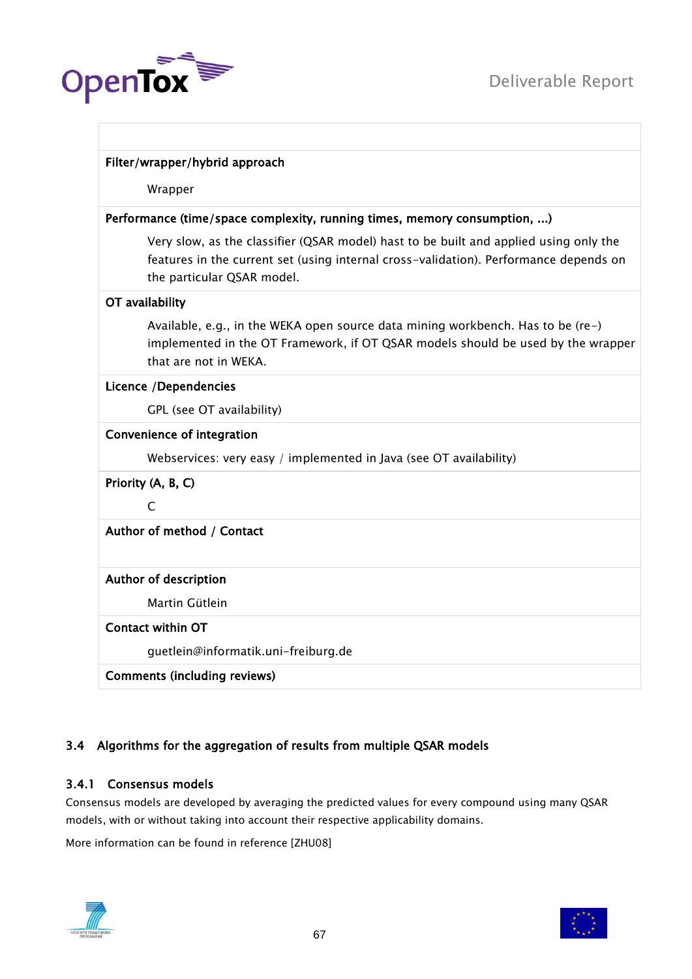

|                    | Filter/wrapper/hybrid approach                                                                                                                                                                               |  |  |  |
|--------------------|--------------------------------------------------------------------------------------------------------------------------------------------------------------------------------------------------------------|--|--|--|
|                    | Wrapper                                                                                                                                                                                                      |  |  |  |
|                    | Performance (time/space complexity, running times, memory consumption, )                                                                                                                                     |  |  |  |
|                    | Very slow, as the classifier (QSAR model) hast to be built and applied using only the<br>features in the current set (using internal cross-validation). Performance depends on<br>the particular QSAR model. |  |  |  |
| OT availability    |                                                                                                                                                                                                              |  |  |  |
|                    | Available, e.g., in the WEKA open source data mining workbench. Has to be (re-)<br>implemented in the OT Framework, if OT QSAR models should be used by the wrapper<br>that are not in WEKA.                 |  |  |  |
|                    | Licence / Dependencies                                                                                                                                                                                       |  |  |  |
|                    | GPL (see OT availability)                                                                                                                                                                                    |  |  |  |
|                    | Convenience of integration                                                                                                                                                                                   |  |  |  |
|                    | Webservices: very easy / implemented in Java (see OT availability)                                                                                                                                           |  |  |  |
| Priority (A, B, C) |                                                                                                                                                                                                              |  |  |  |
| C                  |                                                                                                                                                                                                              |  |  |  |
|                    | Author of method / Contact                                                                                                                                                                                   |  |  |  |
|                    | Author of description                                                                                                                                                                                        |  |  |  |
|                    | Martin Gütlein                                                                                                                                                                                               |  |  |  |
|                    | <b>Contact within OT</b>                                                                                                                                                                                     |  |  |  |
|                    | guetlein@informatik.uni-freiburg.de                                                                                                                                                                          |  |  |  |
|                    | <b>Comments (including reviews)</b>                                                                                                                                                                          |  |  |  |

# 3.4 Algorithms for the aggregation of results from multiple QSAR models

# 3.4.1 Consensus models

Consensus models are developed by averaging the predicted values for every compound using many QSAR models, with or without taking into account their respective applicability domains.

More information can be found in reference [ZHU08]



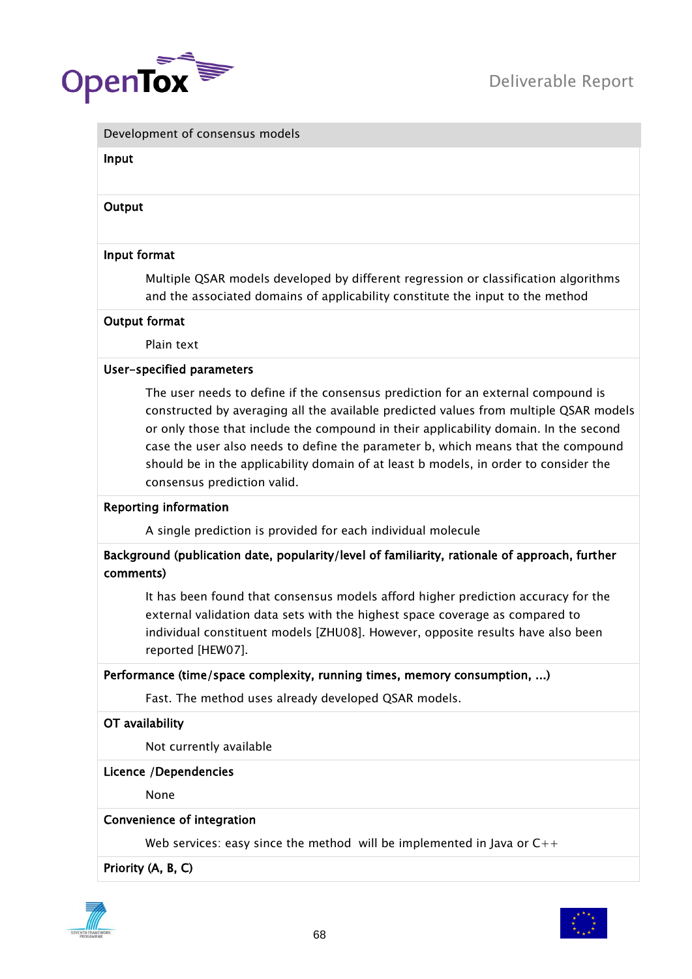

#### Development of consensus models

#### Input

### **Output**

#### Input format

Multiple QSAR models developed by different regression or classification algorithms and the associated domains of applicability constitute the input to the method

#### Output format

Plain text

#### User-specified parameters

The user needs to define if the consensus prediction for an external compound is constructed by averaging all the available predicted values from multiple QSAR models or only those that include the compound in their applicability domain. In the second case the user also needs to define the parameter b, which means that the compound should be in the applicability domain of at least b models, in order to consider the consensus prediction valid.

#### Reporting information

A single prediction is provided for each individual molecule

# Background (publication date, popularity/level of familiarity, rationale of approach, further comments)

It has been found that consensus models afford higher prediction accuracy for the external validation data sets with the highest space coverage as compared to individual constituent models [ZHU08]. However, opposite results have also been reported [HEW07].

#### Performance (time/space complexity, running times, memory consumption, ...)

Fast. The method uses already developed QSAR models.

#### OT availability

Not currently available

#### Licence /Dependencies

None

### Convenience of integration

Web services: easy since the method will be implemented in Java or  $C_{++}$ 

Priority (A, B, C)



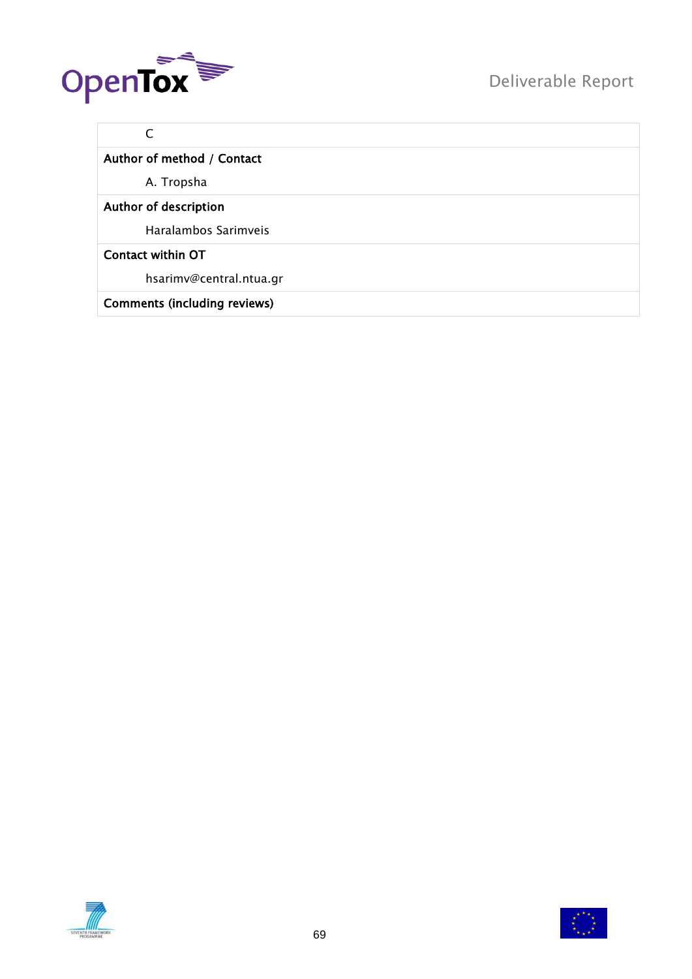

# C

# Author of method / Contact

A. Tropsha

# Author of description

Haralambos Sarimveis

# Contact within OT

hsarimv@central.ntua.gr

# Comments (including reviews)



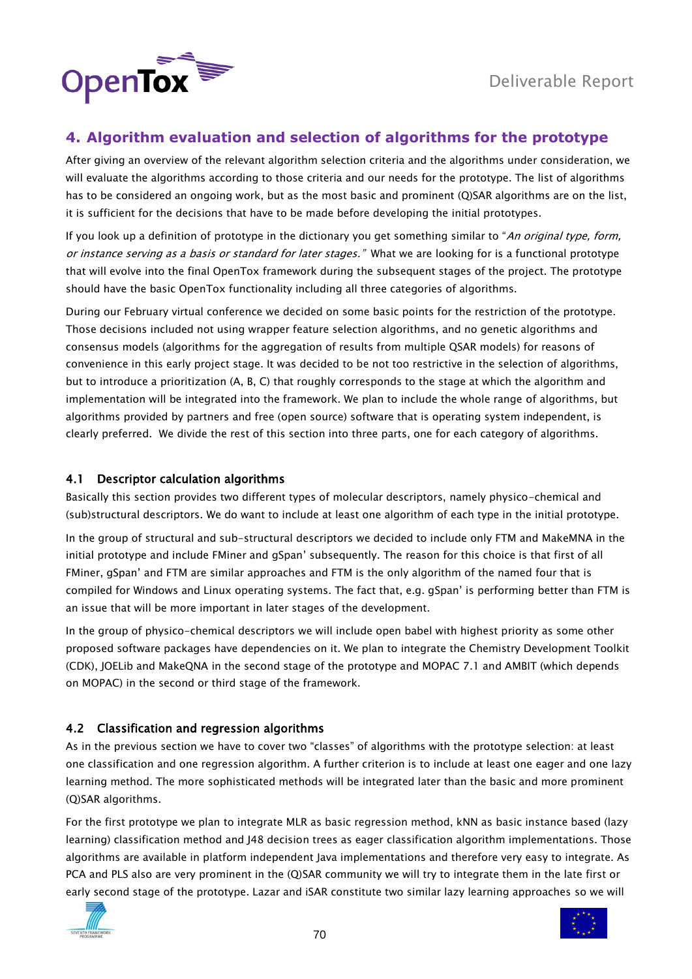

# **4. Algorithm evaluation and selection of algorithms for the prototype**

After giving an overview of the relevant algorithm selection criteria and the algorithms under consideration, we will evaluate the algorithms according to those criteria and our needs for the prototype. The list of algorithms has to be considered an ongoing work, but as the most basic and prominent (Q)SAR algorithms are on the list, it is sufficient for the decisions that have to be made before developing the initial prototypes.

If you look up a definition of prototype in the dictionary you get something similar to "An original type, form, or instance serving as a basis or standard for later stages." What we are looking for is a functional prototype that will evolve into the final OpenTox framework during the subsequent stages of the project. The prototype should have the basic OpenTox functionality including all three categories of algorithms.

During our February virtual conference we decided on some basic points for the restriction of the prototype. Those decisions included not using wrapper feature selection algorithms, and no genetic algorithms and consensus models (algorithms for the aggregation of results from multiple QSAR models) for reasons of convenience in this early project stage. It was decided to be not too restrictive in the selection of algorithms, but to introduce a prioritization (A, B, C) that roughly corresponds to the stage at which the algorithm and implementation will be integrated into the framework. We plan to include the whole range of algorithms, but algorithms provided by partners and free (open source) software that is operating system independent, is clearly preferred. We divide the rest of this section into three parts, one for each category of algorithms.

#### 4.1 Descriptor calculation algorithms

Basically this section provides two different types of molecular descriptors, namely physico-chemical and (sub)structural descriptors. We do want to include at least one algorithm of each type in the initial prototype.

In the group of structural and sub-structural descriptors we decided to include only FTM and MakeMNA in the initial prototype and include FMiner and gSpan" subsequently. The reason for this choice is that first of all FMiner, gSpan" and FTM are similar approaches and FTM is the only algorithm of the named four that is compiled for Windows and Linux operating systems. The fact that, e.g. gSpan" is performing better than FTM is an issue that will be more important in later stages of the development.

In the group of physico-chemical descriptors we will include open babel with highest priority as some other proposed software packages have dependencies on it. We plan to integrate the Chemistry Development Toolkit (CDK), JOELib and MakeQNA in the second stage of the prototype and MOPAC 7.1 and AMBIT (which depends on MOPAC) in the second or third stage of the framework.

# 4.2 Classification and regression algorithms

As in the previous section we have to cover two "classes" of algorithms with the prototype selection: at least one classification and one regression algorithm. A further criterion is to include at least one eager and one lazy learning method. The more sophisticated methods will be integrated later than the basic and more prominent (Q)SAR algorithms.

For the first prototype we plan to integrate MLR as basic regression method, kNN as basic instance based (lazy learning) classification method and J48 decision trees as eager classification algorithm implementations. Those algorithms are available in platform independent Java implementations and therefore very easy to integrate. As PCA and PLS also are very prominent in the (Q)SAR community we will try to integrate them in the late first or early second stage of the prototype. Lazar and iSAR constitute two similar lazy learning approaches so we will



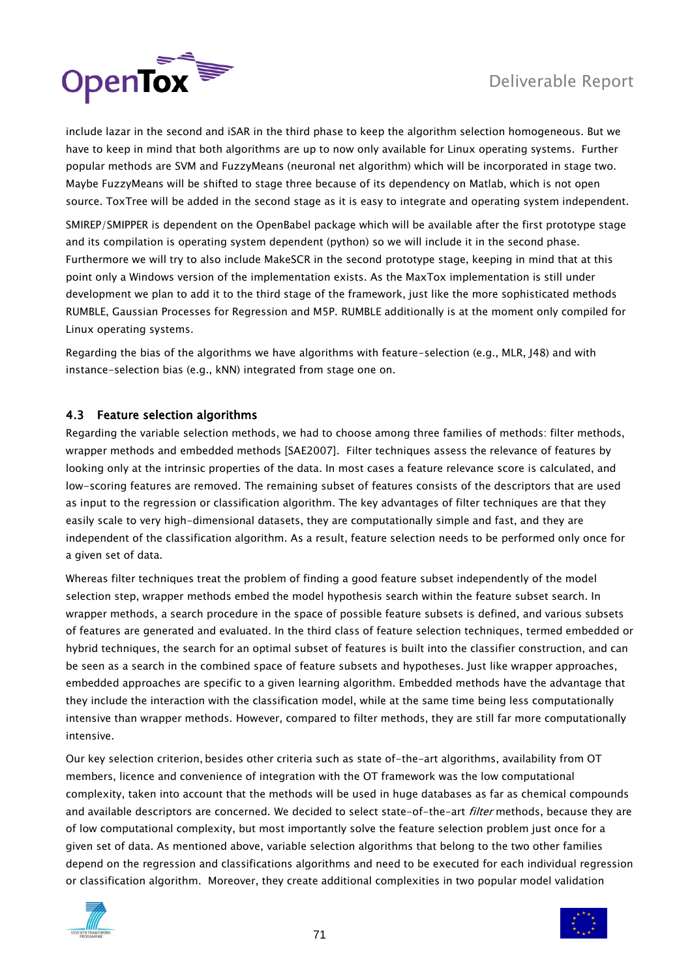

include lazar in the second and iSAR in the third phase to keep the algorithm selection homogeneous. But we have to keep in mind that both algorithms are up to now only available for Linux operating systems. Further popular methods are SVM and FuzzyMeans (neuronal net algorithm) which will be incorporated in stage two. Maybe FuzzyMeans will be shifted to stage three because of its dependency on Matlab, which is not open source. ToxTree will be added in the second stage as it is easy to integrate and operating system independent.

SMIREP/SMIPPER is dependent on the OpenBabel package which will be available after the first prototype stage and its compilation is operating system dependent (python) so we will include it in the second phase. Furthermore we will try to also include MakeSCR in the second prototype stage, keeping in mind that at this point only a Windows version of the implementation exists. As the MaxTox implementation is still under development we plan to add it to the third stage of the framework, just like the more sophisticated methods RUMBLE, Gaussian Processes for Regression and M5P. RUMBLE additionally is at the moment only compiled for Linux operating systems.

Regarding the bias of the algorithms we have algorithms with feature-selection (e.g., MLR, J48) and with instance-selection bias (e.g., kNN) integrated from stage one on.

# 4.3 Feature selection algorithms

Regarding the variable selection methods, we had to choose among three families of methods: filter methods, wrapper methods and embedded methods [SAE2007]. Filter techniques assess the relevance of features by looking only at the intrinsic properties of the data. In most cases a feature relevance score is calculated, and low-scoring features are removed. The remaining subset of features consists of the descriptors that are used as input to the regression or classification algorithm. The key advantages of filter techniques are that they easily scale to very high-dimensional datasets, they are computationally simple and fast, and they are independent of the classification algorithm. As a result, feature selection needs to be performed only once for a given set of data.

Whereas filter techniques treat the problem of finding a good feature subset independently of the model selection step, wrapper methods embed the model hypothesis search within the feature subset search. In wrapper methods, a search procedure in the space of possible feature subsets is defined, and various subsets of features are generated and evaluated. In the third class of feature selection techniques, termed embedded or hybrid techniques, the search for an optimal subset of features is built into the classifier construction, and can be seen as a search in the combined space of feature subsets and hypotheses. Just like wrapper approaches, embedded approaches are specific to a given learning algorithm. Embedded methods have the advantage that they include the interaction with the classification model, while at the same time being less computationally intensive than wrapper methods. However, compared to filter methods, they are still far more computationally intensive.

Our key selection criterion, besides other criteria such as state of-the-art algorithms, availability from OT members, licence and convenience of integration with the OT framework was the low computational complexity, taken into account that the methods will be used in huge databases as far as chemical compounds and available descriptors are concerned. We decided to select state-of-the-art *filter* methods, because they are of low computational complexity, but most importantly solve the feature selection problem just once for a given set of data. As mentioned above, variable selection algorithms that belong to the two other families depend on the regression and classifications algorithms and need to be executed for each individual regression or classification algorithm. Moreover, they create additional complexities in two popular model validation



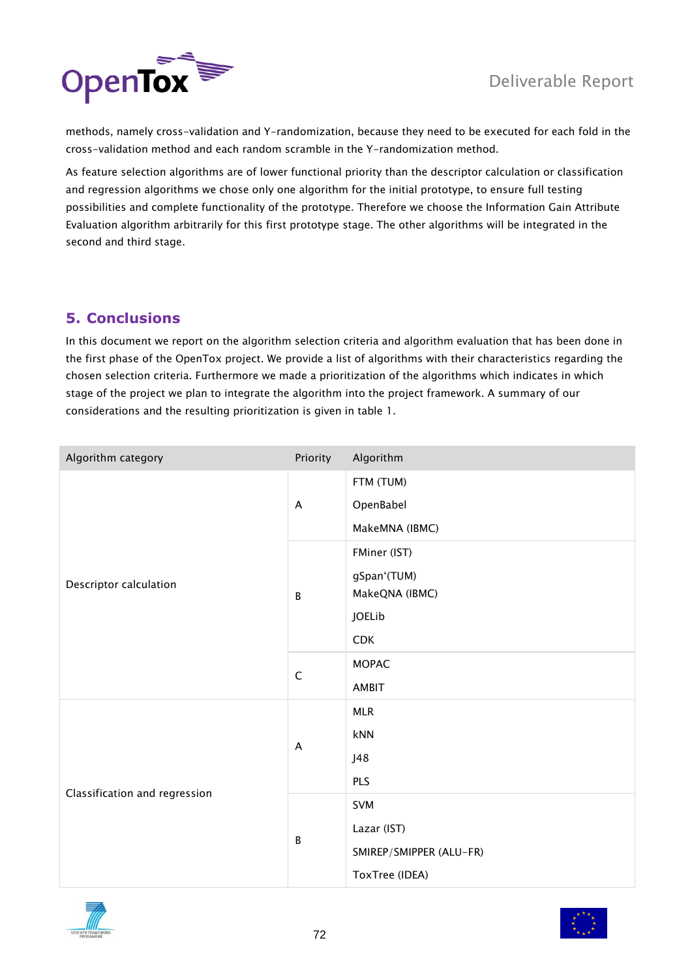

methods, namely cross-validation and Y-randomization, because they need to be executed for each fold in the cross-validation method and each random scramble in the Y-randomization method.

As feature selection algorithms are of lower functional priority than the descriptor calculation or classification and regression algorithms we chose only one algorithm for the initial prototype, to ensure full testing possibilities and complete functionality of the prototype. Therefore we choose the Information Gain Attribute Evaluation algorithm arbitrarily for this first prototype stage. The other algorithms will be integrated in the second and third stage.

# **5. Conclusions**

In this document we report on the algorithm selection criteria and algorithm evaluation that has been done in the first phase of the OpenTox project. We provide a list of algorithms with their characteristics regarding the chosen selection criteria. Furthermore we made a prioritization of the algorithms which indicates in which stage of the project we plan to integrate the algorithm into the project framework. A summary of our considerations and the resulting prioritization is given in table 1.

| Algorithm category            | Priority     | Algorithm                                     |
|-------------------------------|--------------|-----------------------------------------------|
|                               | A            | FTM (TUM)<br>OpenBabel                        |
|                               |              | MakeMNA (IBMC)                                |
| Descriptor calculation        | $\, {\sf B}$ | FMiner (IST)<br>gSpan'(TUM)<br>MakeQNA (IBMC) |
|                               |              | JOELib                                        |
|                               |              | <b>CDK</b>                                    |
|                               | $\mathsf C$  | <b>MOPAC</b>                                  |
|                               |              | AMBIT                                         |
|                               | A            | <b>MLR</b>                                    |
|                               |              | kNN                                           |
|                               |              | J48                                           |
| Classification and regression |              | PLS                                           |
|                               | $\, {\sf B}$ | SVM                                           |
|                               |              | Lazar (IST)                                   |
|                               |              | SMIREP/SMIPPER (ALU-FR)                       |
|                               |              | ToxTree (IDEA)                                |



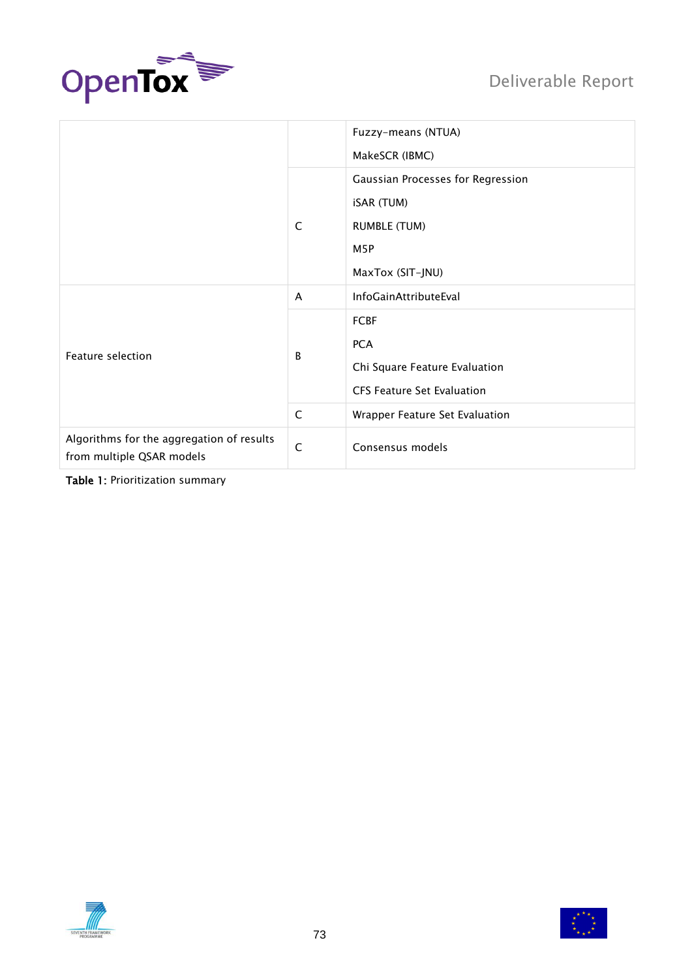

|                                                                        |              | Fuzzy-means (NTUA)                |
|------------------------------------------------------------------------|--------------|-----------------------------------|
|                                                                        |              | MakeSCR (IBMC)                    |
|                                                                        |              | Gaussian Processes for Regression |
|                                                                        |              | <b>iSAR (TUM)</b>                 |
|                                                                        | C            | <b>RUMBLE (TUM)</b>               |
|                                                                        |              | M5P                               |
|                                                                        |              | MaxTox (SIT-JNU)                  |
| Feature selection                                                      | A            | InfoGainAttributeEval             |
|                                                                        | B            | <b>FCBF</b>                       |
|                                                                        |              | <b>PCA</b>                        |
|                                                                        |              | Chi Square Feature Evaluation     |
|                                                                        |              | <b>CFS Feature Set Evaluation</b> |
|                                                                        | $\mathsf{C}$ | Wrapper Feature Set Evaluation    |
| Algorithms for the aggregation of results<br>from multiple QSAR models | $\mathsf{C}$ | Consensus models                  |

Table 1: Prioritization summary



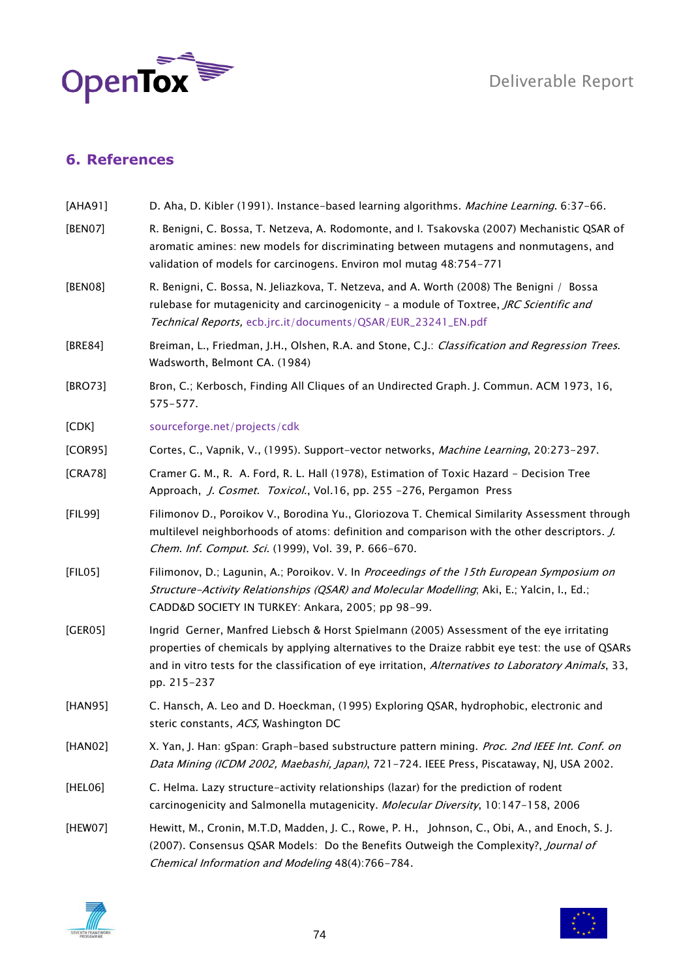

## **6. References**

| [AHA91] | D. Aha, D. Kibler (1991). Instance-based learning algorithms. Machine Learning. 6:37-66.                                                                                                                                                                                                                            |
|---------|---------------------------------------------------------------------------------------------------------------------------------------------------------------------------------------------------------------------------------------------------------------------------------------------------------------------|
| [BEN07] | R. Benigni, C. Bossa, T. Netzeva, A. Rodomonte, and I. Tsakovska (2007) Mechanistic QSAR of<br>aromatic amines: new models for discriminating between mutagens and nonmutagens, and<br>validation of models for carcinogens. Environ mol mutag 48:754-771                                                           |
| [BEN08] | R. Benigni, C. Bossa, N. Jeliazkova, T. Netzeva, and A. Worth (2008) The Benigni / Bossa<br>rulebase for mutagenicity and carcinogenicity - a module of Toxtree, JRC Scientific and<br>Technical Reports, ecb.jrc.it/documents/QSAR/EUR_23241_EN.pdf                                                                |
| [BRE84] | Breiman, L., Friedman, J.H., Olshen, R.A. and Stone, C.J.: Classification and Regression Trees.<br>Wadsworth, Belmont CA. (1984)                                                                                                                                                                                    |
| [BRO73] | Bron, C.; Kerbosch, Finding All Cliques of an Undirected Graph. J. Commun. ACM 1973, 16,<br>575-577.                                                                                                                                                                                                                |
| [CDK]   | sourceforge.net/projects/cdk                                                                                                                                                                                                                                                                                        |
| [COR95] | Cortes, C., Vapnik, V., (1995). Support-vector networks, Machine Learning, 20:273-297.                                                                                                                                                                                                                              |
| [CRA78] | Cramer G. M., R. A. Ford, R. L. Hall (1978), Estimation of Toxic Hazard - Decision Tree<br>Approach, J. Cosmet. Toxicol., Vol.16, pp. 255 -276, Pergamon Press                                                                                                                                                      |
| [FIL99] | Filimonov D., Poroikov V., Borodina Yu., Gloriozova T. Chemical Similarity Assessment through<br>multilevel neighborhoods of atoms: definition and comparison with the other descriptors. <i>J.</i><br>Chem. Inf. Comput. Sci. (1999), Vol. 39, P. 666-670.                                                         |
| [FILO5] | Filimonov, D.; Lagunin, A.; Poroikov. V. In Proceedings of the 15th European Symposium on<br>Structure-Activity Relationships (QSAR) and Molecular Modelling; Aki, E.; Yalcin, I., Ed.;<br>CADD&D SOCIETY IN TURKEY: Ankara, 2005; pp 98-99.                                                                        |
| [GER05] | Ingrid Gerner, Manfred Liebsch & Horst Spielmann (2005) Assessment of the eye irritating<br>properties of chemicals by applying alternatives to the Draize rabbit eye test: the use of QSARs<br>and in vitro tests for the classification of eye irritation, Alternatives to Laboratory Animals, 33,<br>pp. 215-237 |
| [HAN95] | C. Hansch, A. Leo and D. Hoeckman, (1995) Exploring QSAR, hydrophobic, electronic and<br>steric constants, ACS, Washington DC                                                                                                                                                                                       |
| [HAN02] | X. Yan, J. Han: gSpan: Graph-based substructure pattern mining. Proc. 2nd IEEE Int. Conf. on<br>Data Mining (ICDM 2002, Maebashi, Japan), 721-724. IEEE Press, Piscataway, NJ, USA 2002.                                                                                                                            |
| [HEL06] | C. Helma. Lazy structure-activity relationships (lazar) for the prediction of rodent<br>carcinogenicity and Salmonella mutagenicity. Molecular Diversity, 10:147-158, 2006                                                                                                                                          |
| [HEW07] | Hewitt, M., Cronin, M.T.D, Madden, J. C., Rowe, P. H., Johnson, C., Obi, A., and Enoch, S. J.<br>(2007). Consensus QSAR Models: Do the Benefits Outweigh the Complexity?, Journal of<br>Chemical Information and Modeling 48(4):766-784.                                                                            |



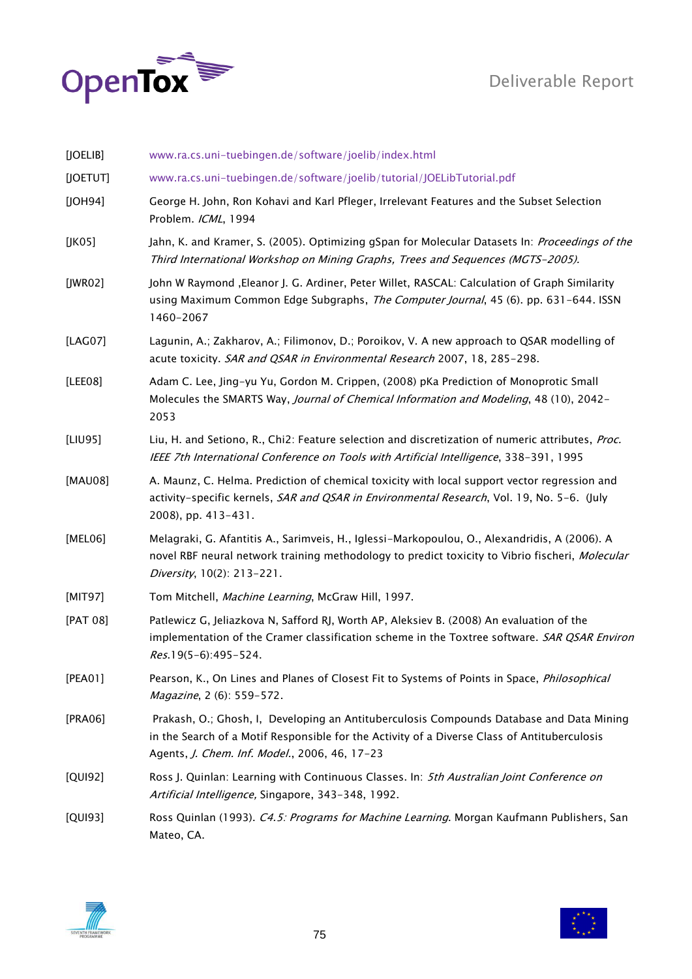



| [JOELIB]            | www.ra.cs.uni-tuebingen.de/software/joelib/index.html                                                                                                                                                                                     |
|---------------------|-------------------------------------------------------------------------------------------------------------------------------------------------------------------------------------------------------------------------------------------|
| [JOETUT]            | www.ra.cs.uni-tuebingen.de/software/joelib/tutorial/JOELibTutorial.pdf                                                                                                                                                                    |
| [JOH94]             | George H. John, Ron Kohavi and Karl Pfleger, Irrelevant Features and the Subset Selection<br>Problem. ICML, 1994                                                                                                                          |
| [JKO <sub>5</sub> ] | Jahn, K. and Kramer, S. (2005). Optimizing gSpan for Molecular Datasets In: Proceedings of the<br>Third International Workshop on Mining Graphs, Trees and Sequences (MGTS-2005).                                                         |
| [JWR02]             | John W Raymond , Eleanor J. G. Ardiner, Peter Willet, RASCAL: Calculation of Graph Similarity<br>using Maximum Common Edge Subgraphs, The Computer Journal, 45 (6). pp. 631-644. ISSN<br>1460-2067                                        |
| [LAG07]             | Lagunin, A.; Zakharov, A.; Filimonov, D.; Poroikov, V. A new approach to QSAR modelling of<br>acute toxicity. SAR and QSAR in Environmental Research 2007, 18, 285-298.                                                                   |
| [LEE08]             | Adam C. Lee, Jing-yu Yu, Gordon M. Crippen, (2008) pKa Prediction of Monoprotic Small<br>Molecules the SMARTS Way, Journal of Chemical Information and Modeling, 48 (10), 2042-<br>2053                                                   |
| [LIU95]             | Liu, H. and Setiono, R., Chi2: Feature selection and discretization of numeric attributes, Proc.<br>IEEE 7th International Conference on Tools with Artificial Intelligence, 338-391, 1995                                                |
| [MAU08]             | A. Maunz, C. Helma. Prediction of chemical toxicity with local support vector regression and<br>activity-specific kernels, SAR and QSAR in Environmental Research, Vol. 19, No. 5-6. (July<br>2008), pp. 413-431.                         |
| [MEL06]             | Melagraki, G. Afantitis A., Sarimveis, H., Iglessi-Markopoulou, O., Alexandridis, A (2006). A<br>novel RBF neural network training methodology to predict toxicity to Vibrio fischeri, Molecular<br>Diversity, 10(2): 213-221.            |
| [MIT97]             | Tom Mitchell, Machine Learning, McGraw Hill, 1997.                                                                                                                                                                                        |
| [PAT 08]            | Patlewicz G, Jeliazkova N, Safford RJ, Worth AP, Aleksiev B. (2008) An evaluation of the<br>implementation of the Cramer classification scheme in the Toxtree software. SAR QSAR Environ<br>$Res.19(5-6):495-524.$                        |
| [PEA01]             | Pearson, K., On Lines and Planes of Closest Fit to Systems of Points in Space, Philosophical<br>Magazine, 2 (6): 559-572.                                                                                                                 |
| [PRA06]             | Prakash, O.; Ghosh, I, Developing an Antituberculosis Compounds Database and Data Mining<br>in the Search of a Motif Responsible for the Activity of a Diverse Class of Antituberculosis<br>Agents, J. Chem. Inf. Model., 2006, 46, 17-23 |
| [QUI92]             | Ross J. Quinlan: Learning with Continuous Classes. In: 5th Australian Joint Conference on<br>Artificial Intelligence, Singapore, 343-348, 1992.                                                                                           |
| [QUI93]             | Ross Quinlan (1993). C4.5: Programs for Machine Learning. Morgan Kaufmann Publishers, San<br>Mateo, CA.                                                                                                                                   |



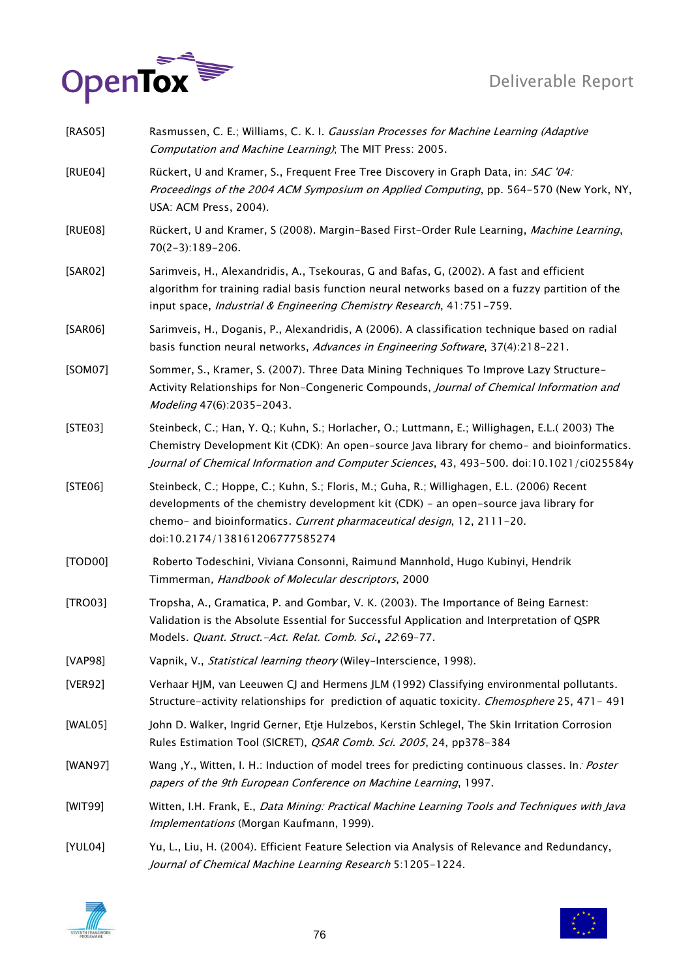

| [RAS05] | Rasmussen, C. E.; Williams, C. K. I. Gaussian Processes for Machine Learning (Adaptive<br>Computation and Machine Learning); The MIT Press: 2005.                                                                                                                                              |
|---------|------------------------------------------------------------------------------------------------------------------------------------------------------------------------------------------------------------------------------------------------------------------------------------------------|
| [RUE04] | Rückert, U and Kramer, S., Frequent Free Tree Discovery in Graph Data, in: SAC '04:<br>Proceedings of the 2004 ACM Symposium on Applied Computing, pp. 564-570 (New York, NY,<br>USA: ACM Press, 2004).                                                                                        |
| [RUE08] | Rückert, U and Kramer, S (2008). Margin-Based First-Order Rule Learning, Machine Learning,<br>$70(2-3):189-206.$                                                                                                                                                                               |
| [SAR02] | Sarimveis, H., Alexandridis, A., Tsekouras, G and Bafas, G, (2002). A fast and efficient<br>algorithm for training radial basis function neural networks based on a fuzzy partition of the<br>input space, Industrial & Engineering Chemistry Research, 41:751-759.                            |
| [SAR06] | Sarimveis, H., Doganis, P., Alexandridis, A (2006). A classification technique based on radial<br>basis function neural networks, Advances in Engineering Software, 37(4):218-221.                                                                                                             |
| [SOM07] | Sommer, S., Kramer, S. (2007). Three Data Mining Techniques To Improve Lazy Structure-<br>Activity Relationships for Non-Congeneric Compounds, Journal of Chemical Information and<br>Modeling 47(6):2035-2043.                                                                                |
| [STE03] | Steinbeck, C.; Han, Y. Q.; Kuhn, S.; Horlacher, O.; Luttmann, E.; Willighagen, E.L.( 2003) The<br>Chemistry Development Kit (CDK): An open-source Java library for chemo- and bioinformatics.<br>Journal of Chemical Information and Computer Sciences, 43, 493-500. doi:10.1021/ci025584y     |
| [STE06] | Steinbeck, C.; Hoppe, C.; Kuhn, S.; Floris, M.; Guha, R.; Willighagen, E.L. (2006) Recent<br>developments of the chemistry development kit (CDK) - an open-source java library for<br>chemo- and bioinformatics. Current pharmaceutical design, 12, 2111-20.<br>doi:10.2174/138161206777585274 |
| [TOD00] | Roberto Todeschini, Viviana Consonni, Raimund Mannhold, Hugo Kubinyi, Hendrik<br>Timmerman, Handbook of Molecular descriptors, 2000                                                                                                                                                            |
| [TRO03] | Tropsha, A., Gramatica, P. and Gombar, V. K. (2003). The Importance of Being Earnest:<br>Validation is the Absolute Essential for Successful Application and Interpretation of QSPR<br>Models. Quant. Struct.-Act. Relat. Comb. Sci., 22:69-77.                                                |
| [VAP98] | Vapnik, V., Statistical learning theory (Wiley-Interscience, 1998).                                                                                                                                                                                                                            |
| [VER92] | Verhaar HJM, van Leeuwen CJ and Hermens JLM (1992) Classifying environmental pollutants.<br>Structure-activity relationships for prediction of aquatic toxicity. Chemosphere 25, 471-491                                                                                                       |
| [WAL05] | John D. Walker, Ingrid Gerner, Etje Hulzebos, Kerstin Schlegel, The Skin Irritation Corrosion<br>Rules Estimation Tool (SICRET), <i>QSAR Comb. Sci. 2005</i> , 24, pp378-384                                                                                                                   |
| [WAN97] | Wang , Y., Witten, I. H.: Induction of model trees for predicting continuous classes. In: Poster<br>papers of the 9th European Conference on Machine Learning, 1997.                                                                                                                           |
| [WIT99] | Witten, I.H. Frank, E., Data Mining: Practical Machine Learning Tools and Techniques with Java<br>Implementations (Morgan Kaufmann, 1999).                                                                                                                                                     |
| [YUL04] | Yu, L., Liu, H. (2004). Efficient Feature Selection via Analysis of Relevance and Redundancy,<br>Journal of Chemical Machine Learning Research 5:1205-1224.                                                                                                                                    |